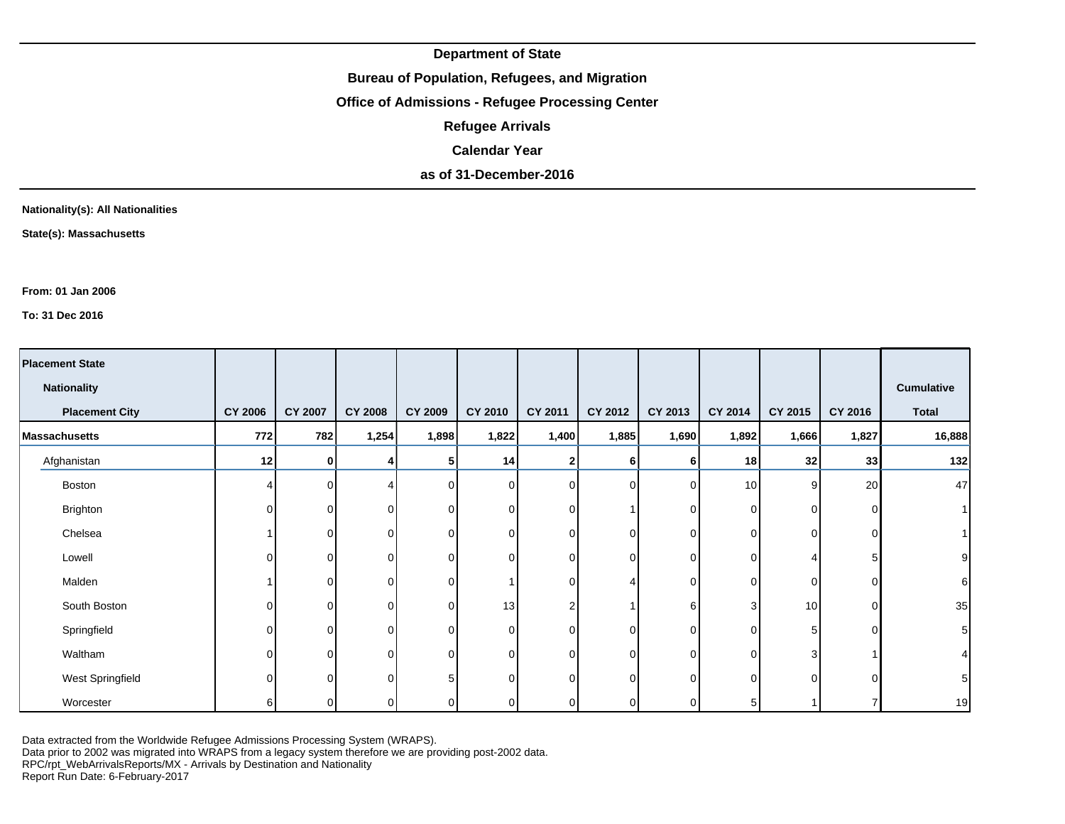**Bureau of Population, Refugees, and Migration**

**Office of Admissions - Refugee Processing Center**

**Refugee Arrivals**

**Calendar Year**

**as of 31-December-2016**

**Nationality(s): All Nationalities**

**State(s): Massachusetts**

**From: 01 Jan 2006**

**To: 31 Dec 2016**

| <b>Placement State</b> |                |                |                |                |             |              |                |              |                |                 |                |                   |
|------------------------|----------------|----------------|----------------|----------------|-------------|--------------|----------------|--------------|----------------|-----------------|----------------|-------------------|
| <b>Nationality</b>     |                |                |                |                |             |              |                |              |                |                 |                | <b>Cumulative</b> |
| <b>Placement City</b>  | <b>CY 2006</b> | <b>CY 2007</b> | <b>CY 2008</b> | <b>CY 2009</b> | CY 2010     | CY 2011      | <b>CY 2012</b> | CY 2013      | <b>CY 2014</b> | <b>CY 2015</b>  | <b>CY 2016</b> | <b>Total</b>      |
| <b>Massachusetts</b>   | 772            | 782            | 1,254          | 1,898          | 1,822       | 1,400        | 1,885          | 1,690        | 1,892          | 1,666           | 1,827          | 16,888            |
| Afghanistan            | 12             | $\mathbf{0}$   | 4              |                | 14          | 2            | 6              | 6            | 18             | 32              | 33             | 132               |
| Boston                 |                | $\Omega$       | 4              |                | $\mathbf 0$ | $\Omega$     | $\overline{0}$ | $\Omega$     | 10             | 9               | 20             | 47                |
| Brighton               | $\Omega$       | 0              | $\Omega$       |                | 0           | 0            |                | $\Omega$     | $\Omega$       | $\Omega$        | $\Omega$       |                   |
| Chelsea                |                | $\Omega$       | $\Omega$       | $\Omega$       | $\mathbf 0$ | $\Omega$     | $\overline{0}$ | $\Omega$     | $\overline{0}$ | Οl              | $\Omega$       |                   |
| Lowell                 | O              | $\Omega$       | $\Omega$       | ∩              | 0           | 0            | $\overline{0}$ | $\Omega$     | $\Omega$       |                 |                |                   |
| Malden                 |                | 0              | 0              | $\Omega$       | 1           | $\Omega$     | 4              | $\Omega$     | $\overline{0}$ | Οl              | $\Omega$       |                   |
| South Boston           | O              | $\Omega$       | $\Omega$       | $\Omega$       | 13          |              |                | 6            | 3              | 10 <sup>1</sup> | $\Omega$       | 35                |
| Springfield            | $\Omega$       | $\Omega$       | $\Omega$       | ∩              | 0           | $\Omega$     | $\overline{0}$ | $\Omega$     | $\Omega$       | 5               | $\Omega$       | 5                 |
| Waltham                |                | $\Omega$       | $\Omega$       |                | $\mathbf 0$ | <sup>n</sup> | $\overline{0}$ | <sup>0</sup> | $\Omega$       | 3               |                |                   |
| West Springfield       | O              | $\Omega$       | $\Omega$       |                | 0           | $\Omega$     | $\overline{0}$ | <sup>n</sup> | $\Omega$       | $\Omega$        | $\Omega$       |                   |
| Worcester              | 6              | 0              | 0              |                | 0           | 0            | $\overline{0}$ |              | 5              |                 |                | 19                |

Data extracted from the Worldwide Refugee Admissions Processing System (WRAPS).

Data prior to 2002 was migrated into WRAPS from a legacy system therefore we are providing post-2002 data.

RPC/rpt\_WebArrivalsReports/MX - Arrivals by Destination and Nationality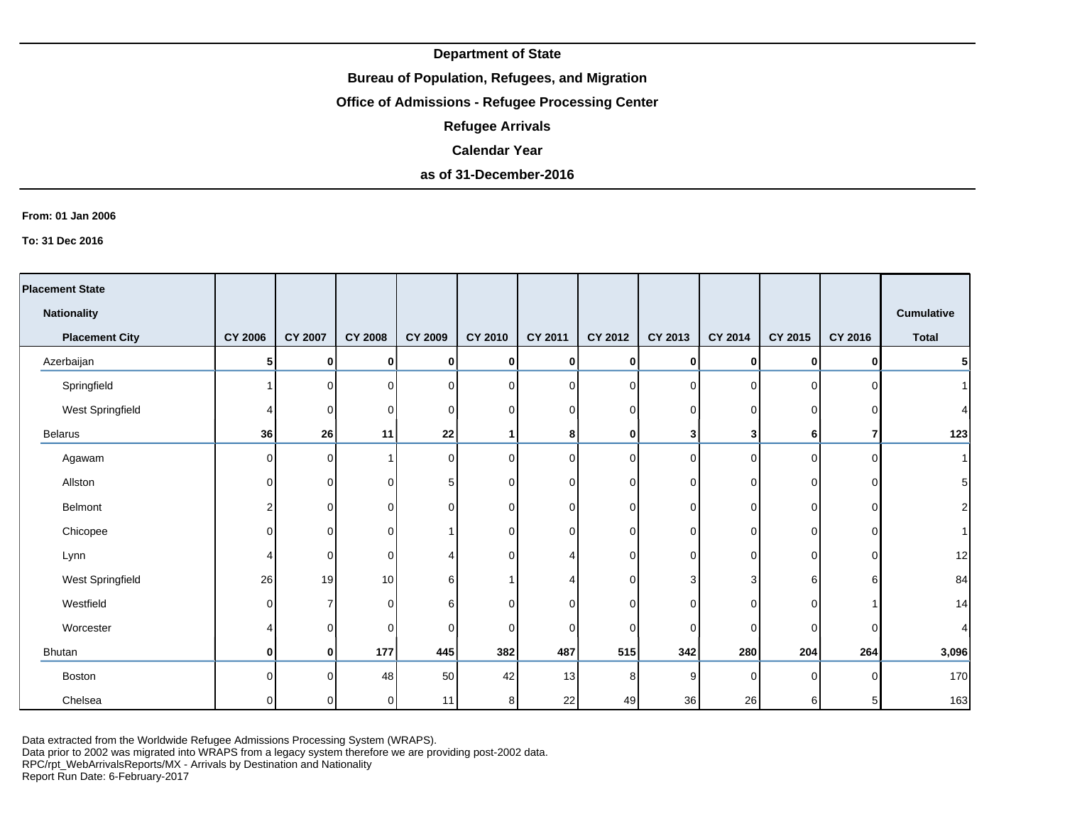## **Bureau of Population, Refugees, and Migration**

# **Office of Admissions - Refugee Processing Center**

**Refugee Arrivals**

#### **Calendar Year**

# **as of 31-December-2016**

#### **From: 01 Jan 2006**

**To: 31 Dec 2016**

| <b>Placement State</b> |                |                |                |                |             |                 |                |          |                |                |                |                   |
|------------------------|----------------|----------------|----------------|----------------|-------------|-----------------|----------------|----------|----------------|----------------|----------------|-------------------|
| <b>Nationality</b>     |                |                |                |                |             |                 |                |          |                |                |                | <b>Cumulative</b> |
| <b>Placement City</b>  | <b>CY 2006</b> | <b>CY 2007</b> | <b>CY 2008</b> | <b>CY 2009</b> | CY 2010     | <b>CY 2011</b>  | CY 2012        | CY 2013  | <b>CY 2014</b> | CY 2015        | CY 2016        | <b>Total</b>      |
| Azerbaijan             | 5              | 0              | 0              | 0              | 0           | 0               | $\mathbf{0}$   | 0        | $\mathbf{0}$   | 0              | $\mathbf{0}$   | $\mathbf{5}$      |
| Springfield            |                | $\overline{0}$ | $\Omega$       | $\Omega$       | $\mathbf 0$ | $\Omega$        | $\overline{0}$ | $\Omega$ | $\Omega$       | οI             | ΩI             | 1                 |
| West Springfield       |                | $\overline{0}$ | $\Omega$       | $\Omega$       | 0           | $\Omega$        | $\overline{0}$ | 0        | 0              | $\overline{0}$ | O              | $\vert$           |
| <b>Belarus</b>         | 36             | 26             | 11             | 22             | 1           | 8               | 0              | 3        | 3              | 6              |                | 123               |
| Agawam                 | $\Omega$       | $\overline{0}$ |                | $\Omega$       | 0           | $\Omega$        | $\overline{0}$ | $\Omega$ | $\Omega$       | $\overline{0}$ | ΩI             | 1                 |
| Allston                | 0              | $\overline{0}$ | 0              | 5              | 0           | $\Omega$        | 0              | 0        | $\Omega$       | $\overline{0}$ | $\Omega$       | 5 <sup>1</sup>    |
| Belmont                | 2              | $\mathbf 0$    | 0              | $\Omega$       | 0           | $\overline{0}$  | $\mathbf 0$    | 0        | $\mathbf 0$    | $\overline{0}$ | $\Omega$       | $\mathbf{2}$      |
| Chicopee               | 0              | 0              | 0              |                | 0           | $\Omega$        | 0              | 0        | 0              | $\overline{0}$ | ΩI             | 1                 |
| Lynn                   | 4              | 0              | $\Omega$       |                | 0           |                 | $\overline{0}$ | $\Omega$ | 0              | $\overline{0}$ | $\Omega$       | 12                |
| West Springfield       | 26             | 19             | 10             | 6              | 1           |                 | $\overline{0}$ | 3        | 3              | $6 \mid$       | 6              | 84                |
| Westfield              | $\Omega$       | $\overline{7}$ | $\Omega$       | 6              | 0           | $\Omega$        | $\overline{0}$ | $\Omega$ | $\Omega$       | $\overline{0}$ |                | 14                |
| Worcester              | Δ              | $\overline{0}$ | 0              | $\Omega$       | 0           | $\Omega$        | $\mathbf 0$    | $\Omega$ | 0              | $\overline{0}$ | $\Omega$       | $\vert$           |
| Bhutan                 | 0              | 0              | 177            | 445            | 382         | 487             | 515            | 342      | 280            | 204            | 264            | 3,096             |
| <b>Boston</b>          | O              | $\Omega$       | 48             | 50             | 42          | 13 <sup>l</sup> | 8              | 9        | $\Omega$       | $\overline{0}$ | <sup>0</sup>   | 170               |
| Chelsea                | 0              | οI             | 0              | 11             | 8           | 22              | 49             | 36       | 26             | 6              | 5 <sub>l</sub> | 163               |

Data extracted from the Worldwide Refugee Admissions Processing System (WRAPS).

Data prior to 2002 was migrated into WRAPS from a legacy system therefore we are providing post-2002 data.

RPC/rpt\_WebArrivalsReports/MX - Arrivals by Destination and Nationality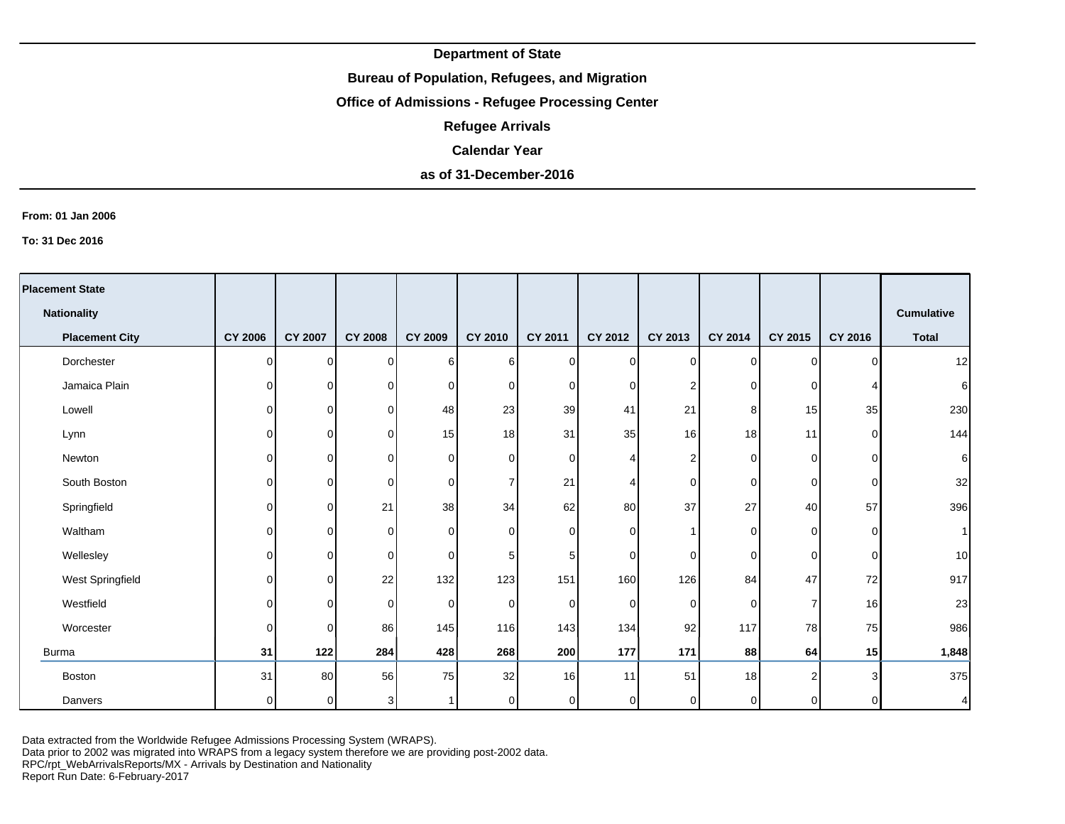## **Bureau of Population, Refugees, and Migration**

# **Office of Admissions - Refugee Processing Center**

**Refugee Arrivals**

#### **Calendar Year**

## **as of 31-December-2016**

#### **From: 01 Jan 2006**

**To: 31 Dec 2016**

| <b>Placement State</b> |                |                |                |                |                |          |           |                 |                |                |                |                   |
|------------------------|----------------|----------------|----------------|----------------|----------------|----------|-----------|-----------------|----------------|----------------|----------------|-------------------|
|                        |                |                |                |                |                |          |           |                 |                |                |                |                   |
| <b>Nationality</b>     |                |                |                |                |                |          |           |                 |                |                |                | <b>Cumulative</b> |
| <b>Placement City</b>  | <b>CY 2006</b> | <b>CY 2007</b> | <b>CY 2008</b> | <b>CY 2009</b> | CY 2010        | CY 2011  | CY 2012   | CY 2013         | CY 2014        | CY 2015        | <b>CY 2016</b> | <b>Total</b>      |
| Dorchester             | $\overline{0}$ | οI             | $\Omega$       | 61             | 6              | $\Omega$ | $\pmb{0}$ | $\overline{0}$  | $\overline{0}$ | $\Omega$       | $\Omega$       | 12                |
| Jamaica Plain          | $\overline{0}$ | $\overline{0}$ | $\Omega$       | $\Omega$       | 0              | $\Omega$ | $\pmb{0}$ | 2               | $\overline{0}$ | $\overline{0}$ |                | 6                 |
| Lowell                 | $\overline{0}$ | $\overline{0}$ | $\Omega$       | 48             | 23             | 39       | 41        | 21              | 8              | 15             | 35             | 230               |
| Lynn                   | $\overline{0}$ | $\overline{0}$ | 0              | 15             | 18             | 31       | 35        | 16 <sup>1</sup> | 18             | 11             | $\Omega$       | 144               |
| Newton                 | $\overline{0}$ | $\overline{0}$ | 0              | $\Omega$       | 0              | $\Omega$ | 4         | $\overline{2}$  | $\overline{0}$ | $\overline{0}$ | $\Omega$       | 6                 |
| South Boston           | $\overline{0}$ | $\overline{0}$ | $\Omega$       | $\Omega$       | $\overline{7}$ | 21       | 4         | $\Omega$        | $\overline{0}$ | $\overline{0}$ | 0              | 32                |
| Springfield            | $\overline{0}$ | $\overline{0}$ | 21             | 38             | 34             | 62       | 80        | 37              | 27             | 40             | 57             | 396               |
| Waltham                | $\Omega$       | $\Omega$       | $\Omega$       | $\Omega$       | 0              | $\Omega$ | 0         |                 | $\overline{0}$ | $\overline{0}$ | $\Omega$       |                   |
| Wellesley              | $\overline{0}$ | $\overline{0}$ | 0              | $\Omega$       | 5              | 5        | 0         | $\Omega$        | $\overline{0}$ | $\overline{0}$ | $\Omega$       | 10                |
| West Springfield       | $\overline{0}$ | $\overline{0}$ | 22             | 132            | 123            | 151      | 160       | 126             | 84             | 47             | 72             | 917               |
| Westfield              | $\overline{0}$ | $\overline{0}$ | 0              | $\overline{0}$ | 0              | 0        | 0         | $\overline{0}$  | $\overline{0}$ | $\overline{7}$ | 16             | 23                |
| Worcester              | $\overline{0}$ | $\Omega$       | 86             | 145            | 116            | 143      | 134       | 92              | 117            | <b>78</b>      | 75             | 986               |
| <b>Burma</b>           | 31             | 122            | 284            | 428            | 268            | 200      | 177       | 171             | 88             | 64             | 15             | 1,848             |
| <b>Boston</b>          | 31             | 80             | 56             | 75             | 32             | 16       | 11        | 51              | 18             | 2 <sub>1</sub> | 3              | 375               |
| Danvers                | $\overline{0}$ | $\overline{0}$ | 3 <sup>1</sup> |                | 0              | 0        | 0         | 0               | $\overline{0}$ | $\overline{0}$ | $\Omega$       |                   |

Data extracted from the Worldwide Refugee Admissions Processing System (WRAPS).

Data prior to 2002 was migrated into WRAPS from a legacy system therefore we are providing post-2002 data.

RPC/rpt\_WebArrivalsReports/MX - Arrivals by Destination and Nationality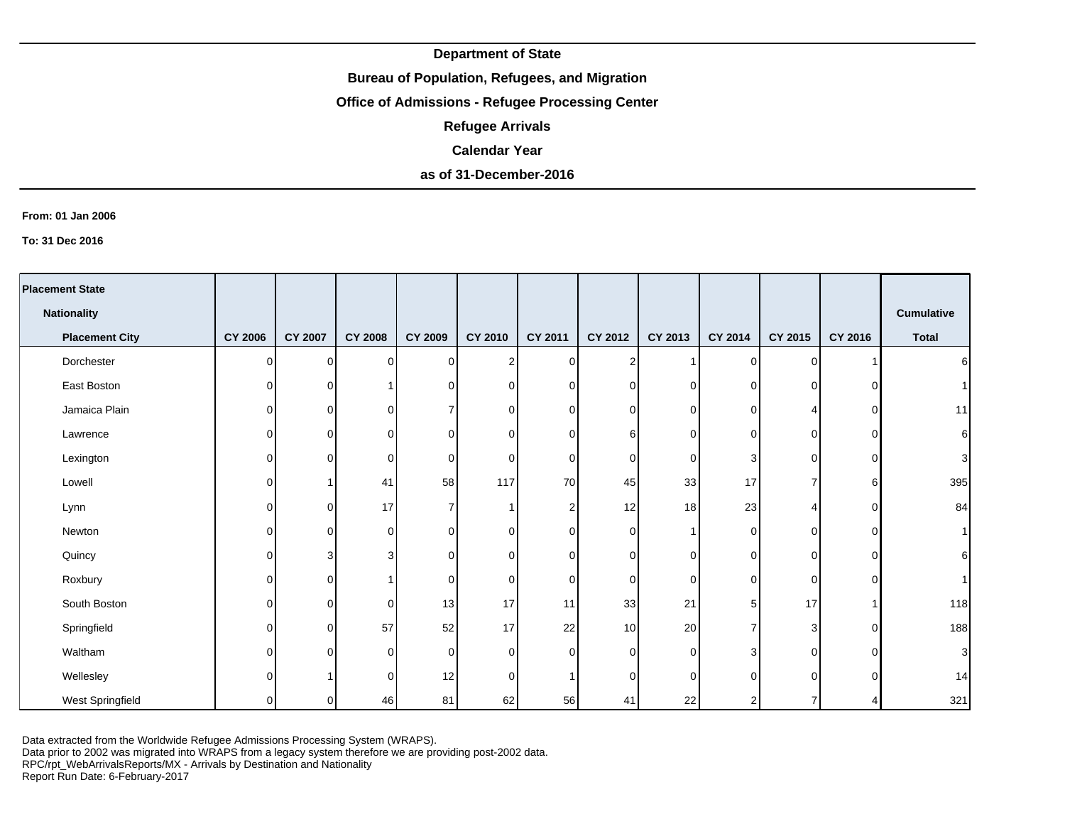## **Bureau of Population, Refugees, and Migration**

# **Office of Admissions - Refugee Processing Center**

**Refugee Arrivals**

#### **Calendar Year**

# **as of 31-December-2016**

#### **From: 01 Jan 2006**

**To: 31 Dec 2016**

| <b>Placement State</b> |                |                |                |                |                |                |                |          |             |                |          |                |
|------------------------|----------------|----------------|----------------|----------------|----------------|----------------|----------------|----------|-------------|----------------|----------|----------------|
| <b>Nationality</b>     |                |                |                |                |                |                |                |          |             |                |          | Cumulative     |
| <b>Placement City</b>  | <b>CY 2006</b> | <b>CY 2007</b> | <b>CY 2008</b> | <b>CY 2009</b> | <b>CY 2010</b> | <b>CY 2011</b> | CY 2012        | CY 2013  | CY 2014     | CY 2015        | CY 2016  | <b>Total</b>   |
| Dorchester             | $\Omega$       | $\Omega$       | $\overline{0}$ | $\overline{0}$ | $\overline{2}$ | $\Omega$       | $\overline{2}$ |          | $\mathbf 0$ | $\overline{0}$ |          | $6 \mid$       |
| East Boston            | $\Omega$       | $\Omega$       |                | $\overline{0}$ | $\Omega$       | $\Omega$       | 0              | $\Omega$ | $\mathbf 0$ | $\overline{0}$ |          | 1 <sup>1</sup> |
| Jamaica Plain          | 0              | $\Omega$       | 0              | $\overline{7}$ | $\overline{0}$ | 0              | 0              | 0        | 0           | 4              | $\Omega$ | 11             |
| Lawrence               | 0              | $\Omega$       | 0              | $\overline{0}$ | $\overline{0}$ | 0              | 6              | 0        | $\mathbf 0$ | $\overline{0}$ | ∩        | $6 \mid$       |
| Lexington              | 0              | $\Omega$       | $\mathbf 0$    | $\overline{0}$ | $\overline{0}$ | $\Omega$       | $\mathbf 0$    | $\Omega$ | 3           | $\overline{0}$ | ∩        | $\overline{3}$ |
| Lowell                 | $\Omega$       |                | 41             | 58             | 117            | 70             | 45             | 33       | 17          | 7              | 6        | 395            |
| Lynn                   | 0              | 0              | 17             | 7              |                | $\overline{2}$ | 12             | 18       | 23          | 4              | O        | 84             |
| Newton                 | $\Omega$       | $\Omega$       | 0              | $\overline{0}$ | $\overline{0}$ | 0              | 0              |          | 0           | $\overline{0}$ | $\Omega$ | 1              |
| Quincy                 | $\Omega$       | 3              | 3              | $\overline{0}$ | $\overline{0}$ | 0              | 0              | 0        | $\mathbf 0$ | $\overline{0}$ | $\Omega$ | $6 \mid$       |
| Roxbury                | $\Omega$       | $\Omega$       | 1              | $\overline{0}$ | $\overline{0}$ | $\Omega$       | 0              | $\Omega$ | $\mathbf 0$ | $\overline{0}$ | $\Omega$ | 11             |
| South Boston           | $\Omega$       | $\Omega$       | $\mathbf 0$    | 13             | 17             | 11             | 33             | 21       | 5           | 17             |          | 118            |
| Springfield            | $\Omega$       | $\Omega$       | 57             | 52             | 17             | 22             | 10             | 20       | 7           | 3 <sup>1</sup> | $\Omega$ | 188            |
| Waltham                | 0              | $\Omega$       | $\mathbf 0$    | $\overline{0}$ | $\overline{0}$ | $\Omega$       | $\mathbf 0$    | 0        | 3           | $\overline{0}$ | $\Omega$ | $\mathbf{3}$   |
| Wellesley              | $\Omega$       |                | $\Omega$       | 12             | $\Omega$       |                | $\Omega$       | $\Omega$ | $\Omega$    | 0              | ∩        | 14             |
| West Springfield       | 0              | 0              | 46             | 81             | 62             | 56             | 41             | 22       | 2           | 7              |          | 321            |

Data extracted from the Worldwide Refugee Admissions Processing System (WRAPS).

Data prior to 2002 was migrated into WRAPS from a legacy system therefore we are providing post-2002 data.

RPC/rpt\_WebArrivalsReports/MX - Arrivals by Destination and Nationality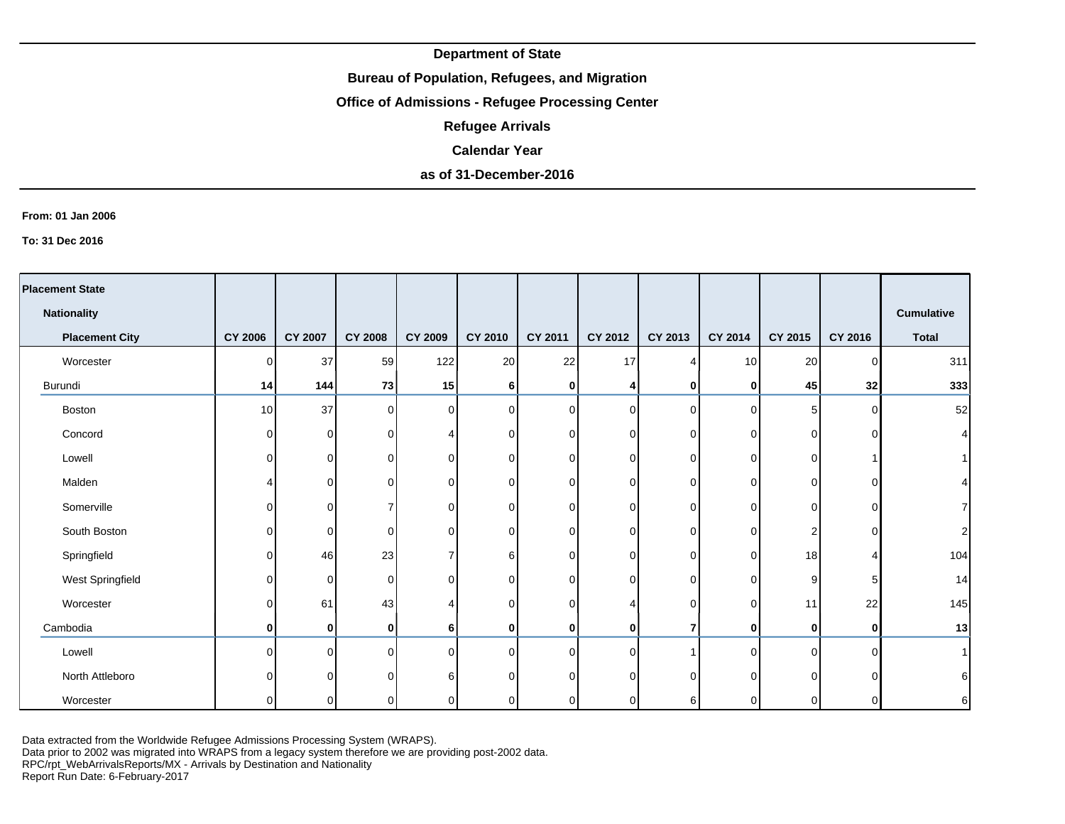### **Bureau of Population, Refugees, and Migration**

# **Office of Admissions - Refugee Processing Center**

**Refugee Arrivals**

#### **Calendar Year**

# **as of 31-December-2016**

#### **From: 01 Jan 2006**

**To: 31 Dec 2016**

| <b>Placement State</b> |                |                           |                |                |                |          |             |              |                 |                |                |                   |
|------------------------|----------------|---------------------------|----------------|----------------|----------------|----------|-------------|--------------|-----------------|----------------|----------------|-------------------|
| <b>Nationality</b>     |                |                           |                |                |                |          |             |              |                 |                |                | <b>Cumulative</b> |
| <b>Placement City</b>  | <b>CY 2006</b> | <b>CY 2007</b>            | <b>CY 2008</b> | <b>CY 2009</b> | <b>CY 2010</b> | CY 2011  | CY 2012     | CY 2013      | CY 2014         | CY 2015        | <b>CY 2016</b> | <b>Total</b>      |
| Worcester              | $\Omega$       | 37                        | 59             | 122            | 20             | 22       | 17          |              | 10 <sup>1</sup> | 20             | $\Omega$       | 311               |
| Burundi                | 14             | 144                       | 73             | 15             | 6              | 0        | 4           | $\mathbf{0}$ | 0               | 45             | 32             | 333               |
| Boston                 | 10             | 37                        | οI             | $\Omega$       | $\mathbf 0$    | $\Omega$ | $\mathbf 0$ | $\Omega$     | $\Omega$        | 5 <sub>5</sub> | $\Omega$       | 52                |
| Concord                | 0              | $\mathbf 0$               | $\overline{0}$ |                | 0              | $\Omega$ | 0           | $\Omega$     | $\overline{0}$  | $\overline{0}$ |                |                   |
| Lowell                 | U              | $\mathbf 0$               | $\overline{0}$ | 0              | 0              | $\Omega$ | 0           | $\Omega$     | $\Omega$        | 0              |                |                   |
| Malden                 |                | 0                         | $\overline{0}$ | <sup>0</sup>   | 0              | $\Omega$ | 0           | $\Omega$     | $\overline{0}$  | 0              | ∩              |                   |
| Somerville             | $\Omega$       | $\mathbf 0$               | $\overline{7}$ | <sup>0</sup>   | $\Omega$       | $\Omega$ | 0           | 0            | $\Omega$        | $\overline{0}$ | $\Omega$       |                   |
| South Boston           | 0              | $\mathbf 0$               | $\overline{0}$ | 0              | $\Omega$       | $\Omega$ | 0           | $\Omega$     | $\Omega$        | 2              | $\Omega$       | 2                 |
| Springfield            | $\Omega$       | 46                        | 23             |                | 6              | $\Omega$ | 0           | $\Omega$     | $\Omega$        | 18             |                | 104               |
| West Springfield       | $\Omega$       | $\mathbf 0$               | $\overline{0}$ | 0              | 0              | $\Omega$ | $\mathbf 0$ | $\Omega$     | $\Omega$        | 9              |                | 14                |
| Worcester              | $\Omega$       | 61                        | 43             |                | $\Omega$       | $\Omega$ | 4           | $\Omega$     | $\overline{0}$  | 11             | 22             | 145               |
| Cambodia               | 0              | $\mathbf{0}_{\mathsf{I}}$ | Οl             | 6 I            | 0              | 0        | 0           | 7            | $\mathbf{0}$    | $\mathbf{0}$   | 0              | 13                |
| Lowell                 | ∩              | $\mathbf 0$               | $\Omega$       | 0              | $\Omega$       | $\Omega$ | 0           |              | $\Omega$        | $\Omega$       | $\Omega$       |                   |
| North Attleboro        |                | $\mathbf 0$               | $\Omega$       | 6              | U              | ∩        | 0           | $\Omega$     | $\Omega$        | $\Omega$       |                | 6                 |
| Worcester              | $\Omega$       | $\overline{0}$            | $\overline{0}$ | U              | 0              | $\Omega$ | 0           | 61           | $\Omega$        | 0              | ∩              | $6 \mid$          |

Data extracted from the Worldwide Refugee Admissions Processing System (WRAPS).

Data prior to 2002 was migrated into WRAPS from a legacy system therefore we are providing post-2002 data.

RPC/rpt\_WebArrivalsReports/MX - Arrivals by Destination and Nationality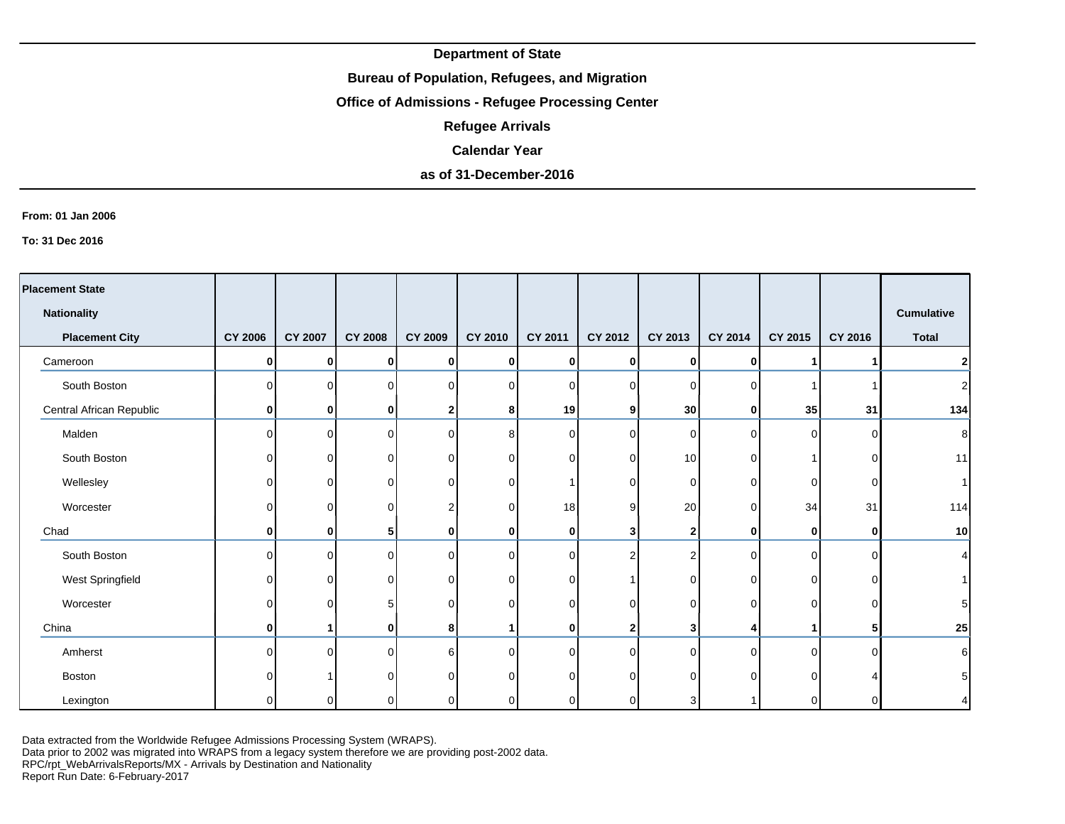## **Bureau of Population, Refugees, and Migration**

# **Office of Admissions - Refugee Processing Center**

**Refugee Arrivals**

#### **Calendar Year**

# **as of 31-December-2016**

#### **From: 01 Jan 2006**

**To: 31 Dec 2016**

| <b>Placement State</b>   |                |                |                |                |             |                 |                |              |              |                |              |                   |
|--------------------------|----------------|----------------|----------------|----------------|-------------|-----------------|----------------|--------------|--------------|----------------|--------------|-------------------|
| <b>Nationality</b>       |                |                |                |                |             |                 |                |              |              |                |              | <b>Cumulative</b> |
| <b>Placement City</b>    | <b>CY 2006</b> | <b>CY 2007</b> | <b>CY 2008</b> | <b>CY 2009</b> | CY 2010     | CY 2011         | CY 2012        | CY 2013      | CY 2014      | <b>CY 2015</b> | CY 2016      | <b>Total</b>      |
| Cameroon                 | 0              | 0              | 0              | 0              | 0           | 0               | 0              | 0            | $\mathbf{0}$ | 1              |              | $\mathbf{2}$      |
| South Boston             | U              | $\Omega$       | $\Omega$       | 0              | $\mathbf 0$ | $\Omega$        | $\overline{0}$ | 0            | $\Omega$     | 1              |              | $\mathbf{2}$      |
| Central African Republic | 0              | 0              | 0              | 2              | 8           | 19 <sup>1</sup> | 9 <sub>l</sub> | 30           | $\mathbf{0}$ | 35             | 31           | 134               |
| Malden                   | ŋ              | $\Omega$       | 0              | $\Omega$       | 8           | $\Omega$        | $\overline{0}$ | $\Omega$     | $\Omega$     | $\overline{0}$ | $\Omega$     | 8 <sup>1</sup>    |
| South Boston             | 0              | $\overline{0}$ |                | 0              | 0           | $\Omega$        | $\mathbf 0$    | 10           | $\Omega$     |                | ΩI           | 11                |
| Wellesley                | 0              | 0              | O              | $\Omega$       | 0           |                 | 0              | 0            | 0            | $\overline{0}$ | 0            | 1                 |
| Worcester                | 0              | $\overline{0}$ | O              |                | 0           | 18 <sup>l</sup> | 9              | 20           | 0            | 34             | 31           | 114               |
| Chad                     | 0              | Οl             | 5              | 0              | 0           | $\mathbf{0}$    | 3              | $\mathbf{2}$ | 0            | 0              | $\mathbf{0}$ | 10                |
| South Boston             | O              | $\overline{0}$ | 0              | $\Omega$       | $\mathbf 0$ | $\Omega$        | 2              | 2            | $\Omega$     | $\overline{0}$ | <sup>0</sup> | $\vert$           |
| West Springfield         | ŋ              | 0              | U              | $\Omega$       | 0           | $\Omega$        |                | $\Omega$     | $\Omega$     | 0              | ΩI           | 1                 |
| Worcester                | 0              | 0              | 5              | $\Omega$       | $\mathbf 0$ | $\Omega$        | $\mathbf 0$    | $\Omega$     | $\mathbf 0$  | $\overline{0}$ | ΩI           | 5 <sup>1</sup>    |
| China                    | 0              | 1              | 0              | 8              | 1           | $\mathbf{0}$    | 2              | 3            | 4            | 1              | 51           | 25                |
| Amherst                  | n              | $\Omega$       | U              | ี              | $\Omega$    | $\Omega$        | $\Omega$       | $\Omega$     | $\Omega$     | Οl             | ∩            | $6 \mid$          |
| Boston                   | n              |                |                | ∩              | $\Omega$    | $\Omega$        | $\Omega$       |              | $\Omega$     | 0              |              | 5 <sup>1</sup>    |
| Lexington                | n              | 0              |                |                | $\mathbf 0$ | ∩               | 0              |              |              | 0              |              | $\vert$           |

Data extracted from the Worldwide Refugee Admissions Processing System (WRAPS).

Data prior to 2002 was migrated into WRAPS from a legacy system therefore we are providing post-2002 data.

RPC/rpt\_WebArrivalsReports/MX - Arrivals by Destination and Nationality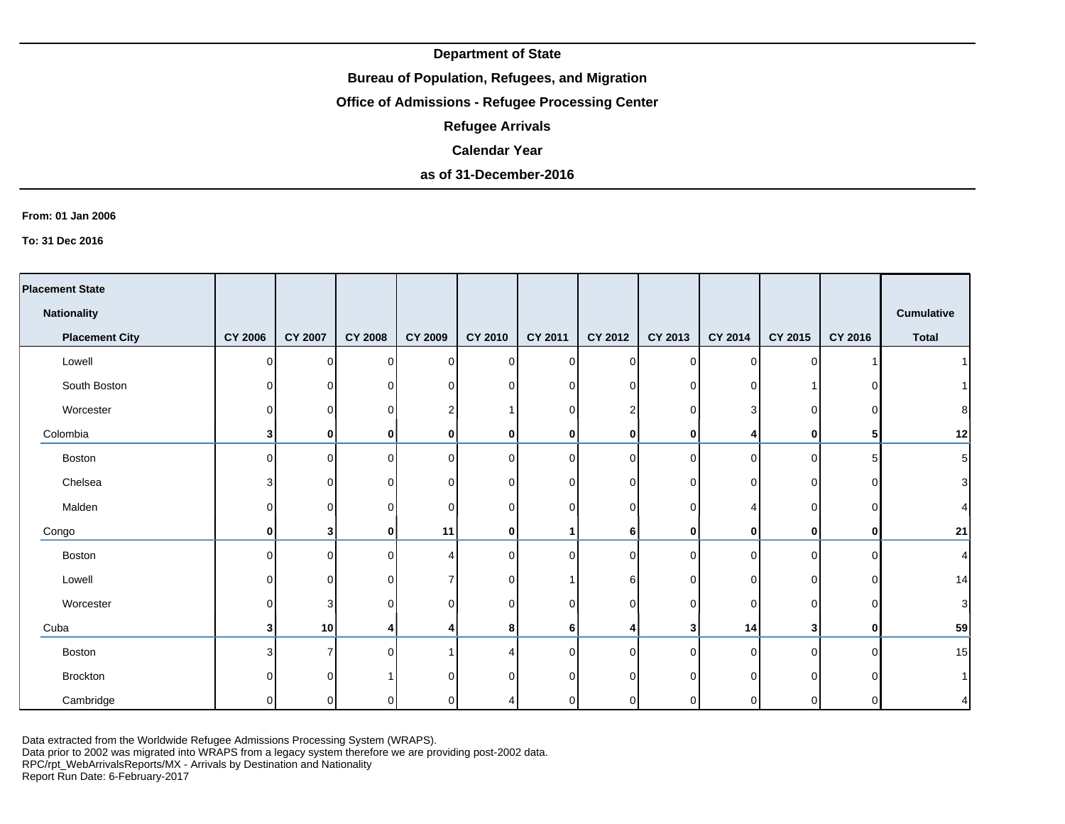### **Bureau of Population, Refugees, and Migration**

# **Office of Admissions - Refugee Processing Center**

**Refugee Arrivals**

#### **Calendar Year**

# **as of 31-December-2016**

#### **From: 01 Jan 2006**

**To: 31 Dec 2016**

| <b>Placement State</b> |                         |                |                |                |                |                |             |             |              |                |          |                           |
|------------------------|-------------------------|----------------|----------------|----------------|----------------|----------------|-------------|-------------|--------------|----------------|----------|---------------------------|
| <b>Nationality</b>     |                         |                |                |                |                |                |             |             |              |                |          | <b>Cumulative</b>         |
| <b>Placement City</b>  | <b>CY 2006</b>          | <b>CY 2007</b> | <b>CY 2008</b> | <b>CY 2009</b> | <b>CY 2010</b> | CY 2011        | CY 2012     | CY 2013     | CY 2014      | CY 2015        | CY 2016  | <b>Total</b>              |
| Lowell                 | $\Omega$                | $\Omega$       | $\Omega$       | $\Omega$       | $\overline{0}$ | $\Omega$       | 0           | $\Omega$    | $\Omega$     | 0              |          |                           |
| South Boston           | $\overline{0}$          | 0              | 0              | $\Omega$       | $\overline{0}$ | 0              | 0           | $\Omega$    | 0            |                |          |                           |
| Worcester              | $\Omega$                | 0              | 0              |                |                | n.             | 2           | $\Omega$    | 3            | 0              |          | 8                         |
| Colombia               | 3 <sup>1</sup>          | 0              | 0              | 0              | $\bf{0}$       | $\mathbf{0}$   | $\bf{0}$    | 0           |              | 0              |          | 12                        |
| Boston                 | $\Omega$                | $\Omega$       | $\Omega$       | $\Omega$       | $\overline{0}$ | ∩              | $\mathbf 0$ | $\Omega$    | $\Omega$     | 0              |          | $\mathbf 5$               |
| Chelsea                | 3                       | $\Omega$       | $\Omega$       | ∩              | $\overline{0}$ | 0              | $\mathbf 0$ | ∩           | 0            | 0              | ∩        | 3                         |
| Malden                 | $\Omega$                | $\Omega$       | $\Omega$       | ∩              | $\overline{0}$ | O.             | $\mathbf 0$ | ∩           |              | 0              |          | 4                         |
| Congo                  | $\mathbf{0}$            | 31             | 0              | 11             | $\bf{0}$       |                | 6           | $\mathbf 0$ | $\mathbf{0}$ | 0              | 0        | 21                        |
| Boston                 | $\Omega$                | $\Omega$       | $\Omega$       |                | $\overline{0}$ | $\Omega$       | $\Omega$    | $\Omega$    | $\Omega$     | 0              | $\Omega$ | 4                         |
| Lowell                 | $\overline{0}$          | $\Omega$       | 0              |                | $\overline{0}$ |                | 6           | $\Omega$    | 0            | 0              | $\Omega$ | 14                        |
| Worcester              | $\Omega$                | 3 <sub>1</sub> | $\Omega$       | 0              | $\overline{0}$ | U              | $\mathbf 0$ | $\Omega$    | $\Omega$     | 0              |          | $\ensuremath{\mathsf{3}}$ |
| Cuba                   | $\overline{\mathbf{3}}$ | 10             | 4              |                | 8              | 6 <sup>1</sup> | 4           | 3           | 14           | 3 <sup>1</sup> | $\Omega$ | 59                        |
| Boston                 | 3                       |                | 0              |                | 4              |                | $\Omega$    | 0           | 0            | 0              |          | 15                        |
| <b>Brockton</b>        | U                       |                |                |                | $\Omega$       |                | C           |             | $\Omega$     | U              |          |                           |
| Cambridge              | 0                       | 0              | 0              |                |                |                | 0           |             | 0            | 0              |          | 4                         |

Data extracted from the Worldwide Refugee Admissions Processing System (WRAPS).

Data prior to 2002 was migrated into WRAPS from a legacy system therefore we are providing post-2002 data.

RPC/rpt\_WebArrivalsReports/MX - Arrivals by Destination and Nationality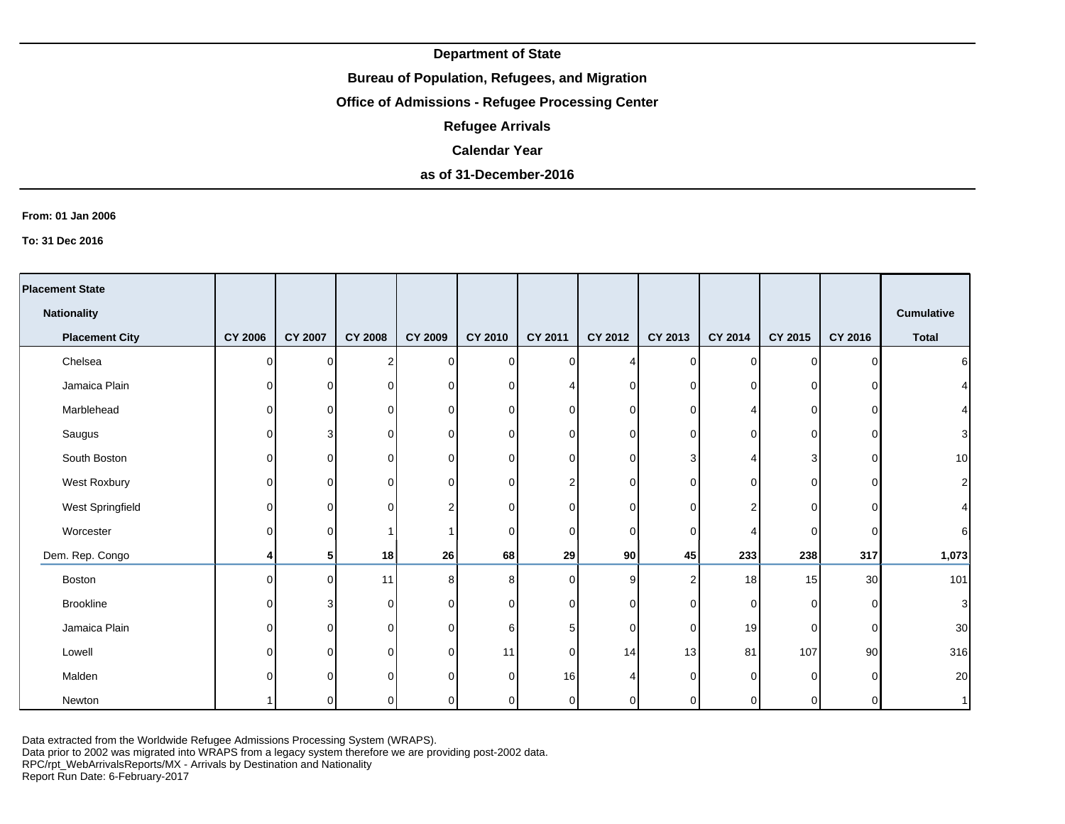## **Bureau of Population, Refugees, and Migration**

# **Office of Admissions - Refugee Processing Center**

**Refugee Arrivals**

#### **Calendar Year**

# **as of 31-December-2016**

#### **From: 01 Jan 2006**

**To: 31 Dec 2016**

| <b>Placement State</b> |                |                |                |                |                |                |             |          |             |                |          |                |
|------------------------|----------------|----------------|----------------|----------------|----------------|----------------|-------------|----------|-------------|----------------|----------|----------------|
|                        |                |                |                |                |                |                |             |          |             |                |          |                |
| <b>Nationality</b>     |                |                |                |                |                |                |             |          |             |                |          | Cumulative     |
| <b>Placement City</b>  | <b>CY 2006</b> | <b>CY 2007</b> | <b>CY 2008</b> | <b>CY 2009</b> | <b>CY 2010</b> | <b>CY 2011</b> | CY 2012     | CY 2013  | CY 2014     | CY 2015        | CY 2016  | <b>Total</b>   |
| Chelsea                | $\Omega$       | $\Omega$       | 2              | 0              | $\overline{0}$ | $\Omega$       |             | $\Omega$ | $\mathbf 0$ | $\overline{0}$ | ∩        | $6 \mid$       |
| Jamaica Plain          | 0              | $\Omega$       | $\mathbf 0$    | 0              | $\Omega$       |                | 0           | 0        | $\Omega$    | 01             |          | $\vert$        |
| Marblehead             | 0              | 0              | $\mathbf 0$    | 0              | $\overline{0}$ | O.             | 0           | 0        |             | 0              |          |                |
| Saugus                 | $\Omega$       |                | 0              | 0              | $\overline{0}$ | O.             | 0           | 0        | $\Omega$    | 0              | n        | $\overline{3}$ |
| South Boston           | 0              | $\Omega$       | $\mathbf 0$    | $\Omega$       | $\overline{0}$ | U              | 0           | 3        |             | 3              | ∩        | 10             |
| West Roxbury           | $\Omega$       | $\Omega$       | 0              | $\Omega$       | $\overline{0}$ |                | 0           | ∩        | $\Omega$    | 0              | ∩        | $\mathbf{2}$   |
| West Springfield       | $\Omega$       | 0              | $\mathbf 0$    | 2              | $\overline{0}$ | 0              | $\mathbf 0$ | ∩        | 2           | $\overline{0}$ | C        | $\vert$        |
| Worcester              | $\Omega$       | 0              |                |                | $\Omega$       | 0              | 0           | ∩        |             | $\overline{0}$ | ∩        | 6 <sup>1</sup> |
| Dem. Rep. Congo        | 4              | 5              | 18             | 26             | 68             | 29             | 90          | 45       | 233         | 238            | 317      | 1,073          |
| Boston                 | $\Omega$       | $\Omega$       | 11             | 8              | 8              | $\Omega$       | 9           | 2        | 18          | 15             | 30       | 101            |
| <b>Brookline</b>       | 0              | 3              | 0              | $\overline{0}$ | $\overline{0}$ | U              | 0           | $\Omega$ | $\mathbf 0$ | $\overline{0}$ | $\Omega$ | $\mathbf{3}$   |
| Jamaica Plain          | $\Omega$       | 0              | $\mathbf 0$    | $\Omega$       | $6 \,$         | 5.             | $\mathbf 0$ | $\Omega$ | 19          | $\overline{0}$ | $\Omega$ | 30             |
| Lowell                 | $\Omega$       | $\Omega$       | $\Omega$       | $\Omega$       | 11             | $\Omega$       | 14          | 13       | 81          | 107            | 90       | 316            |
| Malden                 | ∩              | ∩              | $\Omega$       | $\Omega$       | $\Omega$       | 16             |             | ∩        | $\Omega$    | 0              |          | 20             |
| Newton                 |                | $\Omega$       | 0              | $\Omega$       | $\Omega$       | $\Omega$       | 0           |          | $\Omega$    | 0              | ∩        | 1              |

Data extracted from the Worldwide Refugee Admissions Processing System (WRAPS).

Data prior to 2002 was migrated into WRAPS from a legacy system therefore we are providing post-2002 data.

RPC/rpt\_WebArrivalsReports/MX - Arrivals by Destination and Nationality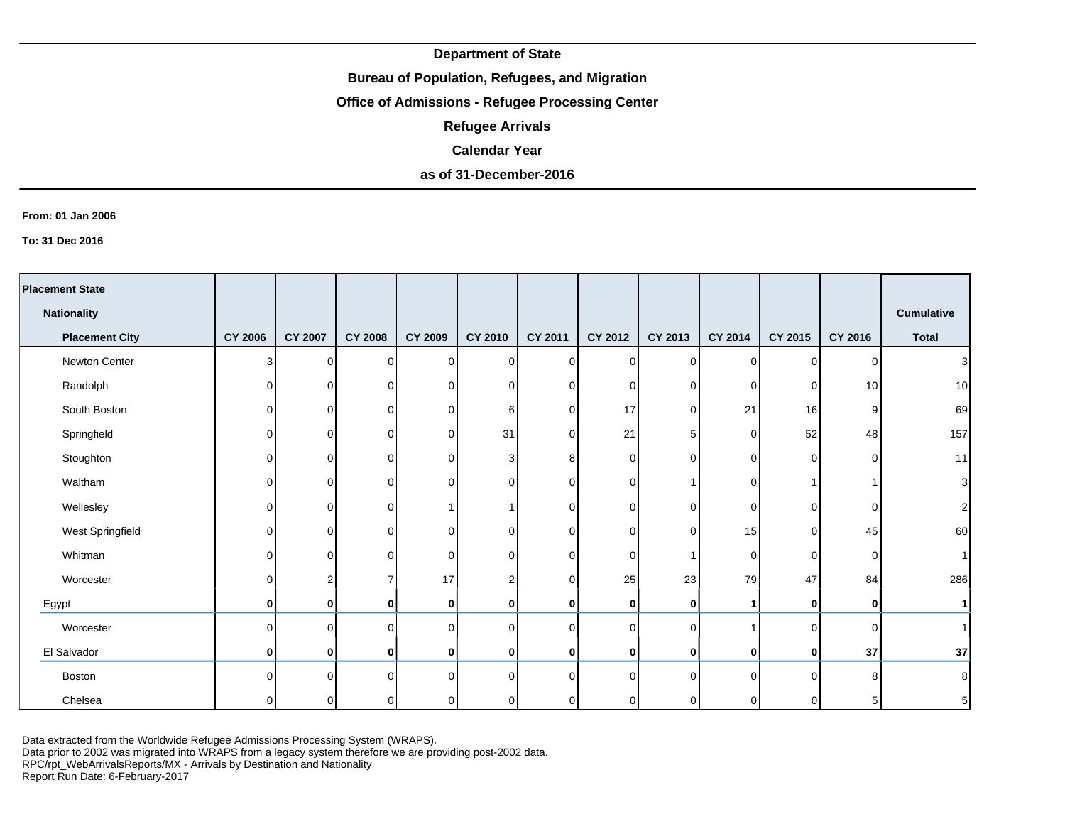## **Bureau of Population, Refugees, and Migration**

# **Office of Admissions - Refugee Processing Center**

**Refugee Arrivals**

#### **Calendar Year**

# **as of 31-December-2016**

#### **From: 01 Jan 2006**

**To: 31 Dec 2016**

| <b>Placement State</b> |                |                |                |          |                |          |                |                |                |                |                 |                   |
|------------------------|----------------|----------------|----------------|----------|----------------|----------|----------------|----------------|----------------|----------------|-----------------|-------------------|
| <b>Nationality</b>     |                |                |                |          |                |          |                |                |                |                |                 | <b>Cumulative</b> |
| <b>Placement City</b>  | <b>CY 2006</b> | <b>CY 2007</b> | <b>CY 2008</b> | CY 2009  | CY 2010        | CY 2011  | CY 2012        | CY 2013        | CY 2014        | CY 2015        | CY 2016         | <b>Total</b>      |
| Newton Center          | $\overline{3}$ | $\overline{0}$ | $\Omega$       | $\Omega$ | 0              | 0        | $\overline{0}$ | $\Omega$       | $\overline{0}$ | $\Omega$       | $\Omega$        | $\vert$ 3         |
| Randolph               | $\overline{0}$ | $\Omega$       | 0              | 0        | 0              | 0        | $\overline{0}$ | ΩI             | 0              | $\overline{0}$ | 10 <sup>1</sup> | 10                |
| South Boston           | $\overline{0}$ | $\overline{0}$ | 0              | $\Omega$ | 6              | $\Omega$ | 17             | $\Omega$       | 21             | 16             | 9               | 69                |
| Springfield            | $\overline{0}$ | $\Omega$       | 0              | $\Omega$ | 31             | $\Omega$ | 21             | 5 <sup>1</sup> | 0              | 52             | 48              | 157               |
| Stoughton              | $\overline{0}$ | $\overline{0}$ | O              | 0        | 3              | 8        | $\mathbf 0$    | ∩              | $\Omega$       | $\overline{0}$ | ∩               | 11                |
| Waltham                | $\overline{0}$ | $\Omega$       | O              | $\Omega$ | 0              | $\Omega$ | $\mathbf 0$    |                | 0              |                |                 | $\mathbf{3}$      |
| Wellesley              | $\overline{0}$ | $\overline{0}$ | 0              |          | 1              | 0        | $\overline{0}$ | ∩              | 0              | 0              | $\Omega$        | 2                 |
| West Springfield       | $\Omega$       | $\Omega$       | O              | 0        | $\mathbf 0$    | 0        | $\overline{0}$ | ∩              | 15             | $\overline{0}$ | 45              | 60                |
| Whitman                | $\overline{0}$ | $\Omega$       | O              | 0        | 0              | $\Omega$ | 0              |                | 0              | $\overline{0}$ | $\Omega$        |                   |
| Worcester              | $\Omega$       | $\overline{2}$ |                | 17       | $\overline{c}$ | $\Omega$ | 25             | 23             | 79             | 47             | 84              | 286               |
| Egypt                  | $\mathbf{0}$   | $\mathbf{0}$   | 0              | 0        | 0              | $\bf{0}$ | 0              | $\mathbf{0}$   | 1              | $\mathbf{0}$   | 0               | 1                 |
| Worcester              | $\Omega$       | $\Omega$       | $\Omega$       | 0        | $\mathbf 0$    | $\Omega$ | $\circ$        | $\cap$         |                | $\Omega$       | $\Omega$        |                   |
| El Salvador            | $\mathbf{0}$   | $\mathbf{0}$   | 0              | 0        | 0              | 0        | 0              | $\mathbf{0}$   | 0              | $\mathbf{0}$   | 37              | 37                |
| <b>Boston</b>          | $\Omega$       | $\Omega$       | U              | ∩        | $\mathbf 0$    | $\Omega$ | $\overline{0}$ | $\Omega$       | $\Omega$       | $\Omega$       | 8               | 8 <sup>1</sup>    |
| Chelsea                | $\Omega$       | $\Omega$       | 0              |          | 0              | $\Omega$ | $\overline{0}$ |                | $\Omega$       | 0              | 5               | 5                 |

Data extracted from the Worldwide Refugee Admissions Processing System (WRAPS).

Data prior to 2002 was migrated into WRAPS from a legacy system therefore we are providing post-2002 data.

RPC/rpt\_WebArrivalsReports/MX - Arrivals by Destination and Nationality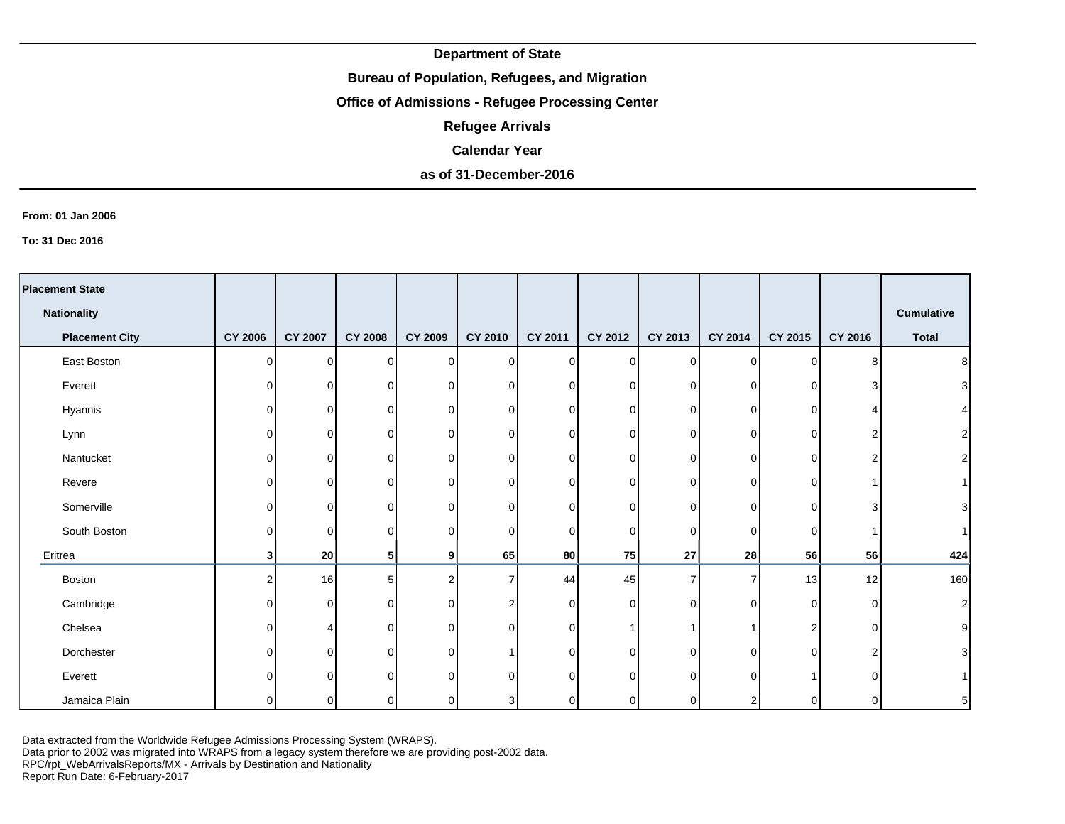### **Bureau of Population, Refugees, and Migration**

# **Office of Admissions - Refugee Processing Center**

**Refugee Arrivals**

#### **Calendar Year**

# **as of 31-December-2016**

#### **From: 01 Jan 2006**

**To: 31 Dec 2016**

| <b>Placement State</b> |                |                |                |                |                |                |                |                |             |             |          |                |
|------------------------|----------------|----------------|----------------|----------------|----------------|----------------|----------------|----------------|-------------|-------------|----------|----------------|
| <b>Nationality</b>     |                |                |                |                |                |                |                |                |             |             |          | Cumulative     |
| <b>Placement City</b>  | <b>CY 2006</b> | <b>CY 2007</b> | <b>CY 2008</b> | <b>CY 2009</b> | <b>CY 2010</b> | <b>CY 2011</b> | CY 2012        | CY 2013        | CY 2014     | CY 2015     | CY 2016  | <b>Total</b>   |
| East Boston            | 0              | $\Omega$       | 0              | $\overline{0}$ | $\overline{0}$ | $\Omega$       | $\overline{0}$ | $\overline{0}$ | $\mathbf 0$ | 0           | я        | 8 <sup>1</sup> |
| Everett                | 0              | $\Omega$       | $\mathbf 0$    | 0              | $\overline{0}$ | <sup>n</sup>   | 0              | 0              | 0           | 0           |          | $\overline{3}$ |
| Hyannis                | 0              | 0              | 0              | 0              | $\overline{0}$ | $\Omega$       | 0              | $\Omega$       | 0           | 0           |          | $\vert$        |
| Lynn                   | 0              | 0              | 0              | 0              | $\overline{0}$ | ΩI             | 0              | 0              | 0           | 0           |          | $\mathbf{2}$   |
| Nantucket              | 0              | 0              | $\Omega$       | $\Omega$       | $\overline{0}$ | $\Omega$       | 0              | O              | $\Omega$    | 0           |          | 2              |
| Revere                 | 0              | 0              | $\mathbf 0$    | 0              | $\overline{0}$ | ΩI             | 0              | 0              | $\Omega$    | 0           |          |                |
| Somerville             | O              | 0              | 0              | 0              | $\overline{0}$ | U              | 0              | 0              | 0           | 0           |          | 3              |
| South Boston           | O              | 0              | 0              | 0              | $\overline{0}$ | $\Omega$       | 0              | 0              | 0           | 0           |          | $\vert$        |
| Eritrea                | 3              | 20             | 5              | 9              | 65             | 80             | 75             | ${\bf 27}$     | 28          | 56          | 56       | 424            |
| Boston                 | 2              | 16             | 5              | $\mathcal{P}$  | $\overline{7}$ | 44             | 45             | 7              | 7           | 13          | 12       | 160            |
| Cambridge              | 0              | 0              | $\mathbf 0$    | 0              | $\overline{c}$ | $\Omega$       | $\mathbf 0$    | $\Omega$       | 0           | $\mathbf 0$ | O        | $\mathbf{2}$   |
| Chelsea                | U              | Δ              | $\Omega$       | $\Omega$       | $\overline{0}$ | $\cap$         |                |                |             | 2           | $\Omega$ | $\mathsf g$    |
| Dorchester             |                | $\Omega$       | $\Omega$       | 0              | $\mathbf{1}$   | U              | $\Omega$       | O              | $\Omega$    | $\Omega$    |          | $\overline{3}$ |
| Everett                |                | $\Omega$       | $\Omega$       | $\Omega$       | $\Omega$       | ∩              | $\Omega$       |                | $\Omega$    |             |          |                |
| Jamaica Plain          |                | ∩              | $\Omega$       |                | 3              |                | 0              |                |             | ŋ           |          | 5 <sub>5</sub> |

Data extracted from the Worldwide Refugee Admissions Processing System (WRAPS).

Data prior to 2002 was migrated into WRAPS from a legacy system therefore we are providing post-2002 data.

RPC/rpt\_WebArrivalsReports/MX - Arrivals by Destination and Nationality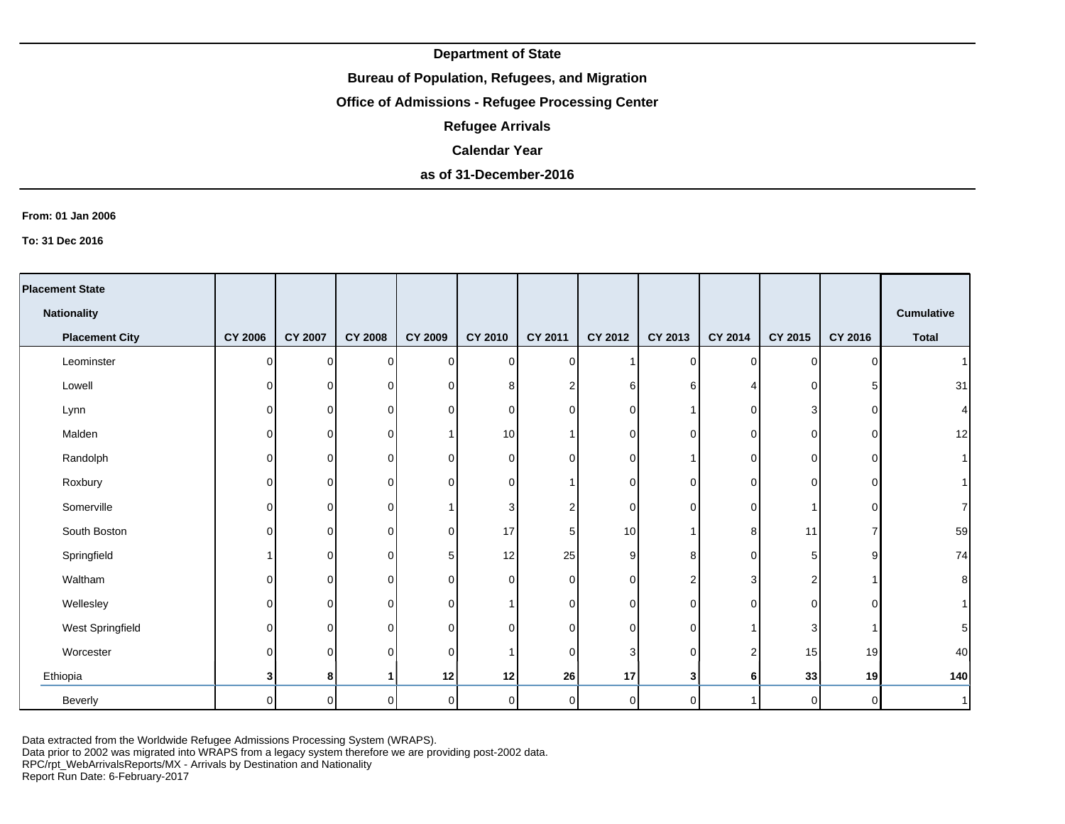## **Bureau of Population, Refugees, and Migration**

# **Office of Admissions - Refugee Processing Center**

**Refugee Arrivals**

#### **Calendar Year**

# **as of 31-December-2016**

#### **From: 01 Jan 2006**

**To: 31 Dec 2016**

| <b>Placement State</b> |                |                |                |                |                |                |                |                |                |                |          |                 |
|------------------------|----------------|----------------|----------------|----------------|----------------|----------------|----------------|----------------|----------------|----------------|----------|-----------------|
| <b>Nationality</b>     |                |                |                |                |                |                |                |                |                |                |          | Cumulative      |
| <b>Placement City</b>  | <b>CY 2006</b> | <b>CY 2007</b> | <b>CY 2008</b> | <b>CY 2009</b> | CY 2010        | <b>CY 2011</b> | <b>CY 2012</b> | CY 2013        | CY 2014        | CY 2015        | CY 2016  | <b>Total</b>    |
| Leominster             | 0              | $\Omega$       | 0              | $\Omega$       | $\overline{0}$ | $\Omega$       |                | $\Omega$       | 0              | 0              | ∩        | $\vert$         |
| Lowell                 | 0              | $\Omega$       | $\mathbf 0$    | 0              | 8              |                | 6              | 6              |                | $\mathbf 0$    | h        | 31              |
| Lynn                   | 0              | 0              | 0              | $\Omega$       | $\overline{0}$ | U              | 0              |                | 0              | 3              | ∩        | $\vert 4 \vert$ |
| Malden                 | 0              | 0              | 0              |                | 10             |                | 0              | 0              | 0              | 0              | ∩        | 12              |
| Randolph               | 0              | 0              | 0              | $\Omega$       | $\overline{0}$ | n.             | 0              |                | 0              | 0              | O        | 1               |
| Roxbury                | 0              | $\Omega$       | $\Omega$       | 0              | $\overline{0}$ |                | 0              | 0              | 0              | 0              | U        |                 |
| Somerville             | 0              | 0              | 0              |                | 3              |                | $\mathbf 0$    | 0              | 0              |                | O        | $\mathbf{7}$    |
| South Boston           | 0              | 0              | $\mathbf 0$    | 0              | 17             | 5              | 10             |                | 8              | 11             |          | 59              |
| Springfield            |                | 0              | 0              | 5              | 12             | 25             | 9              | 8              | 0              | 5              | o        | 74              |
| Waltham                | 0              | 0              | $\mathbf 0$    | $\Omega$       | $\overline{0}$ | $\Omega$       | 0              | 2              | 3              | 2              |          | $\bf{8}$        |
| Wellesley              | U              | 0              | 0              | $\Omega$       | $\mathbf{1}$   | $\Omega$       | 0              | 0              | $\Omega$       | 0              | $\Omega$ | 1               |
| West Springfield       | 0              | 0              | $\mathbf 0$    | 0              | $\overline{0}$ | $\cap$         | 0              | 0              |                | 3              |          | $\sqrt{5}$      |
| Worcester              | U              | 0              | 0              | 0              | $\mathbf{1}$   | $\Omega$       | 3              | $\Omega$       | $\overline{2}$ | 15             | 19       | 40              |
| Ethiopia               | 3              | 8              | 1              | 12             | 12             | 26             | 17             | 3              | 6              | 33             | 19       | 140             |
| Beverly                | $\Omega$       | $\overline{0}$ | $\mathbf 0$    | οI             | $\overline{0}$ | $\Omega$       | 0              | $\overline{0}$ |                | $\overline{0}$ | $\Omega$ | 1               |

Data extracted from the Worldwide Refugee Admissions Processing System (WRAPS).

Data prior to 2002 was migrated into WRAPS from a legacy system therefore we are providing post-2002 data.

RPC/rpt\_WebArrivalsReports/MX - Arrivals by Destination and Nationality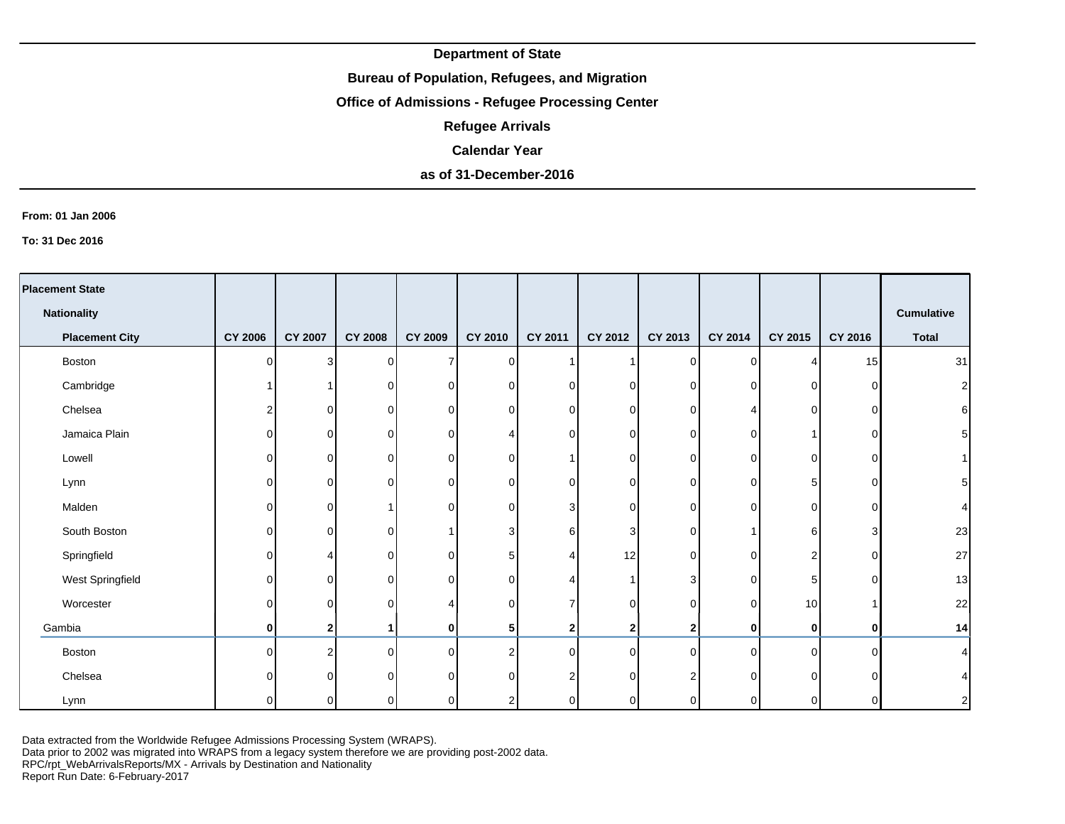## **Bureau of Population, Refugees, and Migration**

# **Office of Admissions - Refugee Processing Center**

**Refugee Arrivals**

#### **Calendar Year**

# **as of 31-December-2016**

#### **From: 01 Jan 2006**

**To: 31 Dec 2016**

| <b>Placement State</b> |                |                |                |          |                  |                |                  |                |             |          |          |                 |
|------------------------|----------------|----------------|----------------|----------|------------------|----------------|------------------|----------------|-------------|----------|----------|-----------------|
| <b>Nationality</b>     |                |                |                |          |                  |                |                  |                |             |          |          | Cumulative      |
| <b>Placement City</b>  | <b>CY 2006</b> | <b>CY 2007</b> | <b>CY 2008</b> | CY 2009  | CY 2010          | <b>CY 2011</b> | CY 2012          | CY 2013        | CY 2014     | CY 2015  | CY 2016  | <b>Total</b>    |
| Boston                 | $\Omega$       | 3              | $\Omega$       |          | $\overline{0}$   |                |                  | $\Omega$       | 0           | Δ        | 15       | 31              |
| Cambridge              |                |                | 0              | $\Omega$ | $\overline{0}$   | $\Omega$       | $\overline{0}$   | 0              | 0           | 0        | C        | $\mathbf{2}$    |
| Chelsea                | 2              | 01             | 0              | $\Omega$ | $\overline{0}$   | $\Omega$       | $\overline{0}$   | 0              | 4           | 0        | C        | $\sqrt{6}$      |
| Jamaica Plain          | ΩI             | ΟI             | $\Omega$       | ∩        | 4                | $\Omega$       | $\overline{0}$   | 0              | 0           |          | C        | $5\overline{)}$ |
| Lowell                 | 0              | $\Omega$       | 0              | $\Omega$ | 0                |                | $\overline{0}$   | 0              | $\Omega$    | 0        | C        | 1 <sup>1</sup>  |
| Lynn                   | 0              | $\Omega$       | $\Omega$       | ∩        | 0                | $\Omega$       | $\mathbf 0$      | O              | $\mathbf 0$ | 5        | C        | $5\overline{)}$ |
| Malden                 | $\Omega$       | $\Omega$       |                | ∩        | 0                | 3              | $\overline{0}$   | 0              | $\Omega$    | 0        | C        | 4               |
| South Boston           | $\Omega$       | $\Omega$       | $\Omega$       |          | 3                | 6              | 3                | 0              |             | 6        | 3        | 23              |
| Springfield            | $\Omega$       |                | $\Omega$       | $\Omega$ | 5                |                | 12               | $\Omega$       | $\Omega$    | 2        | $\Omega$ | 27              |
| West Springfield       | 0              | $\Omega$       | 0              | $\Omega$ | $\mathbf 0$      |                | -1               | 3              | $\Omega$    | 5        | O        | 13              |
| Worcester              | $\Omega$       | $\Omega$       | $\Omega$       |          | 0                |                | $\overline{0}$   | $\Omega$       | $\Omega$    | 10       |          | 22              |
| Gambia                 | 0              | 2              |                | 0        | 5                | 2              | $\boldsymbol{2}$ | 2 <sub>1</sub> | 0           | 0        |          | 14              |
| Boston                 | $\Omega$       | C              | $\Omega$       | $\Omega$ | $\boldsymbol{2}$ | $\Omega$       | $\Omega$         | $\Omega$       | $\Omega$    | $\Omega$ | ∩        | 4               |
| Chelsea                | U              | O.             | $\Omega$       |          | 0                | 2              | $\Omega$         |                | $\Omega$    | $\Omega$ |          | $\vert 4 \vert$ |
| Lynn                   | 0              | $\Omega$       | 0              | ∩        | 2                | $\Omega$       | $\overline{0}$   |                | $\Omega$    | 0        | ∩        | $\mathbf{2}$    |

Data extracted from the Worldwide Refugee Admissions Processing System (WRAPS).

Data prior to 2002 was migrated into WRAPS from a legacy system therefore we are providing post-2002 data.

RPC/rpt\_WebArrivalsReports/MX - Arrivals by Destination and Nationality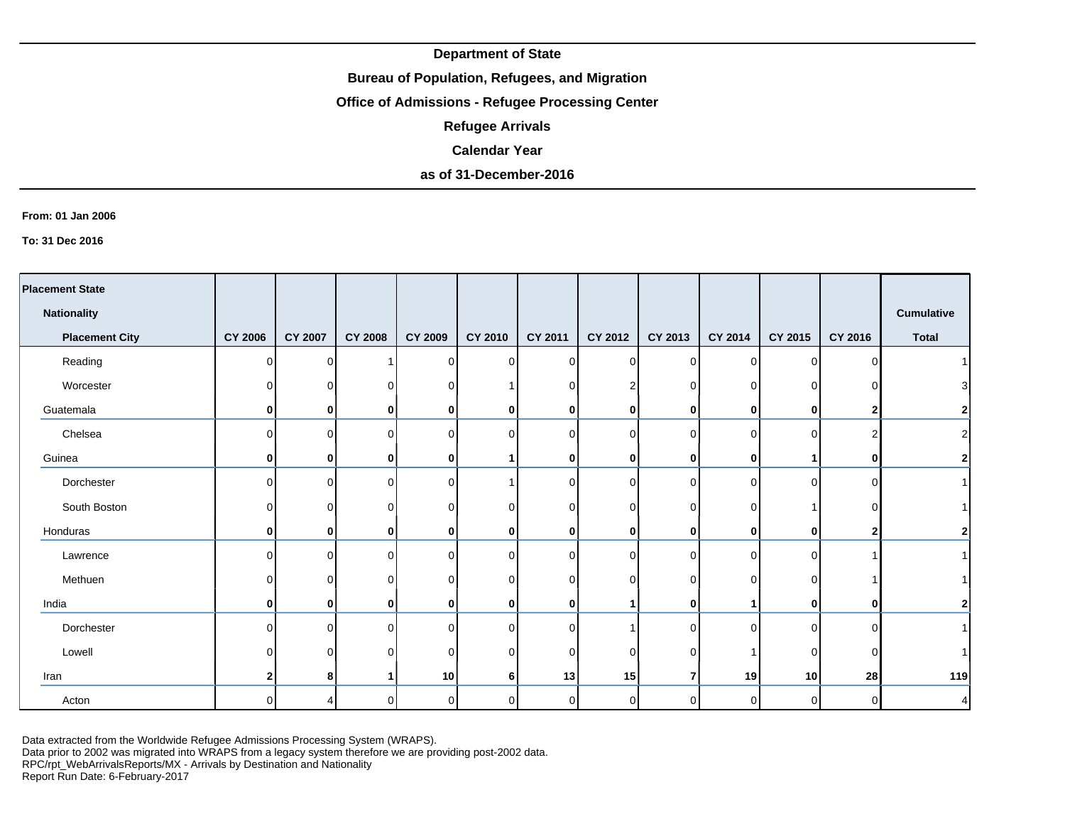## **Bureau of Population, Refugees, and Migration**

# **Office of Admissions - Refugee Processing Center**

**Refugee Arrivals**

#### **Calendar Year**

## **as of 31-December-2016**

#### **From: 01 Jan 2006**

**To: 31 Dec 2016**

| <b>Placement State</b> |                |                |                |                |                |                 |             |              |          |                |              |                  |
|------------------------|----------------|----------------|----------------|----------------|----------------|-----------------|-------------|--------------|----------|----------------|--------------|------------------|
| <b>Nationality</b>     |                |                |                |                |                |                 |             |              |          |                |              | Cumulative       |
| <b>Placement City</b>  | <b>CY 2006</b> | <b>CY 2007</b> | <b>CY 2008</b> | <b>CY 2009</b> | CY 2010        | <b>CY 2011</b>  | CY 2012     | CY 2013      | CY 2014  | CY 2015        | CY 2016      | <b>Total</b>     |
| Reading                | $\Omega$       | $\Omega$       |                | $\Omega$       | $\overline{0}$ | $\cap$          | $\Omega$    | $\Omega$     | $\Omega$ | $\Omega$       | U            |                  |
| Worcester              | 0              | 0              |                |                |                |                 | 2           |              | 0        | O              |              | 3                |
| Guatemala              | 0              | $\mathbf{0}$   | 0              | 0              | 0              | 0               | 0           | 0            | 0        | $\mathbf{0}$   |              | $\mathbf 2$      |
| Chelsea                | 0              | $\Omega$       | ∩              | ∩              | $\overline{0}$ | <sup>n</sup>    | 0           | $\Omega$     | $\Omega$ | $\Omega$       |              | $\boldsymbol{2}$ |
| Guinea                 | 0              | $\mathbf{0}$   | 0              | 0              | $\mathbf{1}$   | 0               | $\bf{0}$    | $\mathbf{0}$ | 0        |                | $\mathbf{0}$ | $\bf{2}$         |
| Dorchester             | 0              | $\Omega$       | U              | ∩              | 1              | ΩI              | $\Omega$    | $\Omega$     | 0        | $\Omega$       | U            |                  |
| South Boston           | 0              | 0              |                |                | 0              |                 | 0           | O            | 0        |                |              |                  |
| Honduras               | $\mathbf{0}$   | $\mathbf{0}$   | 0              | 0              | $\mathbf 0$    | 0               | 0           | $\mathbf{0}$ | 0        | $\mathbf{0}$   |              | $\mathbf{2}$     |
| Lawrence               | 0              | $\Omega$       | n              |                | $\mathbf 0$    | <sup>n</sup>    | $\Omega$    | U            | 0        | $\Omega$       |              |                  |
| Methuen                | 0              | $\Omega$       |                | $\Omega$       | 0              | ∩               | $\Omega$    | U            | 0        | 0              |              |                  |
| India                  | 0              | $\mathbf{0}$   | 0              | $\bf{0}$       | 0              | 0               | 1           | 0            |          | $\mathbf{0}$   | $\mathbf{0}$ | $\mathbf{2}$     |
| Dorchester             | 0              | $\Omega$       | U              | $\Omega$       | $\overline{0}$ | $\Omega$        |             | $\Omega$     | $\Omega$ | $\Omega$       | ∩            |                  |
| Lowell                 | 0              | $\Omega$       |                | $\Omega$       | 0              | ΩI              | 0           |              |          | $\Omega$       |              |                  |
| Iran                   | 2              | 8              |                | 10             | 6              | 13 <sup>1</sup> | 15          | 7            | 19       | 10             | 28           | 119              |
| Acton                  | $\Omega$       | Δ              | 0              | $\Omega$       | $\overline{0}$ | $\Omega$        | $\mathbf 0$ | $\Omega$     | $\Omega$ | $\overline{0}$ | $\Omega$     | 4                |

Data extracted from the Worldwide Refugee Admissions Processing System (WRAPS).

Data prior to 2002 was migrated into WRAPS from a legacy system therefore we are providing post-2002 data.

RPC/rpt\_WebArrivalsReports/MX - Arrivals by Destination and Nationality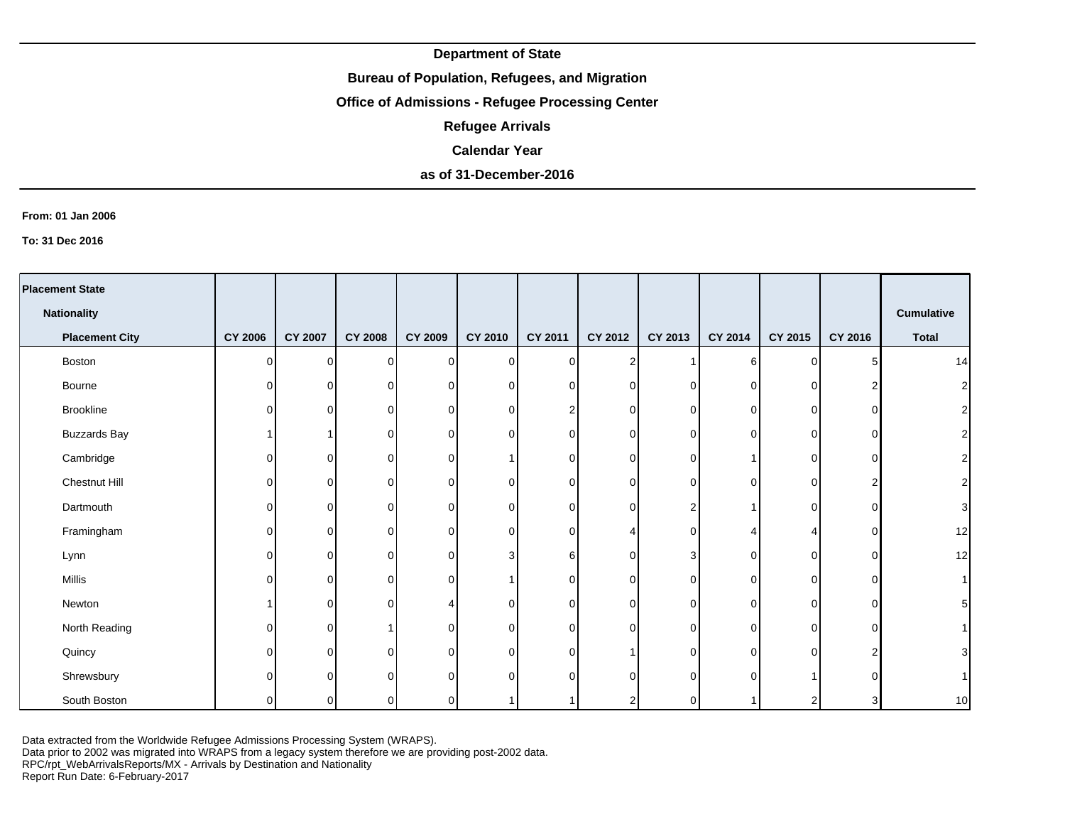## **Bureau of Population, Refugees, and Migration**

# **Office of Admissions - Refugee Processing Center**

**Refugee Arrivals**

#### **Calendar Year**

# **as of 31-December-2016**

#### **From: 01 Jan 2006**

**To: 31 Dec 2016**

| <b>Placement State</b> |                |          |                |                |                |                |                |          |             |          |          |                   |
|------------------------|----------------|----------|----------------|----------------|----------------|----------------|----------------|----------|-------------|----------|----------|-------------------|
| <b>Nationality</b>     |                |          |                |                |                |                |                |          |             |          |          | <b>Cumulative</b> |
| <b>Placement City</b>  | <b>CY 2006</b> | CY 2007  | <b>CY 2008</b> | <b>CY 2009</b> | CY 2010        | <b>CY 2011</b> | CY 2012        | CY 2013  | CY 2014     | CY 2015  | CY 2016  | <b>Total</b>      |
| Boston                 | O              | $\Omega$ | $\Omega$       | $\Omega$       | $\overline{0}$ | $\cap$         | $\overline{2}$ |          | 6           | 0        |          | 14                |
| Bourne                 | 0              | $\Omega$ | 0              | 0              | $\overline{0}$ |                | 0              | 0        | 0           | $\Omega$ |          | $\mathbf{2}$      |
| Brookline              | 0              | $\Omega$ | 0              | 0              | $\overline{0}$ |                | 0              | 0        | 0           | 0        | ∩        | $\mathbf{2}$      |
| <b>Buzzards Bay</b>    |                |          | 0              | $\Omega$       | 0              | ∩              | 0              | 0        | $\mathbf 0$ | 0        | ი        | $\mathbf{2}$      |
| Cambridge              | 0              | $\Omega$ | $\Omega$       | 0              | 1              | ∩              | 0              |          |             | 0        | ∩        | $\mathbf{2}$      |
| Chestnut Hill          | O              | $\Omega$ | 0              | 0              | 0              | U              | $\mathbf 0$    | ∩        | $\Omega$    | 0        | 2        | $\mathbf{2}$      |
| Dartmouth              | 0              | 0        | 0              | 0              | $\overline{0}$ | ∩              | 0              |          |             | 0        | O        | $\mathbf{3}$      |
| Framingham             | 0              | $\Omega$ | $\Omega$       | $\Omega$       | $\overline{0}$ | ∩              |                | 0        |             |          | O        | 12                |
| Lynn                   | 0              | $\Omega$ | $\Omega$       | 0              | 3              | 61             | $\mathbf 0$    | 3        | $\Omega$    | 0        | O        | 12                |
| Millis                 | O              | 0        | 0              | $\Omega$       | $\mathbf{1}$   | ∩              | 0              | ∩        | $\Omega$    | 0        | O        | 1                 |
| Newton                 |                | $\Omega$ | $\Omega$       |                | 0              | ΩI             | 0              | $\Omega$ | $\Omega$    | $\Omega$ | $\Omega$ | $\overline{5}$    |
| North Reading          | 0              | $\Omega$ |                | $\Omega$       | $\mathbf 0$    | $\cap$         | $\mathbf 0$    | 0        | $\Omega$    | $\Omega$ | $\Omega$ | 1                 |
| Quincy                 | U              | $\Omega$ | $\Omega$       | $\Omega$       | 0              | <sup>n</sup>   |                | 0        | 0           | $\Omega$ |          | $\mathbf{3}$      |
| Shrewsbury             |                | $\Omega$ | $\Omega$       | $\Omega$       | $\mathbf 0$    |                | $\Omega$       |          | $\Omega$    |          |          | 1 <sup>1</sup>    |
| South Boston           | O              | $\Omega$ | $\Omega$       | $\Omega$       | 1              |                | $\overline{2}$ |          |             | 2        | 3        | 10                |

Data extracted from the Worldwide Refugee Admissions Processing System (WRAPS).

Data prior to 2002 was migrated into WRAPS from a legacy system therefore we are providing post-2002 data.

RPC/rpt\_WebArrivalsReports/MX - Arrivals by Destination and Nationality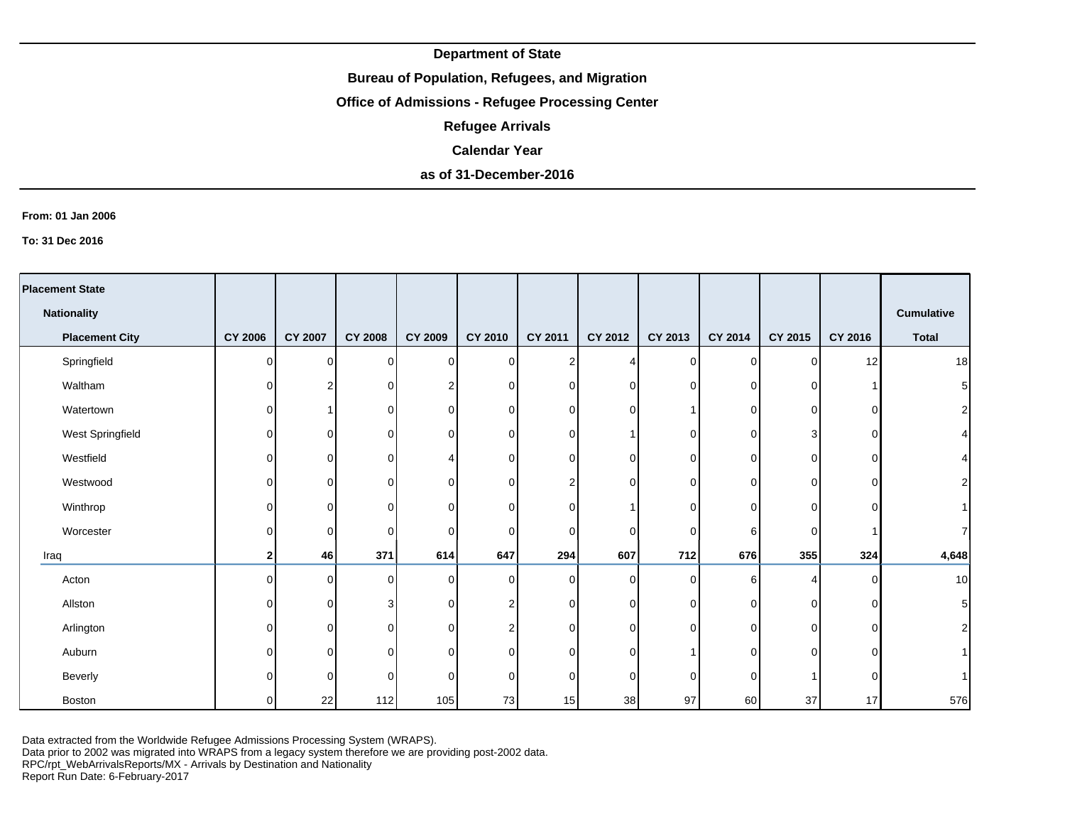### **Bureau of Population, Refugees, and Migration**

# **Office of Admissions - Refugee Processing Center**

**Refugee Arrivals**

#### **Calendar Year**

# **as of 31-December-2016**

#### **From: 01 Jan 2006**

**To: 31 Dec 2016**

|      | <b>Placement State</b> |                |                |                |                |                |                |             |          |             |             |          |                 |
|------|------------------------|----------------|----------------|----------------|----------------|----------------|----------------|-------------|----------|-------------|-------------|----------|-----------------|
|      | <b>Nationality</b>     |                |                |                |                |                |                |             |          |             |             |          | Cumulative      |
|      | <b>Placement City</b>  | <b>CY 2006</b> | <b>CY 2007</b> | <b>CY 2008</b> | <b>CY 2009</b> | CY 2010        | <b>CY 2011</b> | CY 2012     | CY 2013  | CY 2014     | CY 2015     | CY 2016  | <b>Total</b>    |
|      | Springfield            | 0              | $\Omega$       | 0              | $\overline{0}$ | $\overline{0}$ | $\overline{2}$ | Δ           | 0        | $\mathbf 0$ | 0           | 12       | 18              |
|      | Waltham                | 0              | c              | 0              | 2              | $\mathbf 0$    | ΩI             | 0           | 0        | 0           | 0           |          | $\sqrt{5}$      |
|      | Watertown              | 0              |                | 0              | 0              | $\overline{0}$ | $\Omega$       | 0           |          | 0           | 0           | O        | $\overline{2}$  |
|      | West Springfield       | 0              | 0              | 0              | $\Omega$       | $\overline{0}$ | U              |             | 0        | 0           | 3           | ∩        | $\vert 4 \vert$ |
|      | Westfield              | 0              | 0              | 0              |                | $\overline{0}$ | $\Omega$       | 0           | 0        | $\Omega$    | 0           | O        | $\vert 4 \vert$ |
|      | Westwood               | 0              | 0              | $\mathbf 0$    | 0              | $\overline{0}$ | 2              | $\mathbf 0$ | 0        | $\Omega$    | $\mathbf 0$ | ∩        | $\overline{2}$  |
|      | Winthrop               | O              | 0              | 0              | 0              | $\overline{0}$ | ∩              |             | 0        | 0           | 0           | O        |                 |
|      | Worcester              | 0              | 0              | 0              | $\Omega$       | $\overline{0}$ | $\Omega$       | 0           | 0        | 6           | 0           |          | $\overline{7}$  |
| Iraq |                        | 2              | 46             | 371            | 614            | 647            | 294            | 607         | 712      | 676         | 355         | 324      | 4,648           |
|      | Acton                  | U              | $\Omega$       | 0              | $\Omega$       | $\overline{0}$ | $\cap$         | 0           | $\Omega$ | 6           | 4           | C        | 10              |
|      | Allston                | 0              | 0              | 3              | 0              | $\sqrt{2}$     | $\Omega$       | $\mathbf 0$ | 0        | 0           | $\mathbf 0$ | $\Omega$ | $\sqrt{5}$      |
|      | Arlington              | U              | $\Omega$       | 0              | $\Omega$       | $\overline{c}$ | $\cap$         | 0           | $\Omega$ | 0           | 0           | $\Omega$ | $\mathbf{2}$    |
|      | Auburn                 |                | $\Omega$       | $\Omega$       | $\Omega$       | $\overline{0}$ | U              | $\mathbf 0$ |          | $\Omega$    | $\Omega$    | C        | 1 <sup>1</sup>  |
|      | Beverly                |                | $\Omega$       | $\Omega$       | $\Omega$       | $\overline{0}$ | <sup>n</sup>   | 0           |          | $\Omega$    |             | C        |                 |
|      | Boston                 |                | 22             | 112            | 105            | 73             | 15             | 38          | 97       | 60          | 37          | 17       | 576             |

Data extracted from the Worldwide Refugee Admissions Processing System (WRAPS).

Data prior to 2002 was migrated into WRAPS from a legacy system therefore we are providing post-2002 data.

RPC/rpt\_WebArrivalsReports/MX - Arrivals by Destination and Nationality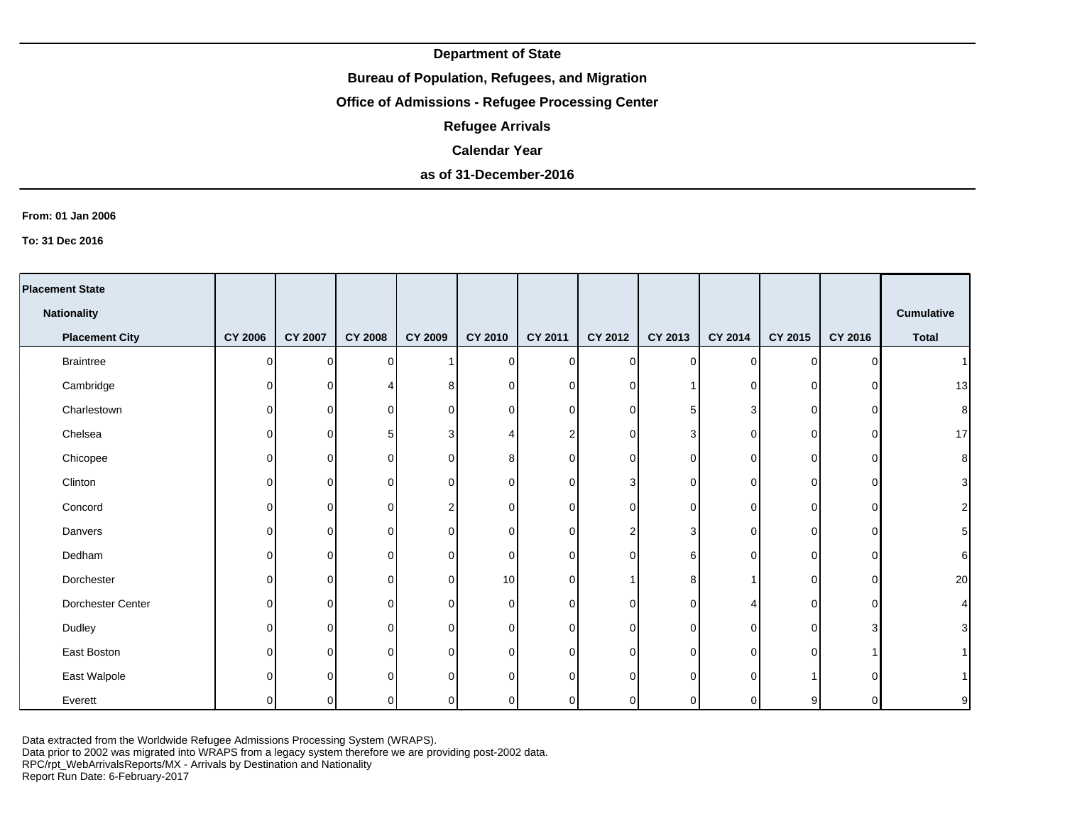## **Bureau of Population, Refugees, and Migration**

# **Office of Admissions - Refugee Processing Center**

**Refugee Arrivals**

#### **Calendar Year**

## **as of 31-December-2016**

#### **From: 01 Jan 2006**

**To: 31 Dec 2016**

| <b>Placement State</b> |                |                |                |                |             |                |                         |          |          |                |              |                   |
|------------------------|----------------|----------------|----------------|----------------|-------------|----------------|-------------------------|----------|----------|----------------|--------------|-------------------|
| <b>Nationality</b>     |                |                |                |                |             |                |                         |          |          |                |              | <b>Cumulative</b> |
| <b>Placement City</b>  | <b>CY 2006</b> | <b>CY 2007</b> | <b>CY 2008</b> | <b>CY 2009</b> | CY 2010     | <b>CY 2011</b> | CY 2012                 | CY 2013  | CY 2014  | CY 2015        | CY 2016      | <b>Total</b>      |
| <b>Braintree</b>       | $\Omega$       | $\Omega$       | $\Omega$       |                | 0           | 0              | $\overline{0}$          | $\Omega$ | $\Omega$ | $\Omega$       | $\Omega$     |                   |
| Cambridge              | 0              | $\Omega$       |                |                | 0           | $\Omega$       | $\mathbf 0$             |          | $\Omega$ | 0              | ∩            | 13                |
| Charlestown            | $\Omega$       | 0              | 0              | $\Omega$       | 0           | $\Omega$       | $\overline{0}$          | 5        | 3        | $\Omega$       | $\Omega$     |                   |
| Chelsea                | 0              | $\Omega$       | 5              |                | 4           |                | $\overline{0}$          | 3        | $\Omega$ | $\Omega$       | $\Omega$     | 17                |
| Chicopee               | $\Omega$       | 0              | 0              | ∩              | 8           | $\Omega$       | $\overline{0}$          | $\Omega$ | 0        | $\Omega$       | ∩            |                   |
| Clinton                | $\Omega$       | $\Omega$       | 0              |                | $\mathbf 0$ | $\Omega$       | 3                       | $\Omega$ | $\Omega$ | 0              | ∩            |                   |
| Concord                | 0              | 0              | 0              |                | 0           | $\overline{0}$ | $\overline{0}$          | $\Omega$ | 0        | $\overline{0}$ | 0            |                   |
| Danvers                | 0              | $\Omega$       | $\Omega$       |                | 0           | $\Omega$       | $\overline{\mathbf{c}}$ | 3        | $\Omega$ | $\Omega$       | 0            |                   |
| Dedham                 | $\Omega$       | 0              | $\Omega$       | O              | 0           | $\Omega$       | $\overline{0}$          | 6        | $\Omega$ | $\Omega$       | $\Omega$     |                   |
| Dorchester             | $\Omega$       | $\Omega$       | $\Omega$       | $\Omega$       | 10          | $\Omega$       | $\mathbf{1}$            | 8        |          | $\Omega$       | $\Omega$     | 20                |
| Dorchester Center      | $\Omega$       | $\Omega$       | $\Omega$       | $\Omega$       | 0           | $\Omega$       | $\overline{0}$          | $\Omega$ | 4        | $\Omega$       | $\Omega$     |                   |
| Dudley                 | $\Omega$       | $\Omega$       | $\Omega$       | $\Omega$       | $\mathbf 0$ | $\Omega$       | $\overline{0}$          | $\Omega$ | 0        | $\Omega$       | 3            |                   |
| East Boston            | $\Omega$       | 0              | $\Omega$       | $\Omega$       | $\mathbf 0$ | $\Omega$       | $\overline{0}$          | $\Omega$ | 0        | $\Omega$       |              |                   |
| East Walpole           | O              | $\Omega$       | $\Omega$       | $\Omega$       | 0           | $\Omega$       | $\overline{0}$          | $\Omega$ | $\Omega$ |                | ∩            |                   |
| Everett                | $\Omega$       | $\Omega$       | 0              | ∩              | $\mathbf 0$ | οI             | $\overline{0}$          |          | $\Omega$ | 9              | <sup>0</sup> |                   |

Data extracted from the Worldwide Refugee Admissions Processing System (WRAPS).

Data prior to 2002 was migrated into WRAPS from a legacy system therefore we are providing post-2002 data.

RPC/rpt\_WebArrivalsReports/MX - Arrivals by Destination and Nationality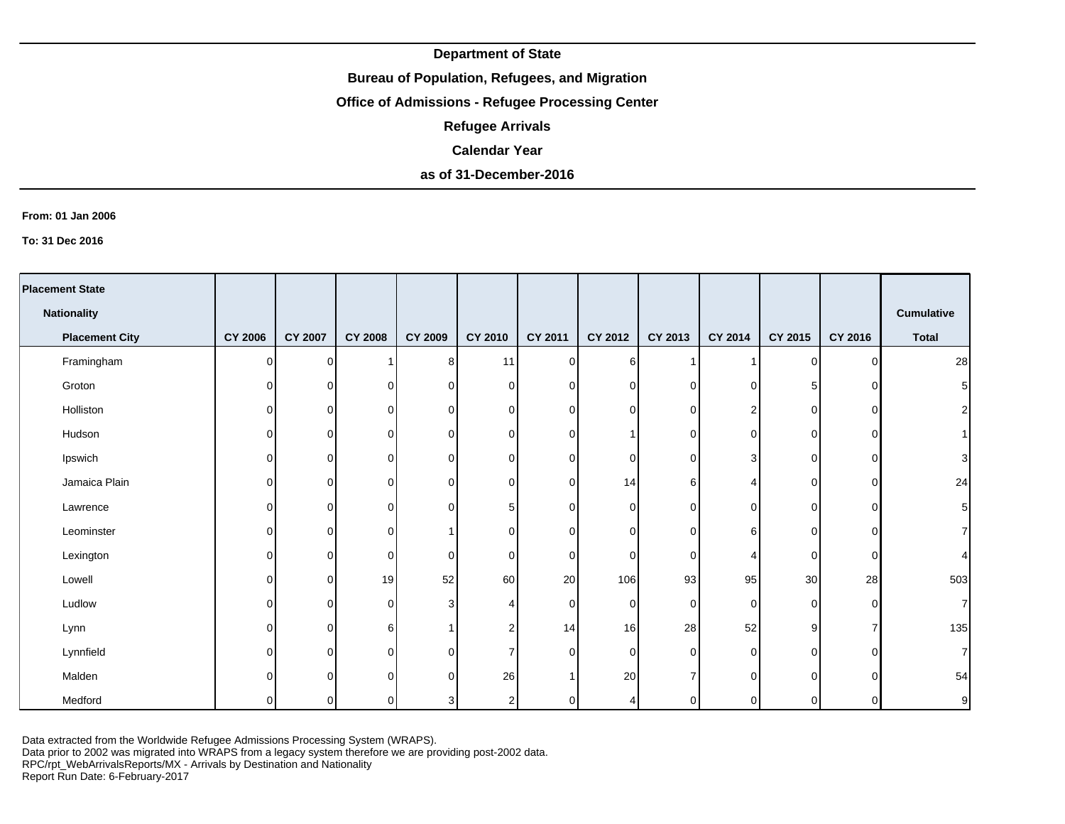## **Bureau of Population, Refugees, and Migration**

# **Office of Admissions - Refugee Processing Center**

**Refugee Arrivals**

#### **Calendar Year**

# **as of 31-December-2016**

#### **From: 01 Jan 2006**

**To: 31 Dec 2016**

| <b>Placement State</b> |                |                |                |                |                         |                |                  |          |                |             |          |                |
|------------------------|----------------|----------------|----------------|----------------|-------------------------|----------------|------------------|----------|----------------|-------------|----------|----------------|
| <b>Nationality</b>     |                |                |                |                |                         |                |                  |          |                |             |          | Cumulative     |
| <b>Placement City</b>  | <b>CY 2006</b> | <b>CY 2007</b> | <b>CY 2008</b> | <b>CY 2009</b> | <b>CY 2010</b>          | <b>CY 2011</b> | CY 2012          | CY 2013  | CY 2014        | CY 2015     | CY 2016  | <b>Total</b>   |
| Framingham             | O              | $\Omega$       | 1              | 8 <sup>1</sup> | 11                      | $\Omega$       | $6 \overline{6}$ |          |                | 0           | $\Omega$ | 28             |
| Groton                 | O              | $\Omega$       | $\mathbf 0$    | $\Omega$       | $\overline{0}$          | $\cap$         | 0                | 0        | $\mathbf 0$    | 5           | C        | $\sqrt{5}$     |
| Holliston              | 0              | 0              | 0              | 0              | $\overline{0}$          | n.             | 0                | 0        | $\overline{2}$ | 0           | O        | $\mathbf{2}$   |
| Hudson                 | 0              | 0              | 0              | 0              | $\overline{0}$          | $\Omega$       |                  | 0        | 0              | 0           | ∩        | 1 <sup>1</sup> |
| Ipswich                | 0              | 0              | 0              | 0              | $\overline{0}$          | ΩI             | 0                | 0        | 3              | 0           | ∩        | $\overline{3}$ |
| Jamaica Plain          | 0              | 0              | $\Omega$       | 0              | $\overline{0}$          | $\Omega$       | 14               | 6        |                | 0           | ∩        | 24             |
| Lawrence               | O              | $\Omega$       | $\mathbf 0$    | 0              | $5\phantom{.0}$         | <sup>n</sup>   | $\mathbf 0$      | $\Omega$ | $\Omega$       | $\mathbf 0$ | O        | $\sqrt{5}$     |
| Leominster             | 0              | 0              | 0              |                | $\overline{0}$          | ΩI             | 0                | 0        | 6              | 0           | 0        | $\overline{7}$ |
| Lexington              | 0              | 0              | 0              | 0              | $\overline{0}$          | $\Omega$       | 0                | 0        | 4              | 0           | O        | 4              |
| Lowell                 | 0              | 0              | 19             | 52             | 60                      | 20             | 106              | 93       | 95             | 30          | 28       | 503            |
| Ludlow                 | 0              | $\Omega$       | $\mathbf 0$    | 3              | 4                       | $\Omega$       | 0                | $\Omega$ | $\Omega$       | $\mathbf 0$ | $\Omega$ | $\mathbf{7}$   |
| Lynn                   | 0              | $\Omega$       | 6              |                | $\overline{2}$          | 14             | 16               | 28       | 52             | 9           |          | 135            |
| Lynnfield              | 0              | 0              | $\mathbf 0$    | $\Omega$       | $\overline{7}$          | $\cap$         | $\mathbf 0$      | $\Omega$ | 0              | $\mathbf 0$ | O        | $\overline{7}$ |
| Malden                 | U              | $\Omega$       | $\Omega$       | $\Omega$       | 26                      |                | 20               |          | $\Omega$       | $\Omega$    | ∩        | 54             |
| Medford                | O              | 0              | 0              | 3              | $\overline{\mathbf{c}}$ | ΩI             | 4                |          | $\Omega$       | 0           | ∩        | $\overline{9}$ |

Data extracted from the Worldwide Refugee Admissions Processing System (WRAPS).

Data prior to 2002 was migrated into WRAPS from a legacy system therefore we are providing post-2002 data.

RPC/rpt\_WebArrivalsReports/MX - Arrivals by Destination and Nationality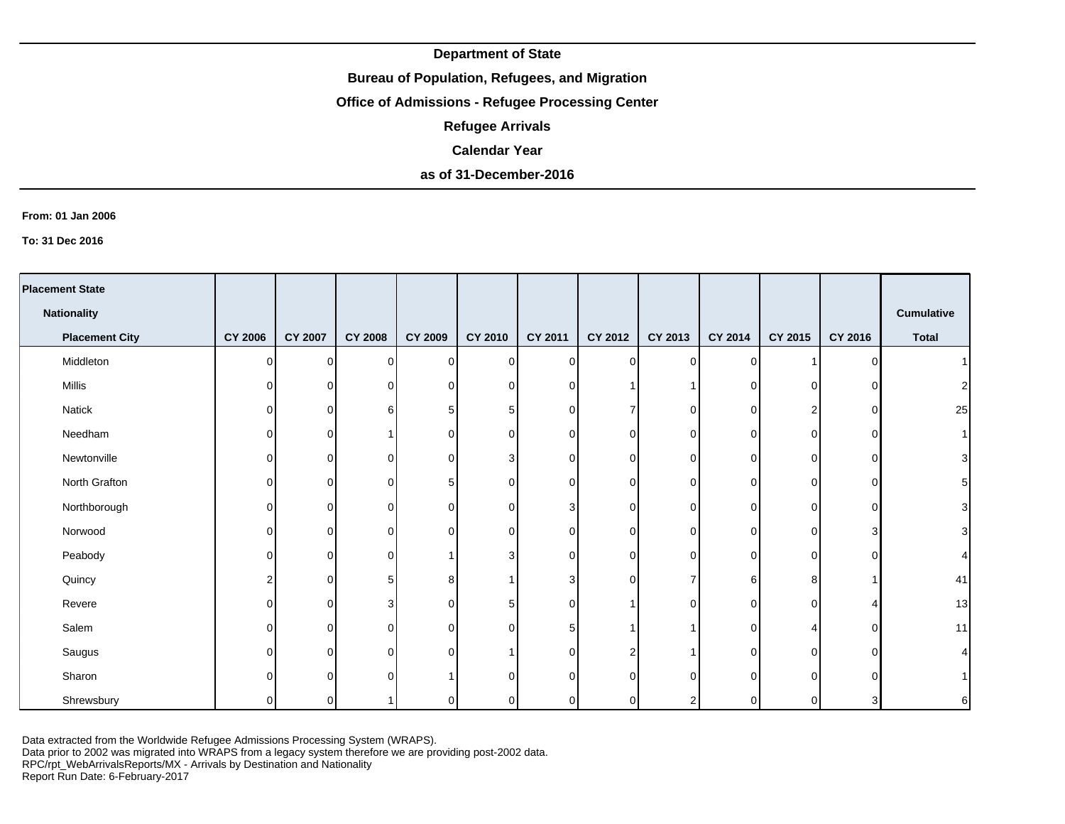## **Bureau of Population, Refugees, and Migration**

# **Office of Admissions - Refugee Processing Center**

**Refugee Arrivals**

#### **Calendar Year**

## **as of 31-December-2016**

#### **From: 01 Jan 2006**

**To: 31 Dec 2016**

| <b>Placement State</b> |                |                |                |                |                |          |                |         |             |          |          |                   |
|------------------------|----------------|----------------|----------------|----------------|----------------|----------|----------------|---------|-------------|----------|----------|-------------------|
| <b>Nationality</b>     |                |                |                |                |                |          |                |         |             |          |          | <b>Cumulative</b> |
| <b>Placement City</b>  | <b>CY 2006</b> | <b>CY 2007</b> | <b>CY 2008</b> | <b>CY 2009</b> | CY 2010        | CY 2011  | <b>CY 2012</b> | CY 2013 | CY 2014     | CY 2015  | CY 2016  | <b>Total</b>      |
| Middleton              | $\Omega$       | $\Omega$       | $\mathbf 0$    | $\Omega$       | $\overline{0}$ | $\Omega$ | $\Omega$       | 0       | $\Omega$    |          | ∩        |                   |
| Millis                 | $\Omega$       | $\Omega$       | $\mathbf 0$    | $\Omega$       | $\overline{0}$ | $\cap$   |                |         | $\Omega$    | $\Omega$ | U        | c                 |
| Natick                 | 0              | $\mathbf 0$    | 6              | 5              | 5              | 0        | $\overline{7}$ | 0       | $\mathbf 0$ | 2        | $\Omega$ | 25                |
| Needham                | 0              | $\Omega$       |                | 0              | $\overline{0}$ | $\Omega$ | $\overline{0}$ | O       | $\Omega$    | 0        | $\Omega$ |                   |
| Newtonville            | 0              | 0              | 0              | 0              | 3              | $\Omega$ | $\overline{0}$ | 0       | 0           | $\Omega$ | ∩        | 3                 |
| North Grafton          | 0              | 0              | 0              | 5              | $\overline{0}$ | $\Omega$ | 0              | O       | $\Omega$    | 0        | $\Omega$ | 5                 |
| Northborough           | 0              | $\Omega$       | $\mathbf 0$    | 0              | $\overline{0}$ | 3        | 0              | ∩       | $\Omega$    | 0        | $\Omega$ | 3                 |
| Norwood                | $\Omega$       | 0              | $\mathbf 0$    | 0              | $\overline{0}$ | $\Omega$ | $\mathbf 0$    | O       | 0           | 0        | 3        |                   |
| Peabody                | $\Omega$       | $\Omega$       | 0              |                | 3              | $\Omega$ | 0              | n       | $\Omega$    | $\Omega$ | $\Omega$ |                   |
| Quincy                 | 2              | 0              | 5              | 8              | $\mathbf{1}$   | 3        | $\overline{0}$ | ⇁       | 6           | 8        |          | 41                |
| Revere                 | 0              | $\Omega$       | 3              | $\Omega$       | 5              | $\Omega$ |                | n       | $\Omega$    | $\Omega$ |          | 13                |
| Salem                  | $\Omega$       | $\Omega$       | $\mathbf 0$    | $\mathbf 0$    | 0              | 5        | -1             |         | $\Omega$    | Δ        | $\Omega$ | 11                |
| Saugus                 | $\Omega$       | $\Omega$       | $\mathbf 0$    | $\Omega$       | $\mathbf{1}$   | $\cap$   | $\overline{c}$ |         | $\Omega$    | $\Omega$ | $\Omega$ |                   |
| Sharon                 | $\Omega$       | $\Omega$       | $\Omega$       |                | $\mathbf 0$    | $\cap$   | $\overline{0}$ | n       | $\Omega$    | $\Omega$ | ∩        |                   |
| Shrewsbury             | $\Omega$       | 0              |                | $\Omega$       | 0              | $\Omega$ | $\overline{0}$ |         | $\Omega$    | 0        | 3        | $6 \mid$          |

Data extracted from the Worldwide Refugee Admissions Processing System (WRAPS).

Data prior to 2002 was migrated into WRAPS from a legacy system therefore we are providing post-2002 data.

RPC/rpt\_WebArrivalsReports/MX - Arrivals by Destination and Nationality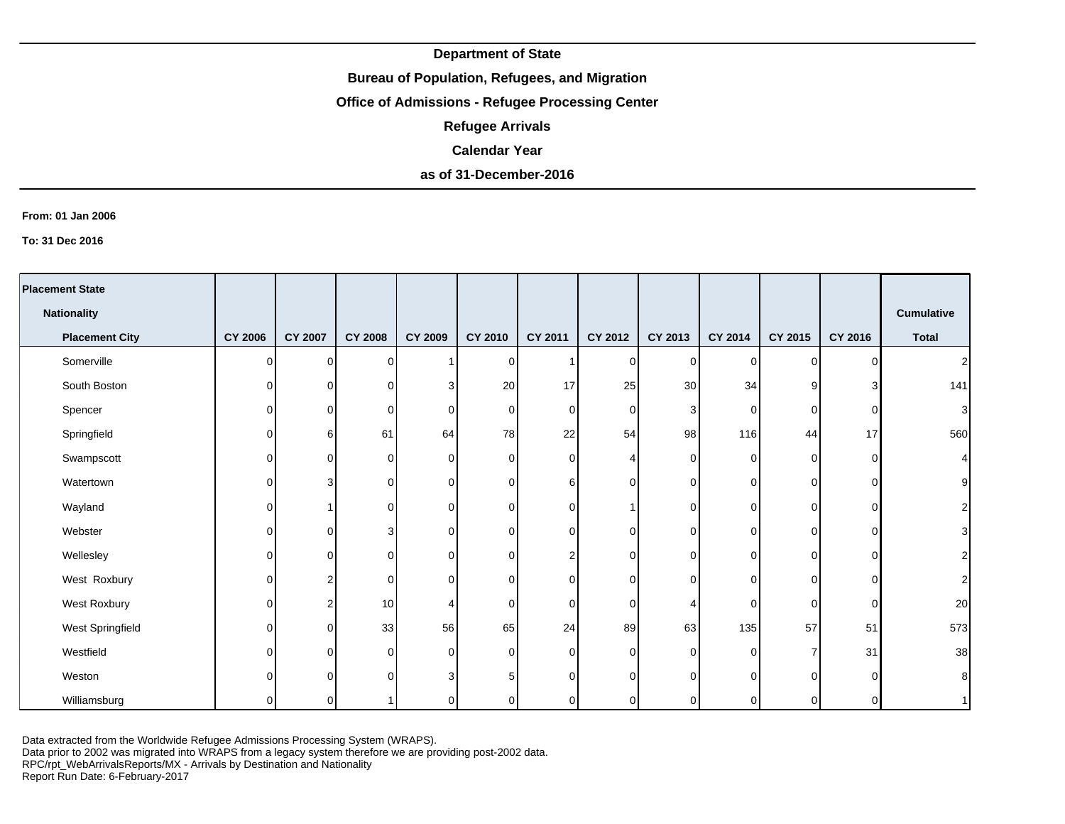## **Bureau of Population, Refugees, and Migration**

# **Office of Admissions - Refugee Processing Center**

**Refugee Arrivals**

#### **Calendar Year**

# **as of 31-December-2016**

#### **From: 01 Jan 2006**

**To: 31 Dec 2016**

| <b>Placement State</b> |                |                |                |          |             |                |                |                |                |                |          |                   |
|------------------------|----------------|----------------|----------------|----------|-------------|----------------|----------------|----------------|----------------|----------------|----------|-------------------|
| <b>Nationality</b>     |                |                |                |          |             |                |                |                |                |                |          | <b>Cumulative</b> |
| <b>Placement City</b>  | <b>CY 2006</b> | <b>CY 2007</b> | <b>CY 2008</b> | CY 2009  | CY 2010     | <b>CY 2011</b> | CY 2012        | CY 2013        | <b>CY 2014</b> | <b>CY 2015</b> | CY 2016  | <b>Total</b>      |
| Somerville             | $\Omega$       | $\Omega$       | $\Omega$       |          | 0           |                | $\overline{0}$ | $\Omega$       | $\Omega$       | $\Omega$       | $\Omega$ | 2                 |
| South Boston           | 0              | ΩI             | 0              | 3        | 20          | 17             | 25             | 30             | 34             | 9              | З        | 141               |
| Spencer                | $\Omega$       | $\overline{0}$ | 0              | $\Omega$ | 0           | $\Omega$       | $\mathbf 0$    | 3              | $\overline{0}$ | $\overline{0}$ | $\Omega$ | З                 |
| Springfield            | 0              | $6 \mid$       | 61             | 64       | 78          | 22             | 54             | 98             | 116            | 44             | 17       | 560               |
| Swampscott             | 0              | $\Omega$       | 0              | $\Omega$ | 0           | 0              | 4              | $\Omega$       | $\Omega$       | $\overline{0}$ | $\Omega$ |                   |
| Watertown              | 0              | 3              | O              | $\Omega$ | 0           | 6              | $\overline{0}$ | $\Omega$       | $\overline{0}$ | $\overline{0}$ | $\Omega$ |                   |
| Wayland                | 0              |                | $\Omega$       | $\Omega$ | 0           | $\Omega$       | 1              | $\Omega$       | $\overline{0}$ | $\Omega$       | $\Omega$ |                   |
| Webster                | $\Omega$       | $\Omega$       | 3              | $\Omega$ | 0           | 0              | 0              | $\Omega$       | $\overline{0}$ | $\overline{0}$ | $\Omega$ |                   |
| Wellesley              | $\Omega$       | $\Omega$       | 0              | $\Omega$ | 0           |                | $\mathbf 0$    | $\Omega$       | $\overline{0}$ | $\overline{0}$ | $\Omega$ |                   |
| West Roxbury           | 0              | c              | 0              | $\Omega$ | 0           | 0              | $\overline{0}$ | $\Omega$       | $\Omega$       | $\Omega$       | $\Omega$ |                   |
| West Roxbury           | $\Omega$       | 2              | 10             |          | $\mathbf 0$ | $\Omega$       | 0              |                | $\overline{0}$ | $\overline{0}$ | $\Omega$ | 20                |
| West Springfield       | 0              | $\Omega$       | 33             | 56       | 65          | 24             | 89             | 63             | 135            | 57             | 51       | 573               |
| Westfield              | 0              | $\Omega$       | $\Omega$       | $\Omega$ | $\mathbf 0$ | $\Omega$       | 0              | $\Omega$       | $\Omega$       | $\overline{7}$ | 31       | 38                |
| Weston                 | 0              | $\Omega$       | $\Omega$       | 3        | 5           | $\Omega$       | $\overline{0}$ | $\Omega$       | $\Omega$       | $\Omega$       | $\Omega$ | я                 |
| Williamsburg           | 0              | $\overline{0}$ |                |          | 0           | 0              | $\overline{0}$ | $\overline{0}$ | $\overline{0}$ | 0              | 0        |                   |

Data extracted from the Worldwide Refugee Admissions Processing System (WRAPS).

Data prior to 2002 was migrated into WRAPS from a legacy system therefore we are providing post-2002 data.

RPC/rpt\_WebArrivalsReports/MX - Arrivals by Destination and Nationality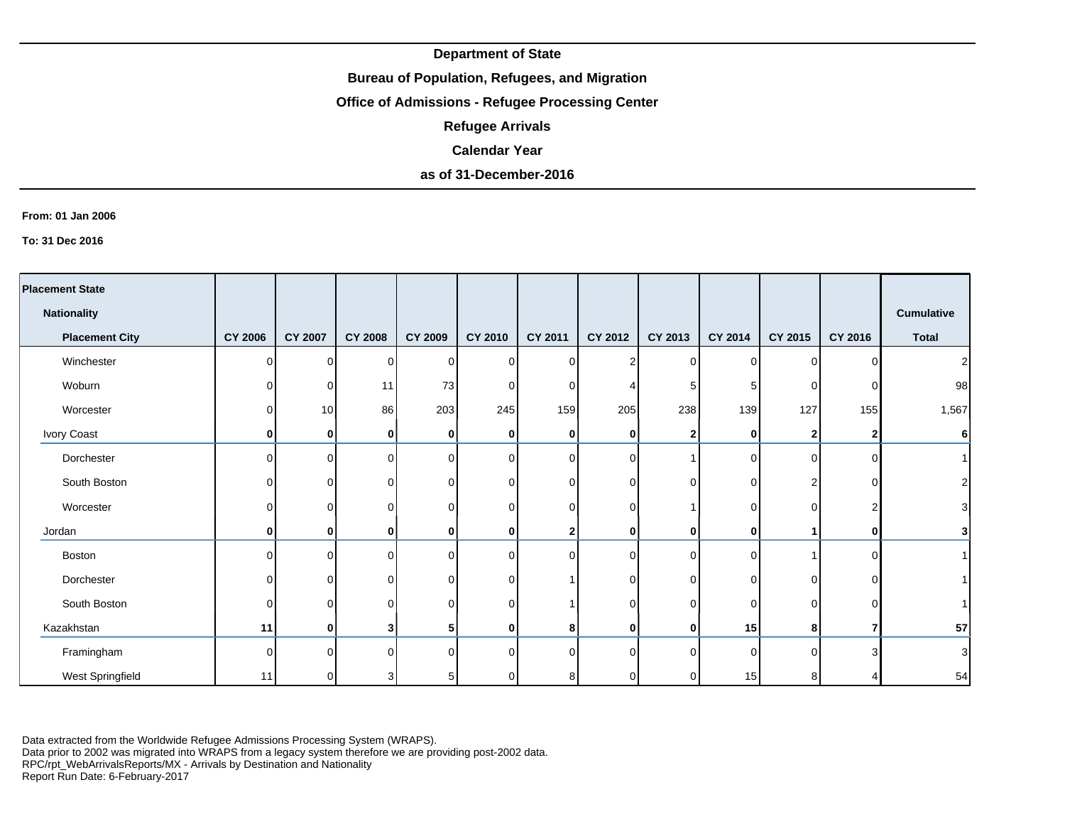## **Bureau of Population, Refugees, and Migration**

# **Office of Admissions - Refugee Processing Center**

**Refugee Arrivals**

### **Calendar Year**

# **as of 31-December-2016**

#### **From: 01 Jan 2006**

**To: 31 Dec 2016**

| <b>Placement State</b> |                |                |                |                |                |          |                |              |          |          |              |                   |
|------------------------|----------------|----------------|----------------|----------------|----------------|----------|----------------|--------------|----------|----------|--------------|-------------------|
| <b>Nationality</b>     |                |                |                |                |                |          |                |              |          |          |              | <b>Cumulative</b> |
| <b>Placement City</b>  | <b>CY 2006</b> | <b>CY 2007</b> | <b>CY 2008</b> | <b>CY 2009</b> | <b>CY 2010</b> | CY 2011  | CY 2012        | CY 2013      | CY 2014  | CY 2015  | CY 2016      | <b>Total</b>      |
| Winchester             | $\Omega$       | $\Omega$       | 0              | 0              | $\mathbf 0$    | $\Omega$ | $\overline{2}$ | $\Omega$     | $\Omega$ | $\Omega$ | ∩            | 2 <sub>1</sub>    |
| Woburn                 | $\overline{0}$ | $\Omega$       | 11             | 73             | 0              | $\Omega$ |                | 5            | 5        | 0        | O            | 98                |
| Worcester              | $\overline{0}$ | 10             | 86             | 203            | 245            | 159      | 205            | 238          | 139      | 127      | 155          | 1,567             |
| Ivory Coast            | 0              | $\mathbf{0}$   | 0              | 0              | 0              | 0        | 0              | 2            | 0        | 2        |              | $6\overline{6}$   |
| Dorchester             | $\Omega$       | $\Omega$       | 0              | $\Omega$       | $\mathbf 0$    | $\Omega$ | $\overline{0}$ |              | $\Omega$ | $\Omega$ | U            | 1 <sup>1</sup>    |
| South Boston           | $\overline{0}$ | $\Omega$       | O              | 0              | 0              | $\Omega$ | $\overline{0}$ | $\Omega$     | $\Omega$ | 2        | ∩            | $\mathbf{2}$      |
| Worcester              | $\overline{0}$ | $\Omega$       | U              | 0              | 0              | $\Omega$ | $\overline{0}$ |              | $\Omega$ | 0        | າ            | $\mathbf{3}$      |
| Jordan                 | $\mathbf{0}$   | $\mathbf{0}$   | 0              | 0              | 0              | 2        | $\mathbf{0}$   | $\mathbf{0}$ | 0        |          | <sup>0</sup> | $\mathbf{3}$      |
| Boston                 | $\Omega$       | $\Omega$       | 0              | ∩              | $\mathbf 0$    | $\Omega$ | $\overline{0}$ | ∩            | $\Omega$ |          |              | 1 <sup>1</sup>    |
| Dorchester             | $\overline{0}$ | $\Omega$       |                | 0              | 0              |          | $\overline{0}$ | 0            | $\Omega$ | 0        |              |                   |
| South Boston           | $\Omega$       | $\Omega$       |                | 0              | 0              |          | $\overline{0}$ | U            | $\Omega$ | $\Omega$ | ∩            |                   |
| Kazakhstan             | 11             | $\mathbf{0}$   | 3              | 5              | 0              | 8        | $\mathbf{0}$   | 0            | 15       | 8        |              | 57                |
| Framingham             | $\Omega$       | $\Omega$       | n.             | $\Omega$       | $\mathbf 0$    | $\Omega$ | $\Omega$       | $\Omega$     | $\Omega$ | $\Omega$ | ٩            | $\mathbf{3}$      |
| West Springfield       | 11             | $\Omega$       |                |                | 0              | 8        | $\overline{0}$ |              | 15       | 8        |              | 54                |

Data extracted from the Worldwide Refugee Admissions Processing System (WRAPS).

Data prior to 2002 was migrated into WRAPS from a legacy system therefore we are providing post-2002 data.

RPC/rpt\_WebArrivalsReports/MX - Arrivals by Destination and Nationality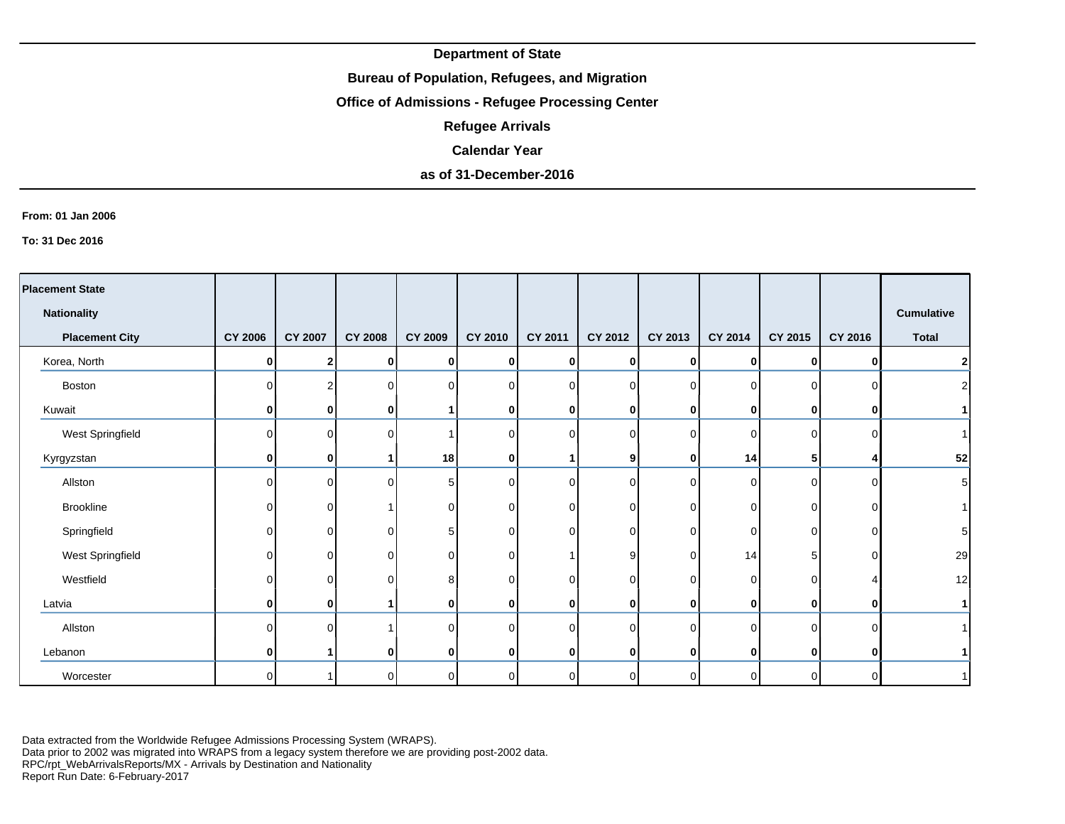## **Bureau of Population, Refugees, and Migration**

# **Office of Admissions - Refugee Processing Center**

**Refugee Arrivals**

### **Calendar Year**

# **as of 31-December-2016**

#### **From: 01 Jan 2006**

**To: 31 Dec 2016**

| <b>Placement State</b> |                |                |                |                |                |          |                |          |             |                |              |                   |
|------------------------|----------------|----------------|----------------|----------------|----------------|----------|----------------|----------|-------------|----------------|--------------|-------------------|
| <b>Nationality</b>     |                |                |                |                |                |          |                |          |             |                |              | <b>Cumulative</b> |
| <b>Placement City</b>  | <b>CY 2006</b> | <b>CY 2007</b> | <b>CY 2008</b> | <b>CY 2009</b> | <b>CY 2010</b> | CY 2011  | CY 2012        | CY 2013  | CY 2014     | CY 2015        | CY 2016      | <b>Total</b>      |
| Korea, North           | 0              | 2              | $\mathbf{0}$   | 0              | 0              | 0        | $\bf{0}$       | 0        | 0           | $\mathbf{0}$   | 0            | $\mathbf 2$       |
| Boston                 |                | $\overline{c}$ | $\overline{0}$ |                | $\Omega$       | $\Omega$ | $\Omega$       | $\Omega$ | $\Omega$    | $\Omega$       |              | $\overline{2}$    |
| Kuwait                 | 0              | 0              | $\mathbf{0}$   |                | 0              | 0        | $\bf{0}$       | 0        | $\mathbf 0$ | $\mathbf{0}$   |              |                   |
| West Springfield       |                | $\mathbf 0$    | $\overline{0}$ |                | $\Omega$       | $\Omega$ | $\overline{0}$ | $\Omega$ | $\Omega$    | $\overline{0}$ | n            | $\mathbf{1}$      |
| Kyrgyzstan             | 0              | 0              |                | 18             | 0              |          | 9              | 0        | 14          | 5 <sub>5</sub> |              | 52                |
| Allston                | ∩              | $\mathbf 0$    | $\overline{0}$ | 5              | $\mathbf 0$    | $\Omega$ | $\Omega$       | $\Omega$ | $\Omega$    | $\overline{0}$ |              | 5                 |
| Brookline              | U              | $\mathbf 0$    |                | 0              | 0              | $\Omega$ | $\overline{0}$ | 0        | 0           | $\overline{0}$ | ΩI           |                   |
| Springfield            | ∩              | $\mathbf 0$    | $\Omega$       |                | $\Omega$       | ∩        | $\Omega$       |          | $\Omega$    | $\Omega$       |              | 5                 |
| West Springfield       |                | $\mathbf 0$    | 0              |                | 0              |          | 9              | ∩        | 14          | 5 <sup>1</sup> |              | 29                |
| Westfield              | ∩              | $\mathbf 0$    | $\overline{0}$ | 8              | 0              | $\Omega$ | $\overline{0}$ | $\Omega$ | 0           | $\overline{0}$ |              | 12                |
| Latvia                 | 0              | 0              |                | ŋ              | 0              | 0        | $\bf{0}$       | 0        | 0           | $\mathbf{0}$   | 0            | $\mathbf{1}$      |
| Allston                |                | $\Omega$       |                |                | 0              | $\Omega$ | $\Omega$       | 0        | $\Omega$    | $\overline{0}$ |              |                   |
| Lebanon                | 0              |                | $\mathbf{0}$   | 0              | 0              | 0        | $\mathbf{0}$   | 0        | 0           | $\mathbf{0}$   | $\mathbf{0}$ |                   |
| Worcester              | ∩              |                | $\overline{0}$ | $\Omega$       | 0              | $\Omega$ | $\overline{0}$ | ∩        | $\Omega$    | $\overline{0}$ | $\Omega$     |                   |

Data extracted from the Worldwide Refugee Admissions Processing System (WRAPS). Data prior to 2002 was migrated into WRAPS from a legacy system therefore we are providing post-2002 data.

RPC/rpt\_WebArrivalsReports/MX - Arrivals by Destination and Nationality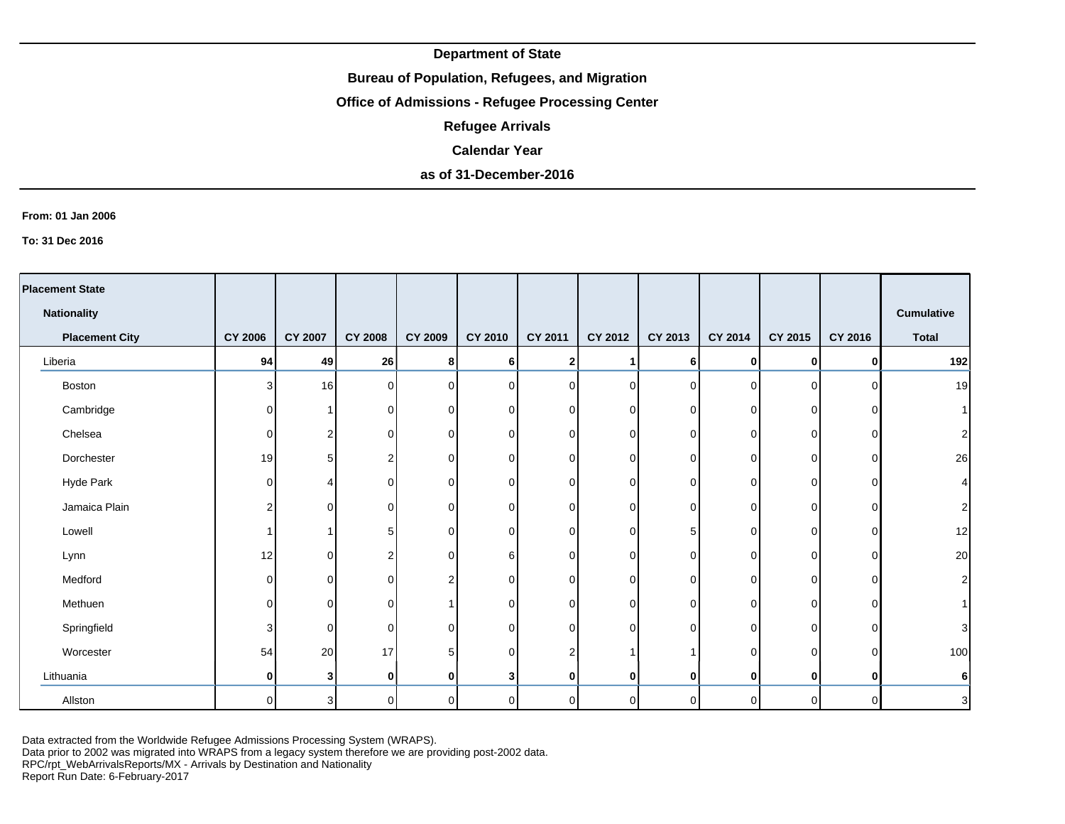## **Bureau of Population, Refugees, and Migration**

# **Office of Admissions - Refugee Processing Center**

**Refugee Arrivals**

#### **Calendar Year**

# **as of 31-December-2016**

#### **From: 01 Jan 2006**

**To: 31 Dec 2016**

| <b>Placement State</b> |                |                |                |          |                |                |                |          |             |             |          |                   |
|------------------------|----------------|----------------|----------------|----------|----------------|----------------|----------------|----------|-------------|-------------|----------|-------------------|
| <b>Nationality</b>     |                |                |                |          |                |                |                |          |             |             |          | <b>Cumulative</b> |
| <b>Placement City</b>  | <b>CY 2006</b> | <b>CY 2007</b> | <b>CY 2008</b> | CY 2009  | CY 2010        | <b>CY 2011</b> | CY 2012        | CY 2013  | CY 2014     | CY 2015     | CY 2016  | <b>Total</b>      |
| Liberia                | 94             | 49             | 26             | 8        | 6              | 2 <sub>1</sub> | 1              | 6        | 0           | 0           | O        | 192               |
| Boston                 | $\overline{3}$ | 16             | 0              | $\Omega$ | $\overline{0}$ | $\Omega$       | $\overline{0}$ | $\Omega$ | $\Omega$    | $\mathbf 0$ | ∩        | 19                |
| Cambridge              | $\Omega$       |                | 0              | $\Omega$ | $\overline{0}$ | $\overline{0}$ | $\overline{0}$ | 0        | 0           | 0           | C        | 1                 |
| Chelsea                | $\Omega$       | 2              | 0              | $\Omega$ | $\overline{0}$ | $\overline{0}$ | $\overline{0}$ | 0        | 0           | 0           | C        | $\mathbf{2}$      |
| Dorchester             | 19             | 5.             | 2              | $\Omega$ | 0              | $\Omega$       | $\overline{0}$ | 0        | $\Omega$    | 0           | O        | 26                |
| Hyde Park              | $\Omega$       |                | $\Omega$       | ∩        | 0              | $\overline{0}$ | $\overline{0}$ | O        | 0           | 0           | C        | $\vert 4 \vert$   |
| Jamaica Plain          | 2              | $\Omega$       | 0              | $\Omega$ | 0              | $\overline{0}$ | $\overline{0}$ | 0        | 0           | 0           | C        | $\mathbf{2}$      |
| Lowell                 |                |                | 5              | $\Omega$ | 0              | $\Omega$       | $\overline{0}$ | 5.       | $\Omega$    | 0           | C        | 12                |
| Lynn                   | 12             | $\Omega$       | 2              | $\Omega$ | 6              | $\Omega$       | $\overline{0}$ | $\Omega$ | 0           | 0           | $\Omega$ | 20                |
| Medford                | $\Omega$       | $\Omega$       | $\Omega$       | っ        | 0              | $\Omega$       | $\overline{0}$ | 0        | $\Omega$    | $\Omega$    | 0        | $\mathbf{2}$      |
| Methuen                | $\Omega$       | $\Omega$       | $\Omega$       |          | 0              | ΩI             | $\overline{0}$ | $\Omega$ | $\mathbf 0$ | $\Omega$    | $\Omega$ | 1                 |
| Springfield            | 3              | $\Omega$       | $\Omega$       | $\Omega$ | $\mathbf 0$    | $\Omega$       | $\overline{0}$ | 0        | $\mathbf 0$ | $\Omega$    | C        | $\mathbf{3}$      |
| Worcester              | 54             | 20             | 17             |          | 0              | 2              |                |          | $\Omega$    | $\Omega$    | C        | 100               |
| Lithuania              | 0              | 31             | 0              | ŋ        | 3              | $\mathbf{0}$   | 0              | 0        | 0           | 0           | ŋ        | $6\vert$          |
| Allston                | $\Omega$       | 3              | 0              | $\Omega$ | 0              | $\Omega$       | $\overline{0}$ | $\Omega$ | $\Omega$    | $\mathbf 0$ | $\Omega$ | $\mathbf{3}$      |

Data extracted from the Worldwide Refugee Admissions Processing System (WRAPS).

Data prior to 2002 was migrated into WRAPS from a legacy system therefore we are providing post-2002 data.

RPC/rpt\_WebArrivalsReports/MX - Arrivals by Destination and Nationality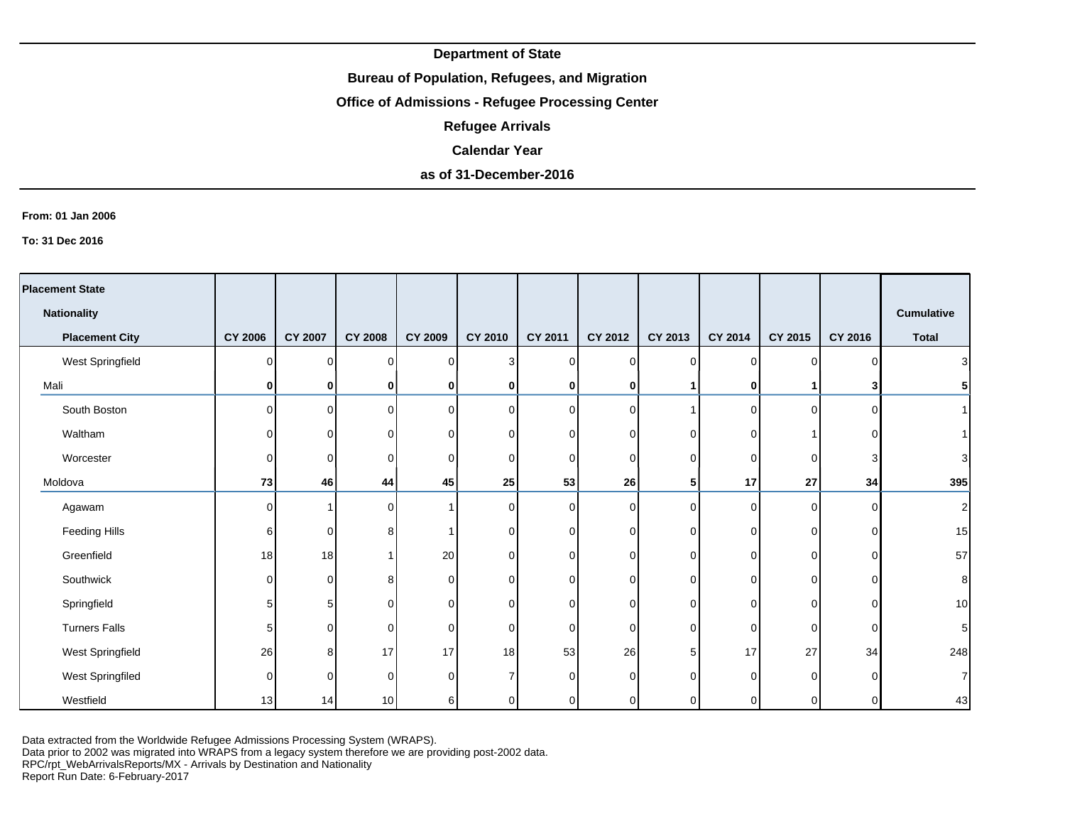## **Bureau of Population, Refugees, and Migration**

# **Office of Admissions - Refugee Processing Center**

**Refugee Arrivals**

### **Calendar Year**

# **as of 31-December-2016**

#### **From: 01 Jan 2006**

**To: 31 Dec 2016**

| <b>Placement State</b> |                |                |                 |                |                |                |                |              |          |          |          |                   |
|------------------------|----------------|----------------|-----------------|----------------|----------------|----------------|----------------|--------------|----------|----------|----------|-------------------|
| <b>Nationality</b>     |                |                |                 |                |                |                |                |              |          |          |          | <b>Cumulative</b> |
| <b>Placement City</b>  | <b>CY 2006</b> | <b>CY 2007</b> | <b>CY 2008</b>  | <b>CY 2009</b> | <b>CY 2010</b> | <b>CY 2011</b> | CY 2012        | CY 2013      | CY 2014  | CY 2015  | CY 2016  | <b>Total</b>      |
| West Springfield       | $\Omega$       | $\overline{0}$ | $\Omega$        | $\Omega$       | 3              | $\Omega$       | $\overline{0}$ | <sup>n</sup> | $\Omega$ | $\Omega$ | ∩        | $\mathbf{3}$      |
| Mali                   | 0              | $\mathbf 0$    | 0               | 0              | 0              |                | 0              |              | 0        |          |          | 5 <sup>1</sup>    |
| South Boston           | $\Omega$       | $\overline{0}$ | $\overline{0}$  | $\Omega$       | $\mathbf 0$    | $\Omega$       | $\circ$        |              | $\Omega$ | $\Omega$ | $\Omega$ | 1 <sup>1</sup>    |
| Waltham                | U              | $\overline{0}$ | $\Omega$        |                | 0              | $\Omega$       | $\mathbf 0$    | <sup>n</sup> | $\Omega$ |          | U        | 1 <sup>1</sup>    |
| Worcester              | $\Omega$       | 0              | $\Omega$        | 0              | 0              | ∩              | 0              | $\Omega$     | 0        | 0        | 3        | $\overline{3}$    |
| Moldova                | 73             | 46             | 44              | 45             | 25             | 53             | 26             | 5            | 17       | 27       | 34       | 395               |
| Agawam                 | U              |                | $\Omega$        |                | $\Omega$       | $\Omega$       | $\overline{0}$ | $\Omega$     | $\Omega$ | $\Omega$ | $\Omega$ | $\mathbf{2}$      |
| Feeding Hills          | 6              | 0              | 8               |                | 0              | 0              | $\overline{0}$ | ∩            | $\Omega$ | 0        | O        | 15                |
| Greenfield             | 18             | 18             |                 | 20             | 0              | $\Omega$       | 0              | ∩            | $\Omega$ | $\Omega$ | O        | 57                |
| Southwick              | $\Omega$       | 0              | 8               | <sup>n</sup>   | 0              | $\Omega$       | 0              | <sup>n</sup> | 0        | 0        | $\Omega$ | 8 <sup>1</sup>    |
| Springfield            | 5              | 5              | $\Omega$        | 0              | $\Omega$       | ∩              | 0              | ∩            | $\Omega$ | $\Omega$ | 0        | 10                |
| <b>Turners Falls</b>   | 5              | 0              | $\Omega$        | 0              | $\Omega$       | $\Omega$       | 0              | $\Omega$     | $\Omega$ | $\Omega$ | $\Omega$ | $5\vert$          |
| West Springfield       | 26             | 8              | 17              | 17             | 18             | 53             | 26             | 5            | 17       | 27       | 34       | 248               |
| West Springfiled       | $\Omega$       | 0              | $\Omega$        | O.             | $\overline{7}$ | ∩              | 0              | <sup>n</sup> | $\Omega$ | $\Omega$ | U        | $\overline{7}$    |
| Westfield              | 13             | 14             | 10 <sup>1</sup> | 6              | 0              | 0              | $\overline{0}$ |              | $\Omega$ | 0        | $\Omega$ | 43                |

Data extracted from the Worldwide Refugee Admissions Processing System (WRAPS).

Data prior to 2002 was migrated into WRAPS from a legacy system therefore we are providing post-2002 data.

RPC/rpt\_WebArrivalsReports/MX - Arrivals by Destination and Nationality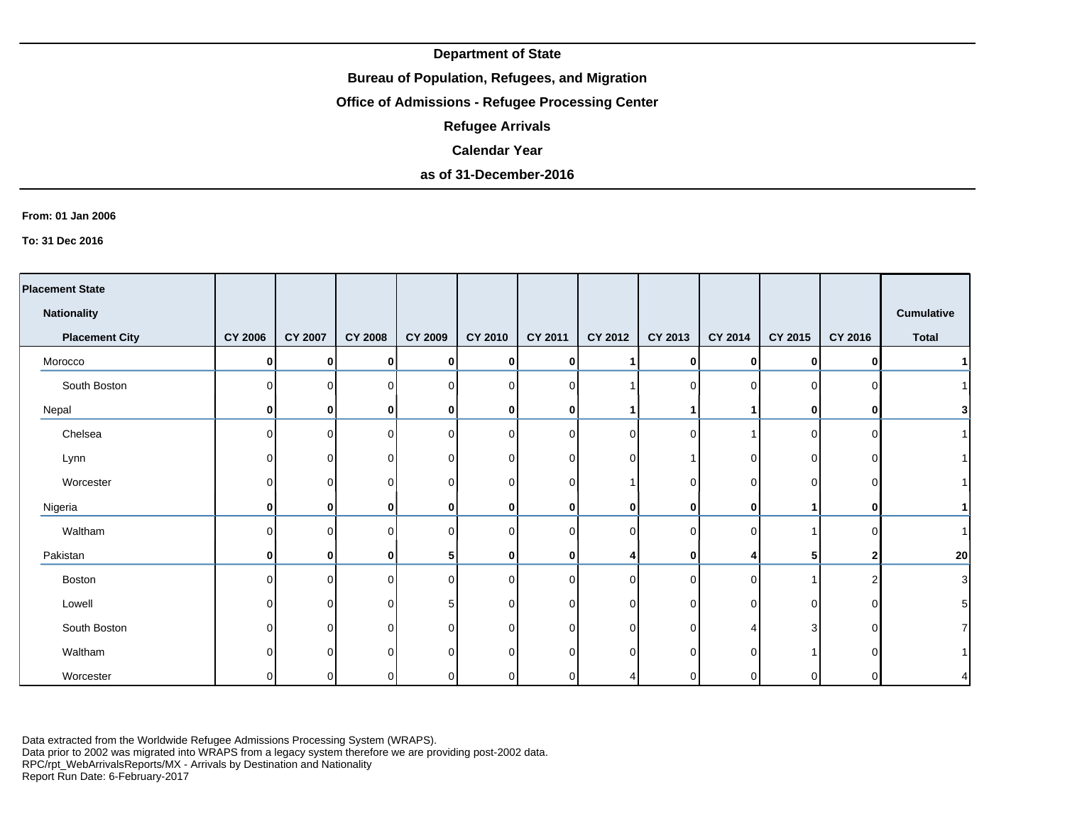## **Bureau of Population, Refugees, and Migration**

# **Office of Admissions - Refugee Processing Center**

**Refugee Arrivals**

# **Calendar Year**

# **as of 31-December-2016**

#### **From: 01 Jan 2006**

**To: 31 Dec 2016**

| <b>Placement State</b> |                |                |                |                |                |              |             |                |              |          |              |                   |
|------------------------|----------------|----------------|----------------|----------------|----------------|--------------|-------------|----------------|--------------|----------|--------------|-------------------|
| <b>Nationality</b>     |                |                |                |                |                |              |             |                |              |          |              | <b>Cumulative</b> |
| <b>Placement City</b>  | <b>CY 2006</b> | <b>CY 2007</b> | <b>CY 2008</b> | <b>CY 2009</b> | <b>CY 2010</b> | CY 2011      | CY 2012     | CY 2013        | CY 2014      | CY 2015  | CY 2016      | <b>Total</b>      |
| Morocco                | 0              | $\mathbf{0}$   | 0              | ŋ              | $\mathbf{0}$   | $\mathbf{0}$ |             | $\mathbf{0}$   | $\Omega$     | 0        | $\mathbf{0}$ |                   |
| South Boston           | $\Omega$       | $\Omega$       | $\Omega$       | ∩              | $\overline{0}$ | $\Omega$     |             | $\Omega$       |              | $\Omega$ | <sup>n</sup> |                   |
| Nepal                  | $\mathbf{0}$   | $\mathbf{0}$   | 0              | 0              | $\mathbf 0$    | $\mathbf{0}$ |             |                |              | 0        |              |                   |
| Chelsea                | $\Omega$       | $\Omega$       | $\Omega$       | ∩              | $\overline{0}$ | ∩            | $\mathbf 0$ | $\overline{0}$ |              | $\Omega$ | <sup>n</sup> |                   |
| Lynn                   | $\overline{0}$ | 0              | 0              | ∩              | $\overline{0}$ | 0            | $\mathbf 0$ |                | <sup>0</sup> | $\Omega$ | ∩            |                   |
| Worcester              | 0              | 0              | 0              | ∩              | $\overline{0}$ | 0            |             | 0              | 0            | 0        |              |                   |
| Nigeria                | $\mathbf{0}$   | $\mathbf{0}$   | 0              | 0              | $\mathbf 0$    | $\mathbf{0}$ | $\mathbf 0$ | $\mathbf{0}$   | $\mathbf{0}$ | 4        | 0            |                   |
| Waltham                | 0              | $\Omega$       | $\Omega$       | ∩              | $\overline{0}$ |              | $\mathbf 0$ | 0              | <sup>n</sup> |          |              |                   |
| Pakistan               | $\mathbf{0}$   | $\mathbf{0}$   | 0              |                | $\mathbf 0$    | 0            | 4           | $\mathbf{0}$   |              | 5        |              | 20                |
| Boston                 | $\Omega$       | $\Omega$       | $\Omega$       | $\Omega$       | $\overline{0}$ | U            | $\mathbf 0$ | $\overline{0}$ | $\Omega$     |          |              | 3                 |
| Lowell                 | $\Omega$       | $\Omega$       | $\Omega$       | 5              | $\overline{0}$ | 0            | 0           | $\Omega$       | ∩            | $\Omega$ | 0            |                   |
| South Boston           | $\Omega$       | $\Omega$       | $\Omega$       | $\Omega$       | $\overline{0}$ | U            | 0           | $\overline{0}$ |              | 3        | $\Omega$     |                   |
| Waltham                | 0              | 0              | $\Omega$       | ∩              | $\overline{0}$ | ∩            | $\Omega$    | 0              | ∩            |          |              |                   |
| Worcester              | $\overline{0}$ | 01             | 0              |                | 0              | 0            | 4           | 0              |              | 0        |              |                   |

Data extracted from the Worldwide Refugee Admissions Processing System (WRAPS). Data prior to 2002 was migrated into WRAPS from a legacy system therefore we are providing post-2002 data.

RPC/rpt\_WebArrivalsReports/MX - Arrivals by Destination and Nationality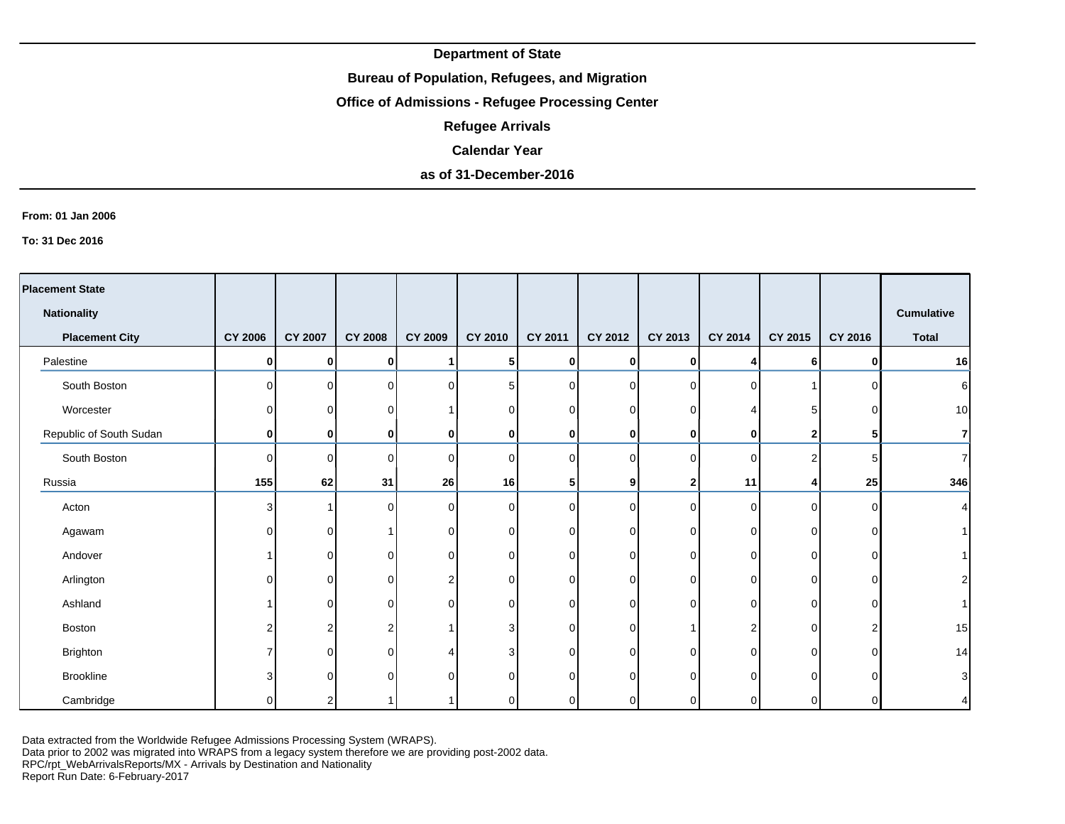## **Bureau of Population, Refugees, and Migration**

# **Office of Admissions - Refugee Processing Center**

**Refugee Arrivals**

#### **Calendar Year**

# **as of 31-December-2016**

#### **From: 01 Jan 2006**

**To: 31 Dec 2016**

| <b>Placement State</b>  |                |                |                |                |                 |                |             |              |          |                |              |                         |
|-------------------------|----------------|----------------|----------------|----------------|-----------------|----------------|-------------|--------------|----------|----------------|--------------|-------------------------|
| <b>Nationality</b>      |                |                |                |                |                 |                |             |              |          |                |              | Cumulative              |
| <b>Placement City</b>   | <b>CY 2006</b> | <b>CY 2007</b> | <b>CY 2008</b> | <b>CY 2009</b> | CY 2010         | <b>CY 2011</b> | CY 2012     | CY 2013      | CY 2014  | CY 2015        | CY 2016      | <b>Total</b>            |
| Palestine               | $\mathbf{0}$   | $\mathbf{0}$   | 0              |                | ${\bf 5}$       | $\mathbf{0}$   | $\mathbf 0$ | $\mathbf{0}$ | Δ        | 6              | $\mathbf{0}$ | 16                      |
| South Boston            | ΟI             | $\Omega$       | $\Omega$       | $\Omega$       | $5\phantom{.0}$ | $\cap$         | $\mathbf 0$ | $\Omega$     | $\Omega$ |                | U            | $\,6$                   |
| Worcester               | 0              | $\overline{0}$ |                |                | $\overline{0}$  |                | 0           | U            |          | 5 <sup>1</sup> |              | 10                      |
| Republic of South Sudan | $\mathbf{0}$   | $\mathbf{0}$   | 0              | 0              | $\bf{0}$        | 0              | $\bf{0}$    | $\mathbf{0}$ | 0        | $\mathbf{2}$   | 51           | $\overline{\mathbf{r}}$ |
| South Boston            | 0              | $\Omega$       | O              | ∩              | $\overline{0}$  | <sup>n</sup>   | $\Omega$    | $\Omega$     | $\Omega$ | $\overline{2}$ |              | $\overline{7}$          |
| Russia                  | 155            | 62             | 31             | 26             | 16              | 5              | 9           | 2            | 11       | 4              | 25           | 346                     |
| Acton                   | 3              |                | $\Omega$       | $\Omega$       | $\overline{0}$  | $\cap$         | 0           | $\Omega$     | $\Omega$ | $\Omega$       | O            | 4                       |
| Agawam                  | 0              | $\Omega$       |                | $\Omega$       | $\overline{0}$  | $\Omega$       | 0           | $\Omega$     | 0        | $\Omega$       | ΩI           |                         |
| Andover                 |                | $\Omega$       | U              | $\Omega$       | 0               | ΩI             | 0           | $\Omega$     | 0        | $\Omega$       | ΩI           |                         |
| Arlington               | 0              | $\Omega$       | U              | 2              | 0               | $\cap$         | 0           | U            | 0        | $\Omega$       | $\Omega$     | $\overline{2}$          |
| Ashland                 |                | $\Omega$       | O              | $\Omega$       | $\overline{0}$  | $\cap$         | 0           | $\Omega$     | 0        | $\Omega$       | ∩            |                         |
| Boston                  | 2              | 2              |                |                | 3               | <sup>n</sup>   | 0           |              | 2        | $\Omega$       |              | 15                      |
| Brighton                |                | $\Omega$       |                |                | 3               | <sup>n</sup>   | $\Omega$    | U            | $\Omega$ | $\Omega$       |              | 14                      |
| Brookline               | 3              | $\Omega$       |                |                | 0               | ∩              | $\Omega$    |              | $\Omega$ | U              |              | 3                       |
| Cambridge               | O              | $\mathcal{P}$  |                |                | 0               |                | 0           |              | U        | O              |              | 4                       |

Data extracted from the Worldwide Refugee Admissions Processing System (WRAPS).

Data prior to 2002 was migrated into WRAPS from a legacy system therefore we are providing post-2002 data.

RPC/rpt\_WebArrivalsReports/MX - Arrivals by Destination and Nationality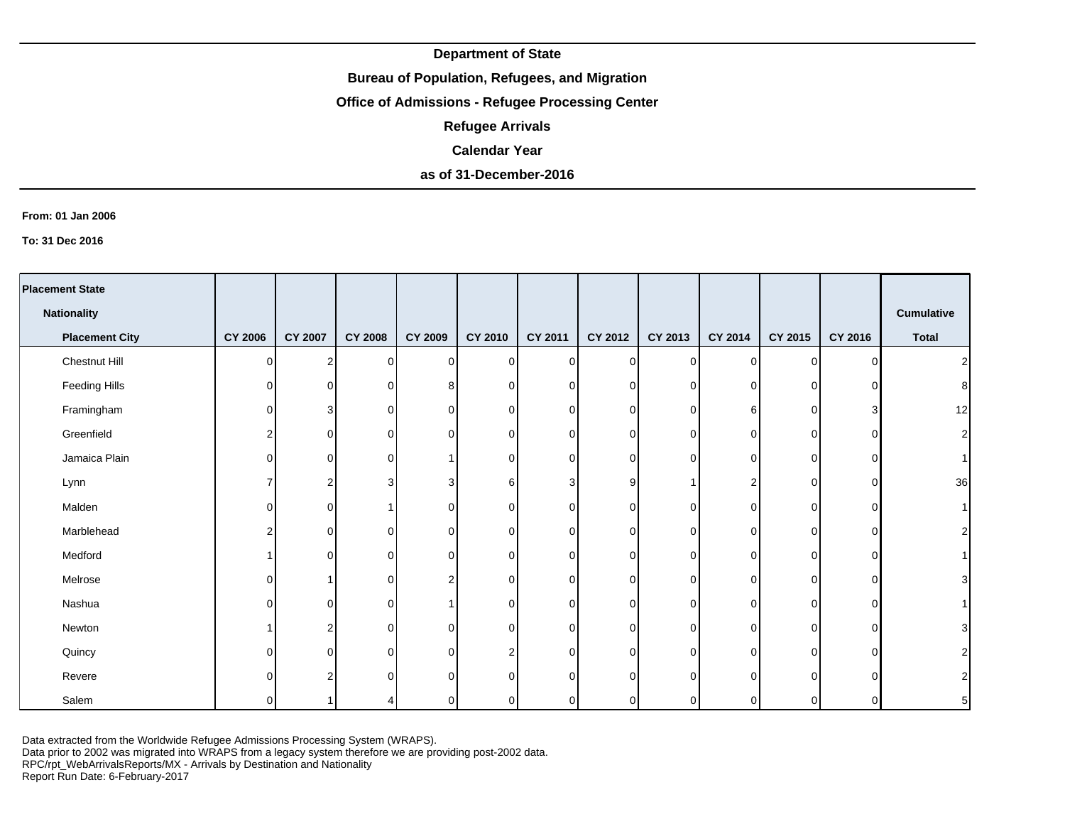## **Bureau of Population, Refugees, and Migration**

# **Office of Admissions - Refugee Processing Center**

**Refugee Arrivals**

#### **Calendar Year**

# **as of 31-December-2016**

#### **From: 01 Jan 2006**

**To: 31 Dec 2016**

| <b>Placement State</b> |                |                |                |                |                |          |             |          |             |                |          |                   |
|------------------------|----------------|----------------|----------------|----------------|----------------|----------|-------------|----------|-------------|----------------|----------|-------------------|
| <b>Nationality</b>     |                |                |                |                |                |          |             |          |             |                |          | <b>Cumulative</b> |
|                        |                |                |                |                |                |          |             |          |             |                |          |                   |
| <b>Placement City</b>  | <b>CY 2006</b> | <b>CY 2007</b> | <b>CY 2008</b> | <b>CY 2009</b> | CY 2010        | CY 2011  | CY 2012     | CY 2013  | CY 2014     | CY 2015        | CY 2016  | <b>Total</b>      |
| Chestnut Hill          | $\Omega$       | $\mathcal{P}$  | $\overline{0}$ | $\overline{0}$ | $\overline{0}$ | $\Omega$ | $\mathbf 0$ | $\Omega$ | $\mathbf 0$ | $\overline{0}$ | $\Omega$ | 2                 |
| Feeding Hills          | 0              | 0              | $\mathbf 0$    | 8              | $\Omega$       | $\Omega$ | 0           | $\Omega$ | $\mathbf 0$ | $\overline{0}$ |          | 8 <sup>1</sup>    |
| Framingham             | 0              | 3              | 0              | 0              | $\overline{0}$ | 0        | 0           | 0        | 6           | $\overline{0}$ | З        | 12                |
| Greenfield             | 2              | 0              | 0              | $\Omega$       | $\overline{0}$ | 0        | 0           | 0        | 0           | 0              | ∩        | $\mathbf{2}$      |
| Jamaica Plain          | $\Omega$       | $\Omega$       | 0              |                | $\overline{0}$ | 0        | 0           | ∩        | $\mathbf 0$ | $\overline{0}$ | ∩        | $\vert$           |
| Lynn                   |                | 2              | 3              | 3              | 6              | 3        | 9           |          | 2           | $\overline{0}$ | ∩        | 36                |
| Malden                 | 0              | $\Omega$       |                | $\Omega$       | $\overline{0}$ | 0        | 0           | 0        | $\mathbf 0$ | $\overline{0}$ | O        | 1                 |
| Marblehead             | 2              | $\Omega$       | 0              | 0              | $\overline{0}$ | 0        | $\mathbf 0$ | $\Omega$ | 0           | $\overline{0}$ | O        | 2                 |
| Medford                | 1              | $\Omega$       | 0              | 0              | $\overline{0}$ | 0        | 0           | 0        | 0           | $\overline{0}$ | O        | 1 <sup>1</sup>    |
| Melrose                | $\Omega$       |                | $\mathbf 0$    | $\overline{2}$ | $\overline{0}$ | $\Omega$ | 0           | $\Omega$ | $\Omega$    | $\overline{0}$ | $\Omega$ | $\overline{3}$    |
| Nashua                 | $\Omega$       | $\Omega$       | 0              |                | $\overline{0}$ | O.       | 0           | $\Omega$ | $\mathbf 0$ | $\overline{0}$ | $\Omega$ | 1 <sup>1</sup>    |
| Newton                 | 1              | 2              | 0              | 0              | $\overline{0}$ | $\Omega$ | $\mathbf 0$ | $\Omega$ | $\mathbf 0$ | $\mathbf 0$    | $\Omega$ | $\mathbf{3}$      |
| Quincy                 | 0              | $\Omega$       | $\mathbf 0$    | 0              | $\overline{2}$ | 0        | 0           | $\Omega$ | $\mathbf 0$ | $\overline{0}$ | O        | $\mathbf{2}$      |
| Revere                 | $\Omega$       |                | $\Omega$       | $\Omega$       | $\Omega$       | ∩        | $\Omega$    | $\Omega$ | $\Omega$    | $\Omega$       | ∩        | $\mathbf{2}$      |
| Salem                  | $\Omega$       |                | 4              | $\Omega$       | $\Omega$       | O.       | $\mathbf 0$ |          | $\Omega$    | 0              |          | 5 <sub>5</sub>    |

Data extracted from the Worldwide Refugee Admissions Processing System (WRAPS).

Data prior to 2002 was migrated into WRAPS from a legacy system therefore we are providing post-2002 data.

RPC/rpt\_WebArrivalsReports/MX - Arrivals by Destination and Nationality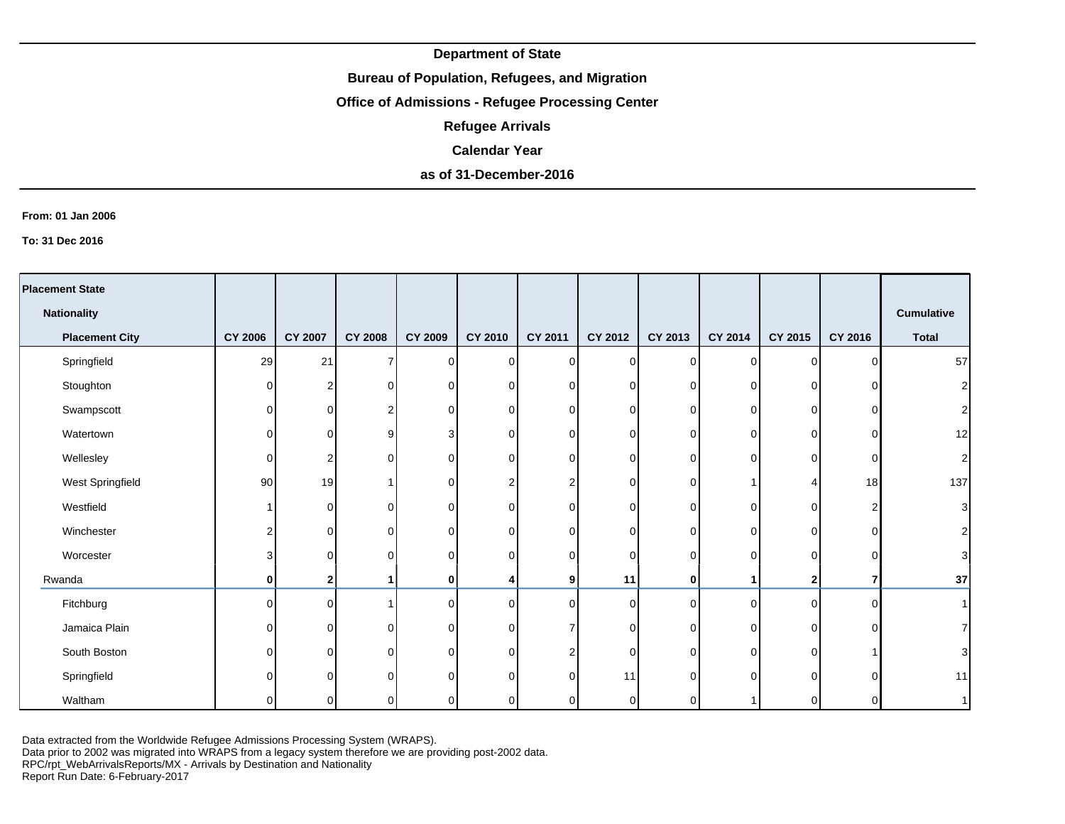### **Bureau of Population, Refugees, and Migration**

# **Office of Admissions - Refugee Processing Center**

**Refugee Arrivals**

#### **Calendar Year**

# **as of 31-December-2016**

#### **From: 01 Jan 2006**

**To: 31 Dec 2016**

| <b>Placement State</b> |                |                |                |                |                         |                |                |          |             |              |          |                   |
|------------------------|----------------|----------------|----------------|----------------|-------------------------|----------------|----------------|----------|-------------|--------------|----------|-------------------|
| <b>Nationality</b>     |                |                |                |                |                         |                |                |          |             |              |          | <b>Cumulative</b> |
| <b>Placement City</b>  | <b>CY 2006</b> | <b>CY 2007</b> | <b>CY 2008</b> | <b>CY 2009</b> | <b>CY 2010</b>          | <b>CY 2011</b> | CY 2012        | CY 2013  | CY 2014     | CY 2015      | CY 2016  | <b>Total</b>      |
| Springfield            | 29             | 21             | $\overline{7}$ | $\Omega$       | $\overline{0}$          | $\Omega$       | $\overline{0}$ | $\Omega$ | $\mathbf 0$ | $\mathbf 0$  | ∩        | 57                |
| Stoughton              | $\Omega$       | $\overline{2}$ | 0              | $\Omega$       | $\overline{0}$          | $\Omega$       | $\overline{0}$ | 0        | $\Omega$    | 0            |          | $\mathbf{2}$      |
| Swampscott             | $\Omega$       | $\Omega$       | 2              | $\Omega$       | 0                       | $\overline{0}$ | $\overline{0}$ | 0        | 0           | 0            | C        | $\mathbf{2}$      |
| Watertown              | 0              | $\Omega$       | 9              |                | 0                       | $\Omega$       | 0              | 0        | $\Omega$    | 0            | C        | 12                |
| Wellesley              | $\Omega$       | 2              | 0              | ∩              | 0                       | $\Omega$       | $\mathbf 0$    | 0        | $\mathbf 0$ | 0            | C        | $\mathbf{2}$      |
| West Springfield       | 90             | 19             |                | $\Omega$       | $\overline{\mathbf{c}}$ | 2              | $\mathbf 0$    | 0        |             | 4            | 18       | 137               |
| Westfield              |                | $\Omega$       | 0              | $\Omega$       | 0                       | $\Omega$       | $\overline{0}$ | $\Omega$ | $\Omega$    | 0            |          | $\mathbf{3}$      |
| Winchester             | 2              | $\Omega$       | 0              | $\Omega$       | 0                       | $\Omega$       | $\overline{0}$ | 0        | $\Omega$    | $\Omega$     | ∩        | $\mathbf{2}$      |
| Worcester              | 3              | $\Omega$       | $\Omega$       | $\Omega$       | $\mathbf 0$             | $\Omega$       | $\mathbf 0$    | $\Omega$ | $\Omega$    | 0            | C        | $\mathbf{3}$      |
| Rwanda                 | 0              | 2              |                | $\bf{0}$       | 4                       | 9 <sup>1</sup> | 11             | 0        |             | $\mathbf{2}$ |          | 37                |
| Fitchburg              | $\Omega$       | $\Omega$       |                | $\Omega$       | $\overline{0}$          | $\Omega$       | $\overline{0}$ | $\Omega$ | $\Omega$    | $\Omega$     | $\Omega$ | 1                 |
| Jamaica Plain          | $\Omega$       | $\Omega$       | $\Omega$       | $\Omega$       | 0                       | 7              | $\overline{0}$ | $\Omega$ | $\Omega$    | $\Omega$     | C        | $\overline{7}$    |
| South Boston           | ΩI             | 0              | $\Omega$       | $\Omega$       | $\mathbf 0$             | 2              | $\Omega$       | U        | $\Omega$    | $\Omega$     |          | $\overline{3}$    |
| Springfield            |                | $\Omega$       | ∩              | ∩              | $\mathbf 0$             | $\Omega$       | 11             | n        | $\Omega$    | 0            | C        | 11                |
| Waltham                | U              | O.             |                |                | $\mathbf 0$             | $\Omega$       | 0              |          |             | U            |          | 1                 |

Data extracted from the Worldwide Refugee Admissions Processing System (WRAPS).

Data prior to 2002 was migrated into WRAPS from a legacy system therefore we are providing post-2002 data.

RPC/rpt\_WebArrivalsReports/MX - Arrivals by Destination and Nationality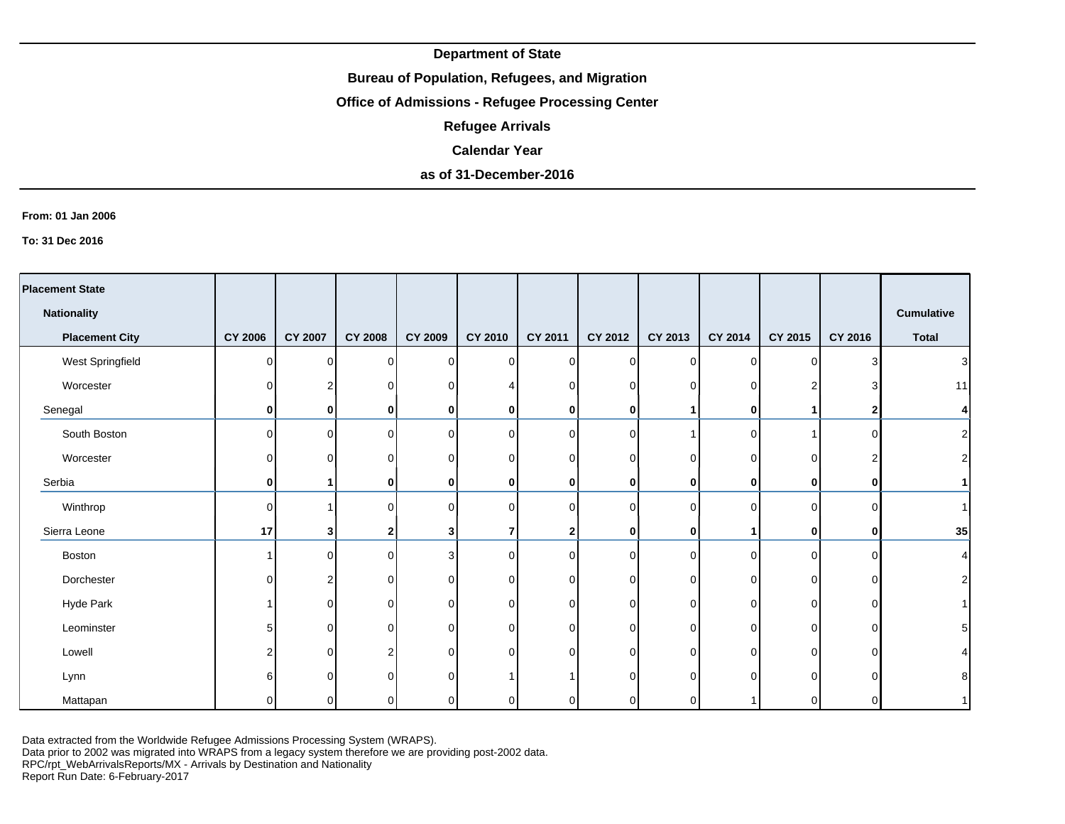## **Bureau of Population, Refugees, and Migration**

# **Office of Admissions - Refugee Processing Center**

**Refugee Arrivals**

#### **Calendar Year**

# **as of 31-December-2016**

#### **From: 01 Jan 2006**

**To: 31 Dec 2016**

| <b>Placement State</b> |          |                |                |                |                |              |             |             |              |         |              |                  |
|------------------------|----------|----------------|----------------|----------------|----------------|--------------|-------------|-------------|--------------|---------|--------------|------------------|
| <b>Nationality</b>     |          |                |                |                |                |              |             |             |              |         |              | Cumulative       |
| <b>Placement City</b>  | CY 2006  | <b>CY 2007</b> | <b>CY 2008</b> | <b>CY 2009</b> | <b>CY 2010</b> | CY 2011      | CY 2012     | CY 2013     | CY 2014      | CY 2015 | CY 2016      | <b>Total</b>     |
| West Springfield       | $\Omega$ | $\Omega$       | $\Omega$       | $\Omega$       | $\overline{0}$ | $\Omega$     | $\mathbf 0$ | 0           | $\Omega$     | 0       |              | 3                |
| Worcester              | $\Omega$ |                | $\Omega$       |                |                | ∩            | 0           | 0           | 0            | 2       |              | 11               |
| Senegal                | 0        | $\mathbf{0}$   | 0              | 0              | $\mathbf 0$    | 0            | 0           |             | $\mathbf{0}$ |         |              | 4                |
| South Boston           | $\Omega$ | $\Omega$       | $\Omega$       | $\Omega$       | $\overline{0}$ | U            | $\mathbf 0$ |             | $\Omega$     |         | ∩            | $\boldsymbol{2}$ |
| Worcester              | $\Omega$ | U              | $\Omega$       |                | $\overline{0}$ |              | $\mathbf 0$ |             | 0            | 0       |              | $\boldsymbol{2}$ |
| Serbia                 | 0        |                | 0              |                | $\mathbf 0$    | 0            | $\bf{0}$    | 0           | 0            | 0       | ŋ            |                  |
| Winthrop               | $\Omega$ |                | $\Omega$       | ∩              | $\overline{0}$ | ∩            | 0           | $\Omega$    | $\Omega$     | 0       |              |                  |
| Sierra Leone           | 17       | 31             | $\mathbf{2}$   |                | $\overline{7}$ | $\mathbf{2}$ | 0           | $\mathbf 0$ |              | 0       | $\mathbf{0}$ | 35               |
| Boston                 |          | $\Omega$       | $\Omega$       | 3              | $\overline{0}$ | $\Omega$     | $\Omega$    | $\Omega$    | 0            | 0       | $\Omega$     | 4                |
| Dorchester             | $\Omega$ | っ              | $\Omega$       | 0              | $\overline{0}$ | n.           | $\Omega$    | $\Omega$    | $\Omega$     | 0       | $\cap$       | $\overline{2}$   |
| Hyde Park              |          | $\Omega$       | $\Omega$       | 0              | $\overline{0}$ | $\Omega$     | $\mathbf 0$ | $\Omega$    | 0            | 0       | ∩            |                  |
| Leominster             | 5        | 0              | $\Omega$       | $\Omega$       | $\overline{0}$ | U            | $\Omega$    | U           | $\Omega$     | 0       |              | 5                |
| Lowell                 | 2        | ∩              | 2              | ∩              | $\Omega$       | ∩            | $\Omega$    | U           | 0            | 0       |              |                  |
| Lynn                   | 6        | ∩              |                |                |                |              | C           |             | <sup>n</sup> | U       |              | 8                |
| Mattapan               | U        |                |                |                | 0              |              | 0           |             |              |         |              |                  |

Data extracted from the Worldwide Refugee Admissions Processing System (WRAPS).

Data prior to 2002 was migrated into WRAPS from a legacy system therefore we are providing post-2002 data.

RPC/rpt\_WebArrivalsReports/MX - Arrivals by Destination and Nationality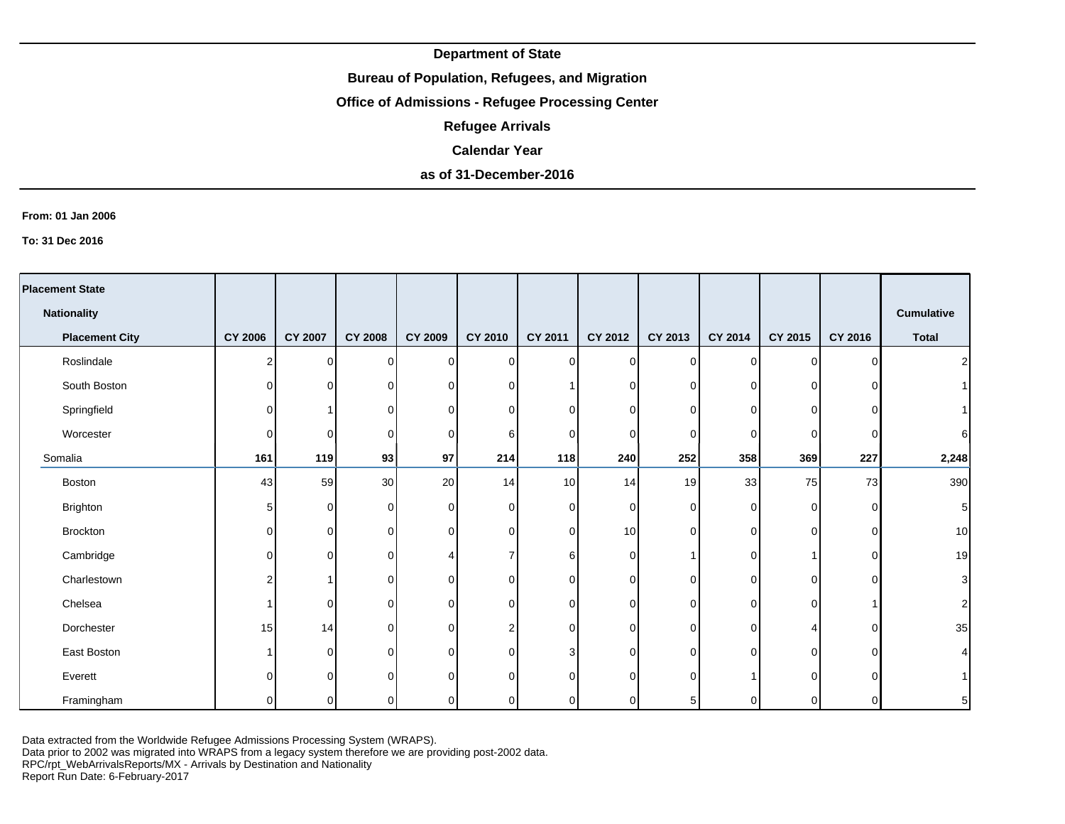## **Bureau of Population, Refugees, and Migration**

# **Office of Admissions - Refugee Processing Center**

**Refugee Arrivals**

#### **Calendar Year**

# **as of 31-December-2016**

#### **From: 01 Jan 2006**

**To: 31 Dec 2016**

| <b>Placement State</b> |                |                |                |                |                |                |             |                |          |             |          |                         |
|------------------------|----------------|----------------|----------------|----------------|----------------|----------------|-------------|----------------|----------|-------------|----------|-------------------------|
| <b>Nationality</b>     |                |                |                |                |                |                |             |                |          |             |          | <b>Cumulative</b>       |
| <b>Placement City</b>  | <b>CY 2006</b> | <b>CY 2007</b> | <b>CY 2008</b> | <b>CY 2009</b> | CY 2010        | CY 2011        | CY 2012     | CY 2013        | CY 2014  | CY 2015     | CY 2016  | <b>Total</b>            |
| Roslindale             | 2              | $\overline{0}$ | 0              | $\overline{0}$ | $\overline{0}$ | $\overline{0}$ | $\mathbf 0$ | $\overline{0}$ | $\Omega$ | $\mathbf 0$ | $\Omega$ | $\overline{\mathbf{c}}$ |
| South Boston           | 0              | $\Omega$       | 0              | $\overline{0}$ | $\overline{0}$ |                | 0           | $\overline{0}$ | $\Omega$ | $\Omega$    |          | $\overline{1}$          |
| Springfield            | O              |                | $\mathbf 0$    | $\overline{0}$ | $\overline{0}$ | 0              | 0           | 0              | $\Omega$ | 0           |          |                         |
| Worcester              | 0              | 0              | 0              | $\overline{0}$ | $6 \mid$       | 0              | 0           | 0              | $\Omega$ | 0           | ∩        | 6                       |
| Somalia                | 161            | 119            | 93             | 97             | 214            | 118            | 240         | 252            | 358      | 369         | 227      | 2,248                   |
| <b>Boston</b>          | 43             | 59             | 30             | 20             | 14             | 10             | 14          | 19             | 33       | 75          | 73       | 390                     |
| Brighton               | 5              | 0              | 0              | $\overline{0}$ | $\overline{0}$ | 0              | $\mathbf 0$ | $\Omega$       | 0        | $\mathbf 0$ | $\Omega$ | 5                       |
| <b>Brockton</b>        | 0              | 0              | 0              | $\overline{0}$ | $\overline{0}$ | $\Omega$       | 10          | $\Omega$       | $\Omega$ | $\Omega$    | $\Omega$ | 10                      |
| Cambridge              | 0              | $\Omega$       | $\mathbf 0$    |                | $\overline{7}$ | 6              | 0           |                | $\Omega$ |             | ∩        | 19                      |
| Charlestown            | 2              |                | $\mathbf 0$    | 0              | $\mathbf 0$    | 0              | 0           | 0              | $\Omega$ | $\Omega$    | $\Omega$ | $\mathsf 3$             |
| Chelsea                |                | $\Omega$       | 0              | $\mathbf 0$    | $\overline{0}$ | $\Omega$       | $\mathbf 0$ | $\Omega$       | $\Omega$ | $\Omega$    |          | $\overline{\mathbf{c}}$ |
| Dorchester             | 15             | 14             | $\mathbf 0$    | $\overline{0}$ | 2              | $\Omega$       | 0           | 0              | 0        | Δ           | $\Omega$ | 35                      |
| East Boston            |                | $\Omega$       | $\Omega$       | $\Omega$       | $\Omega$       | 3              | 0           | $\Omega$       | $\Omega$ | $\Omega$    |          | 4                       |
| Everett                | U              | $\Omega$       | $\Omega$       | $\Omega$       | $\Omega$       | U              | $\mathbf 0$ | 0              |          | U           |          |                         |
| Framingham             | 0              | $\Omega$       | $\Omega$       | $\Omega$       | $\Omega$       | 0              | 0           | 5              | $\Omega$ | 0           | ΩI       | $\mathbf 5$             |

Data extracted from the Worldwide Refugee Admissions Processing System (WRAPS).

Data prior to 2002 was migrated into WRAPS from a legacy system therefore we are providing post-2002 data.

RPC/rpt\_WebArrivalsReports/MX - Arrivals by Destination and Nationality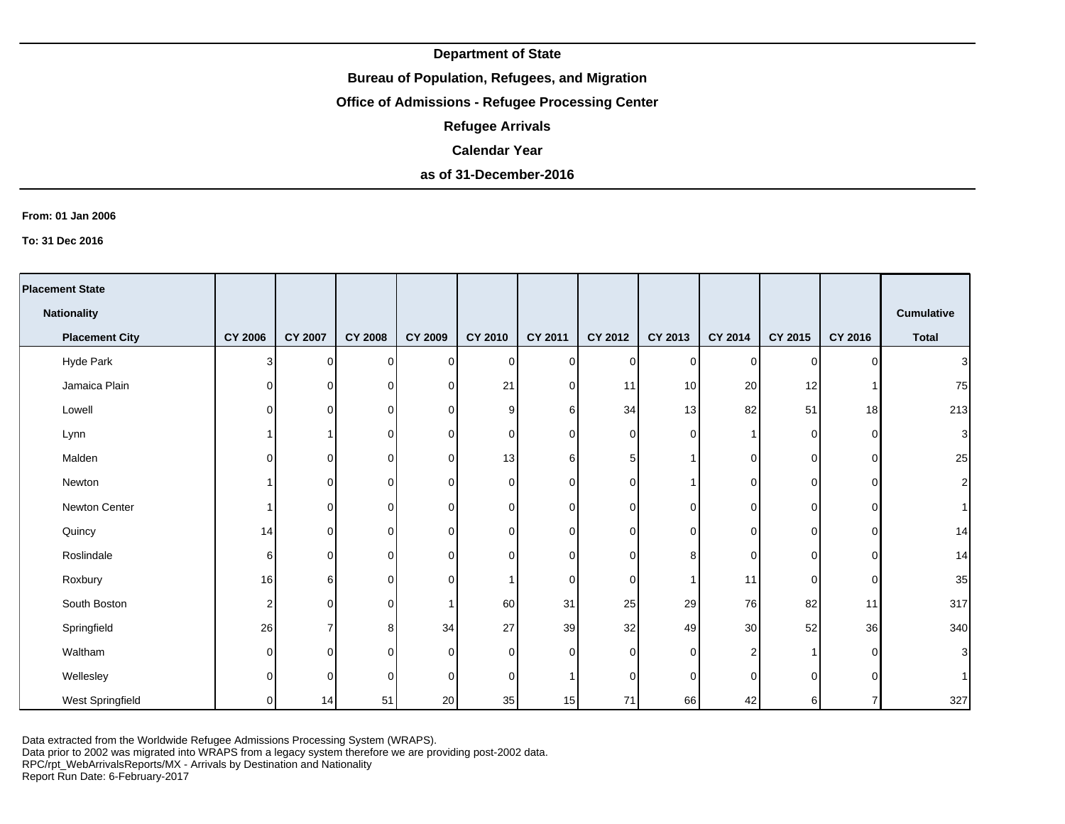## **Bureau of Population, Refugees, and Migration**

# **Office of Admissions - Refugee Processing Center**

**Refugee Arrivals**

#### **Calendar Year**

## **as of 31-December-2016**

#### **From: 01 Jan 2006**

**To: 31 Dec 2016**

| <b>Placement State</b> |                |                |                |                |             |          |                |                 |                 |                |          |                   |
|------------------------|----------------|----------------|----------------|----------------|-------------|----------|----------------|-----------------|-----------------|----------------|----------|-------------------|
| <b>Nationality</b>     |                |                |                |                |             |          |                |                 |                 |                |          | <b>Cumulative</b> |
| <b>Placement City</b>  | <b>CY 2006</b> | <b>CY 2007</b> | <b>CY 2008</b> | <b>CY 2009</b> | CY 2010     | CY 2011  | CY 2012        | CY 2013         | CY 2014         | CY 2015        | CY 2016  | <b>Total</b>      |
| Hyde Park              | 3              | $\Omega$       | $\Omega$       | $\Omega$       | 0           | $\Omega$ | $\overline{0}$ | $\overline{0}$  | $\overline{0}$  | $\Omega$       | $\Omega$ | 3                 |
| Jamaica Plain          | 0              | $\Omega$       | 0              | $\Omega$       | 21          | $\Omega$ | 11             | 10 <sup>1</sup> | 20              | 12             |          | 75                |
| Lowell                 | $\Omega$       | $\Omega$       | 0              | $\Omega$       | 9           | 6        | 34             | 13 <sup>1</sup> | 82              | 51             | 18       | 213               |
| Lynn                   |                |                | 0              | $\Omega$       | 0           | 0        | $\mathbf 0$    | $\Omega$        |                 | $\overline{0}$ | $\Omega$ | 3                 |
| Malden                 | 0              | $\Omega$       | $\Omega$       | $\Omega$       | 13          | 6        | $\,$ 5 $\,$    |                 | $\overline{0}$  | $\overline{0}$ | $\Omega$ | 25                |
| Newton                 |                | $\Omega$       | $\Omega$       | $\Omega$       | 0           | 0        | $\mathbf 0$    |                 | $\overline{0}$  | $\Omega$       | $\Omega$ | 2                 |
| Newton Center          |                | $\overline{0}$ | 0              | $\Omega$       | 0           | $\Omega$ | $\mathbf 0$    | $\Omega$        | $\overline{0}$  | $\overline{0}$ | $\Omega$ |                   |
| Quincy                 | 14             | οI             | 0              | $\Omega$       | 0           | $\Omega$ | $\mathbf 0$    | $\Omega$        | $\overline{0}$  | $\overline{0}$ | $\Omega$ | 14                |
| Roslindale             | 6              | $\Omega$       | 0              | $\Omega$       | 0           | 0        | $\mathbf 0$    | 8               | $\overline{0}$  | $\overline{0}$ | $\Omega$ | 14                |
| Roxbury                | 16             | 6 <sup>1</sup> | $\Omega$       | $\Omega$       | 1           | 0        | $\mathbf 0$    |                 | 11              | $\overline{0}$ | $\Omega$ | 35                |
| South Boston           | 2              | $\Omega$       | 0              |                | 60          | 31       | 25             | 29              | 76              | 82             | 11       | 317               |
| Springfield            | 26             | 7              | 8              | 34             | 27          | 39       | 32             | 49              | 30 <sub>l</sub> | 52             | 36       | 340               |
| Waltham                | $\Omega$       | $\Omega$       | 0              | $\Omega$       | $\mathbf 0$ | $\Omega$ | $\overline{0}$ | $\overline{0}$  | 2               |                | $\Omega$ | 3                 |
| Wellesley              | 0              | $\Omega$       | $\Omega$       | $\Omega$       | $\mathbf 0$ |          | $\overline{0}$ | $\Omega$        | $\Omega$        | $\Omega$       | ∩        |                   |
| West Springfield       | 0              | 14             | 51             | 20             | 35          | 15       | 71             | 66              | 42              | $6 \mid$       |          | 327               |

Data extracted from the Worldwide Refugee Admissions Processing System (WRAPS).

Data prior to 2002 was migrated into WRAPS from a legacy system therefore we are providing post-2002 data.

RPC/rpt\_WebArrivalsReports/MX - Arrivals by Destination and Nationality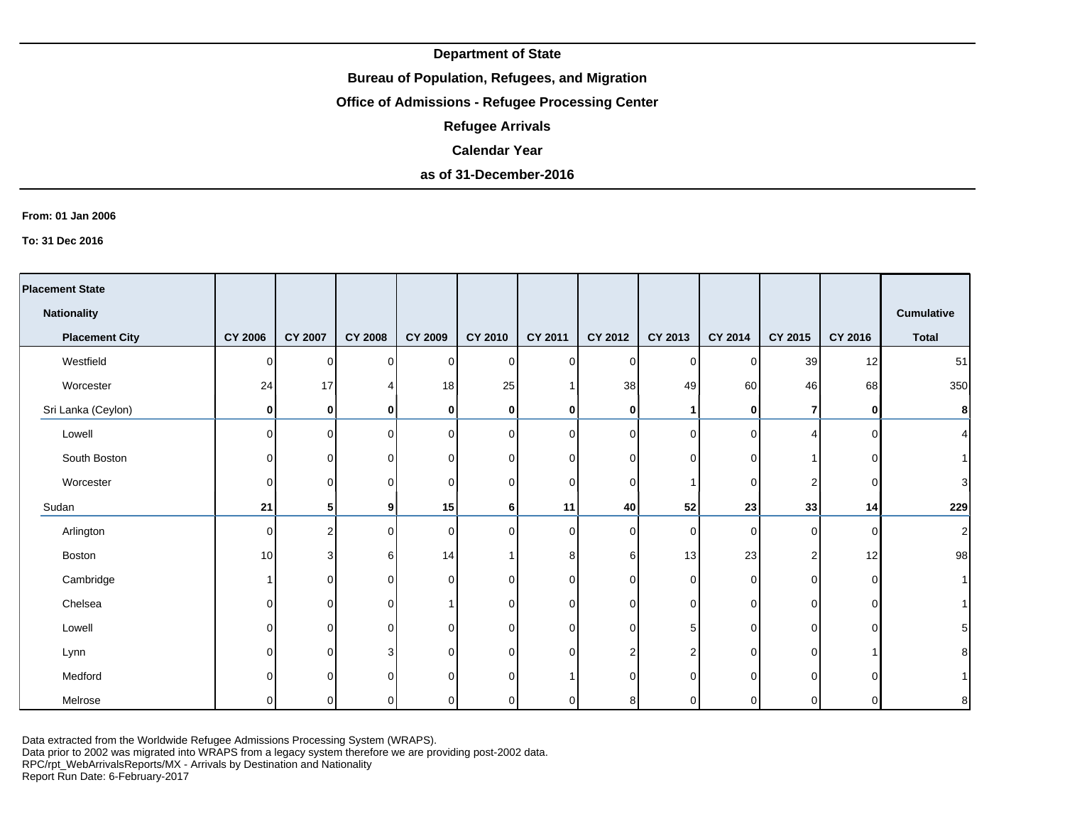### **Bureau of Population, Refugees, and Migration**

# **Office of Admissions - Refugee Processing Center**

**Refugee Arrivals**

#### **Calendar Year**

# **as of 31-December-2016**

#### **From: 01 Jan 2006**

**To: 31 Dec 2016**

| <b>Placement State</b> |                |                |                |          |                |                |                |          |             |                |              |                   |
|------------------------|----------------|----------------|----------------|----------|----------------|----------------|----------------|----------|-------------|----------------|--------------|-------------------|
| <b>Nationality</b>     |                |                |                |          |                |                |                |          |             |                |              | <b>Cumulative</b> |
| <b>Placement City</b>  | <b>CY 2006</b> | <b>CY 2007</b> | <b>CY 2008</b> | CY 2009  | CY 2010        | CY 2011        | CY 2012        | CY 2013  | CY 2014     | CY 2015        | CY 2016      | <b>Total</b>      |
| Westfield              | 0              | $\Omega$       | $\Omega$       | $\Omega$ | $\overline{0}$ | $\Omega$       | $\Omega$       | $\Omega$ | 0           | 39             | 12           | 51                |
| Worcester              | 24             | 17             | 4              | 18       | 25             |                | 38             | 49       | 60          | 46             | 68           | 350               |
| Sri Lanka (Ceylon)     | 0              | 0              | 0              | 0        | $\mathbf 0$    | 0              | 0              |          | 0           | $\overline{7}$ | $\mathbf{0}$ | 8                 |
| Lowell                 | 0              | $\Omega$       | $\Omega$       | $\Omega$ | $\overline{0}$ | <sup>n</sup>   | 0              | $\Omega$ | $\Omega$    | 4              | $\Omega$     | $\vert$           |
| South Boston           | 0              | $\Omega$       | $\Omega$       | 0        | $\overline{0}$ | 0              | $\mathbf 0$    | U        | $\Omega$    |                | $\Omega$     | 1                 |
| Worcester              | 0              | $\overline{0}$ | $\Omega$       | $\Omega$ | $\overline{0}$ | <sup>n</sup>   | 0              |          | $\mathbf 0$ | 2 <sub>1</sub> | <sup>0</sup> | $\mathbf{3}$      |
| Sudan                  | 21             | 51             | 9              | 15       | 6              | 11             | 40             | 52       | 23          | 33             | 14           | 229               |
| Arlington              | 0              | 2              | $\Omega$       | $\Omega$ | $\overline{0}$ | <sup>n</sup>   | 0              | $\Omega$ | $\Omega$    | $\overline{0}$ | 0            | $\mathbf{2}$      |
| Boston                 | 10             | 3              | 6              | 14       | $\mathbf{1}$   | 8 <sup>1</sup> | 6              | 13       | 23          | $\overline{2}$ | 12           | 98                |
| Cambridge              | 1              | $\Omega$       | $\Omega$       | $\Omega$ | $\overline{0}$ | 0              | 0              | $\Omega$ | $\mathbf 0$ | $\overline{0}$ | $\Omega$     | 1                 |
| Chelsea                | $\Omega$       | $\overline{0}$ | $\Omega$       |          | 0              | <sup>n</sup>   | 0              | $\Omega$ | 0           | $\overline{0}$ | $\Omega$     | 1                 |
| Lowell                 | 0              | $\Omega$       | $\Omega$       | 0        | $\overline{0}$ | 0              | $\mathbf 0$    | 5        | $\mathbf 0$ | $\overline{0}$ | $\Omega$     | 5 <sup>1</sup>    |
| Lynn                   | U              | $\Omega$       | 3              | $\Omega$ | $\mathbf 0$    | $\Omega$       | $\overline{2}$ |          | $\Omega$    | $\Omega$       |              | 8 <sup>1</sup>    |
| Medford                |                | 0              | $\Omega$       | $\Omega$ | $\mathbf 0$    |                | $\Omega$       |          | $\Omega$    | $\overline{0}$ |              | 1                 |
| Melrose                |                | $\Omega$       | ∩              |          | 0              | U              | 8              |          | $\Omega$    | 0              | $\Omega$     | 8 <sup>1</sup>    |

Data extracted from the Worldwide Refugee Admissions Processing System (WRAPS).

Data prior to 2002 was migrated into WRAPS from a legacy system therefore we are providing post-2002 data.

RPC/rpt\_WebArrivalsReports/MX - Arrivals by Destination and Nationality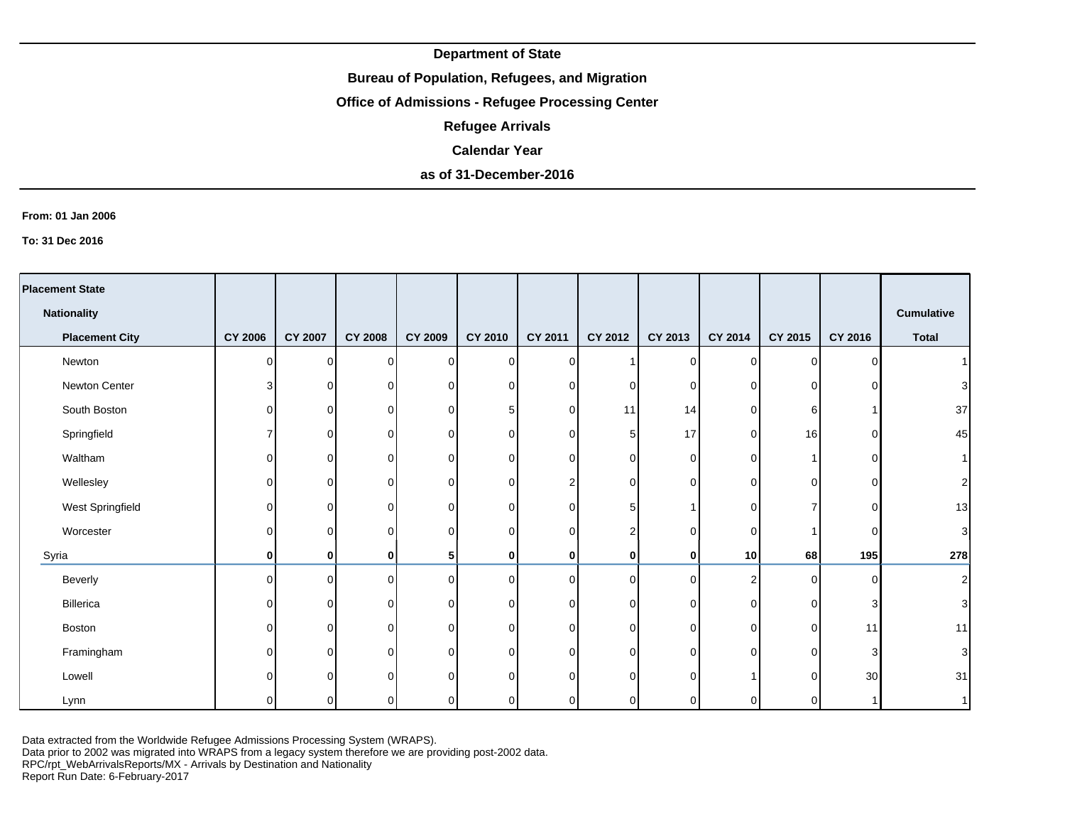## **Bureau of Population, Refugees, and Migration**

# **Office of Admissions - Refugee Processing Center**

**Refugee Arrivals**

#### **Calendar Year**

# **as of 31-December-2016**

#### **From: 01 Jan 2006**

**To: 31 Dec 2016**

| <b>Placement State</b> |                |          |                |                |                 |                |                |          |                |             |         |                   |
|------------------------|----------------|----------|----------------|----------------|-----------------|----------------|----------------|----------|----------------|-------------|---------|-------------------|
| <b>Nationality</b>     |                |          |                |                |                 |                |                |          |                |             |         | <b>Cumulative</b> |
| <b>Placement City</b>  | <b>CY 2006</b> | CY 2007  | <b>CY 2008</b> | <b>CY 2009</b> | CY 2010         | <b>CY 2011</b> | CY 2012        | CY 2013  | CY 2014        | CY 2015     | CY 2016 | <b>Total</b>      |
| Newton                 | 0              | $\Omega$ | 0              | $\overline{0}$ | $\overline{0}$  | $\cap$         |                | 0        | $\mathbf 0$    | 0           | C       | 1 <sup>1</sup>    |
| Newton Center          | 3              | $\Omega$ | $\mathbf 0$    | 0              | $\mathbf 0$     | n              | 0              | 0        | 0              | 0           |         | 3                 |
| South Boston           | 0              | 0        | 0              | 0              | $5\phantom{.0}$ | $\Omega$       | 11             | 14       | 0              | 6           |         | 37                |
| Springfield            |                | 0        | 0              | 0              | $\overline{0}$  | $\Omega$       | 5              | 17       | 0              | 16          | ∩       | 45                |
| Waltham                | 0              | 0        | $\Omega$       | $\Omega$       | $\overline{0}$  | $\Omega$       | 0              | $\Omega$ | $\Omega$       |             | ∩       | 1                 |
| Wellesley              | 0              | 0        | $\mathbf 0$    | 0              | $\overline{0}$  |                | 0              | 0        | $\Omega$       | 0           | ∩       | $\mathbf{2}$      |
| West Springfield       | O              | 0        | 0              | 0              | $\overline{0}$  | U              | 5              |          | 0              |             | ∩       | 13                |
| Worcester              | U              | 0        | 0              | $\Omega$       | $\mathbf 0$     | $\cap$         | $\overline{2}$ | $\Omega$ | 0              |             | C       | $\mathbf{3}$      |
| Syria                  | 0              | 0        | 0              | 5              | $\bf{0}$        | $\mathbf{0}$   | 0              | 0        | 10             | 68          | 195     | 278               |
| Beverly                | U              | $\Omega$ | $\mathbf 0$    | $\Omega$       | $\overline{0}$  | $\cap$         | $\mathbf 0$    | $\Omega$ | $\overline{2}$ | $\Omega$    | C       | $\mathbf{2}$      |
| Billerica              | 0              | 0        | $\mathbf 0$    | 0              | $\overline{0}$  | $\cap$         | $\mathbf 0$    | $\Omega$ | 0              | $\mathbf 0$ | 3       | $\overline{3}$    |
| Boston                 | U              | $\Omega$ | $\Omega$       | $\Omega$       | $\overline{0}$  | $\cap$         | 0              | $\Omega$ | 0              | 0           | 11      | 11                |
| Framingham             |                | $\Omega$ | $\Omega$       | $\Omega$       | $\overline{0}$  | U              | $\mathbf 0$    | O        | $\Omega$       | $\Omega$    | З       | $\overline{3}$    |
| Lowell                 |                | $\Omega$ | $\Omega$       | $\Omega$       | $\Omega$        | ∩              | $\Omega$       |          |                | $\Omega$    | 30      | 31                |
| Lynn                   |                | ∩        | $\Omega$       |                | 0               |                | 0              |          | ∩              | ŋ           |         | 1                 |

Data extracted from the Worldwide Refugee Admissions Processing System (WRAPS).

Data prior to 2002 was migrated into WRAPS from a legacy system therefore we are providing post-2002 data.

RPC/rpt\_WebArrivalsReports/MX - Arrivals by Destination and Nationality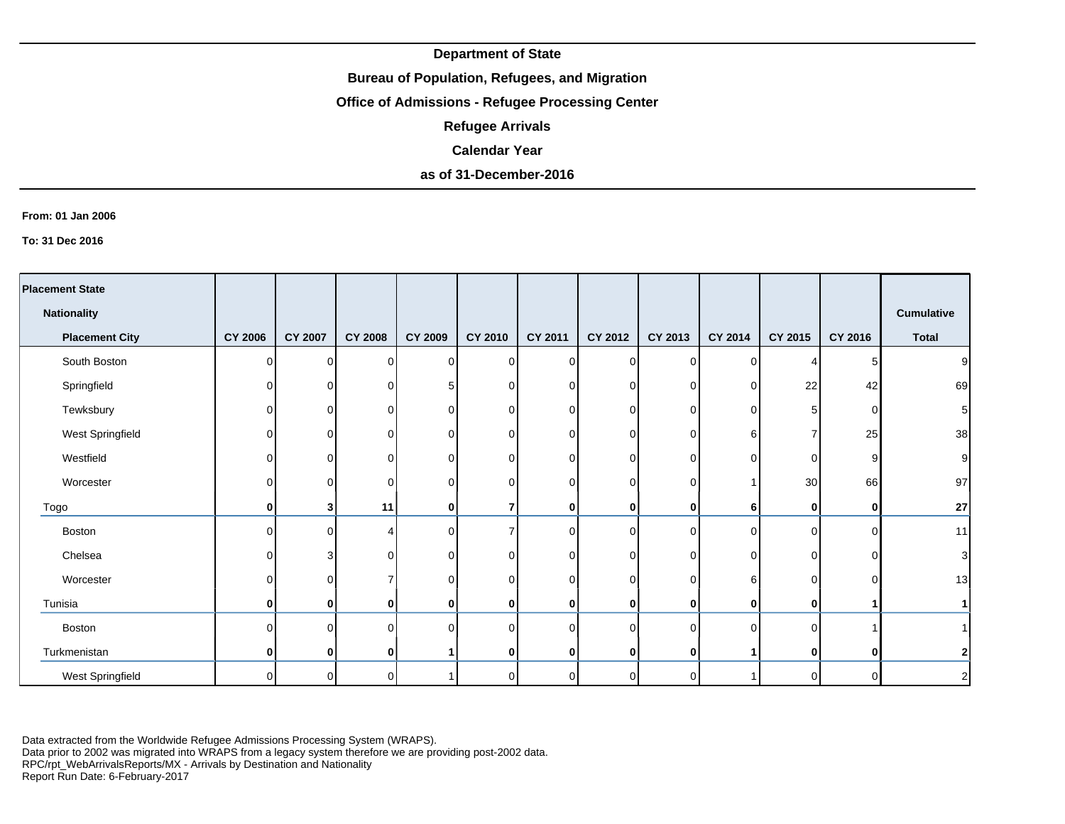## **Bureau of Population, Refugees, and Migration**

# **Office of Admissions - Refugee Processing Center**

**Refugee Arrivals**

### **Calendar Year**

# **as of 31-December-2016**

#### **From: 01 Jan 2006**

**To: 31 Dec 2016**

| <b>Placement State</b> |                |                |                |                |                |              |                |          |          |          |          |                   |
|------------------------|----------------|----------------|----------------|----------------|----------------|--------------|----------------|----------|----------|----------|----------|-------------------|
|                        |                |                |                |                |                |              |                |          |          |          |          |                   |
| <b>Nationality</b>     |                |                |                |                |                |              |                |          |          |          |          | <b>Cumulative</b> |
| <b>Placement City</b>  | <b>CY 2006</b> | <b>CY 2007</b> | <b>CY 2008</b> | <b>CY 2009</b> | CY 2010        | CY 2011      | CY 2012        | CY 2013  | CY 2014  | CY 2015  | CY 2016  | <b>Total</b>      |
| South Boston           | ΩI             | $\Omega$       | $\Omega$       | $\Omega$       | $\mathbf 0$    | ΩI           | $\Omega$       | 0        | $\Omega$ |          | 5        | 9                 |
| Springfield            | $\Omega$       | ΩI             | $\Omega$       |                | $\overline{0}$ | $\Omega$     | $\overline{0}$ | $\Omega$ | 0        | 22       | 42       | 69                |
| Tewksbury              | 0              | 0              | 0              | ∩              | 0              | $\Omega$     | $\mathbf 0$    | O        | $\Omega$ | 5        |          | 5 <sub>5</sub>    |
| West Springfield       | 0              | ΩI             | 0              | $\Omega$       | 0              | $\Omega$     | $\overline{0}$ | 0        | 6        | 7        | 25       | 38                |
| Westfield              | ΩI             | 0              | 0              | ∩              | 0              | $\Omega$     | $\overline{0}$ | 0        | 0        | 0        | o        | $\mathsf g$       |
| Worcester              | $\Omega$       | $\mathbf{0}$   | $\Omega$       | U              | 0              | $\Omega$     | $\overline{0}$ | 0        |          | 30       | 66       | 97                |
| Togo                   | 0              | 3 <sup>1</sup> | 11             | $\bf{0}$       | 7              | $\mathbf{0}$ | $\mathbf{0}$   | 0        | 6        | 0        | O        | 27                |
| Boston                 | U              | $\Omega$       | Δ              | $\Omega$       | $\overline{7}$ | $\Omega$     | $\Omega$       | $\Omega$ | $\Omega$ | $\Omega$ | C        | 11                |
| Chelsea                | $\Omega$       | 3              | $\Omega$       | ∩              | 0              | $\Omega$     | 0              | ŋ        | $\Omega$ | 0        |          | $\mathbf{3}$      |
| Worcester              | 0              | 01             |                | $\Omega$       | 0              | 0            | $\overline{0}$ | 0        | 6        | 0        |          | 13                |
| Tunisia                | ŋ              | $\mathbf{0}$   | 0              | ŋ              | 0              | 0            | 0              | 0        | 0        | 0        |          | 1                 |
| <b>Boston</b>          | U              | O.             | $\Omega$       |                | $\mathbf 0$    | $\Omega$     | $\overline{0}$ | n        | $\Omega$ | $\Omega$ |          | 1 <sup>1</sup>    |
| Turkmenistan           | 0              | $\mathbf{0}$   | 0              |                | 0              | $\mathbf{0}$ | 0              | 0        |          | 0        | ŋ        | $\mathbf{2}$      |
| West Springfield       | ΩI             | $\Omega$       | $\Omega$       |                | 0              | ΩI           | $\overline{0}$ | n        |          | 0        | $\Omega$ | $\mathbf{2}$      |

Data extracted from the Worldwide Refugee Admissions Processing System (WRAPS).

Data prior to 2002 was migrated into WRAPS from a legacy system therefore we are providing post-2002 data.

RPC/rpt\_WebArrivalsReports/MX - Arrivals by Destination and Nationality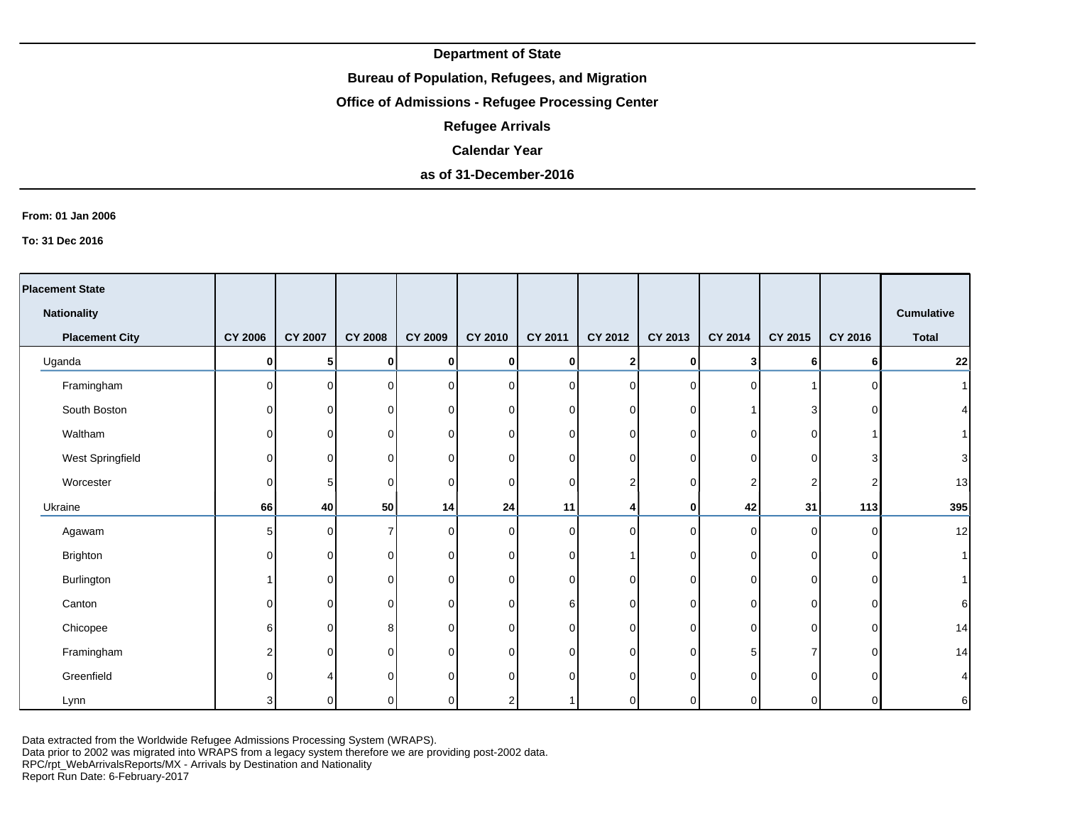## **Bureau of Population, Refugees, and Migration**

# **Office of Admissions - Refugee Processing Center**

**Refugee Arrivals**

#### **Calendar Year**

# **as of 31-December-2016**

#### **From: 01 Jan 2006**

**To: 31 Dec 2016**

| <b>Placement State</b> |                |                |                |                |                |                |                  |          |             |          |          |                   |
|------------------------|----------------|----------------|----------------|----------------|----------------|----------------|------------------|----------|-------------|----------|----------|-------------------|
| <b>Nationality</b>     |                |                |                |                |                |                |                  |          |             |          |          | <b>Cumulative</b> |
| <b>Placement City</b>  | <b>CY 2006</b> | <b>CY 2007</b> | <b>CY 2008</b> | <b>CY 2009</b> | <b>CY 2010</b> | <b>CY 2011</b> | <b>CY 2012</b>   | CY 2013  | CY 2014     | CY 2015  | CY 2016  | <b>Total</b>      |
| Uganda                 | $\mathbf{0}$   | 51             | 0              | $\bf{0}$       | 0              | Οl             | $\mathbf{2}$     | 0        | 3           | 6        | 6        | 22                |
| Framingham             | $\Omega$       | $\Omega$       | $\Omega$       | $\Omega$       | 0              | ΩI             | $\overline{0}$   | $\Omega$ | $\Omega$    |          | C        | 1                 |
| South Boston           | $\Omega$       | $\Omega$       | 0              | 0              | 0              | $\Omega$       | $\overline{0}$   | 0        |             | 3        |          | $\vert$           |
| Waltham                | 0              | ΟI             | 0              | $\Omega$       | 0              | $\overline{0}$ | $\overline{0}$   | 0        | $\mathbf 0$ | 0        |          |                   |
| West Springfield       | 0              | Οl             | $\Omega$       | ∩              | 0              | $\overline{0}$ | $\overline{0}$   | 0        | 0           | 0        | З        | $\overline{3}$    |
| Worcester              | 0              | 5              | 0              | $\Omega$       | 0              | $\Omega$       | $\boldsymbol{2}$ | ŋ        | 2           | 2        |          | 13                |
| Ukraine                | 66             | 40             | 50             | 14             | 24             | 11             | 4                | 0        | 42          | 31       | 113      | 395               |
| Agawam                 | 5 <sup>1</sup> | $\Omega$       | 7              | ∩              | 0              | $\Omega$       | $\mathbf 0$      | $\Omega$ | $\mathbf 0$ | 0        | C        | 12                |
| Brighton               | $\Omega$       | $\Omega$       | $\Omega$       | ∩              | 0              | $\Omega$       |                  | 0        | $\Omega$    | 0        | $\Omega$ | 1                 |
| Burlington             |                | 0              | 0              | $\Omega$       | 0              | $\Omega$       | $\mathbf 0$      | $\Omega$ | $\Omega$    | $\Omega$ | C        | 11                |
| Canton                 | $\Omega$       | $\Omega$       | $\Omega$       | $\Omega$       | 0              | 6              | $\overline{0}$   | 0        | $\Omega$    | $\Omega$ | $\Omega$ | $6 \mid$          |
| Chicopee               | 6              | $\Omega$       | 8              | $\Omega$       | $\mathbf 0$    | $\Omega$       | $\mathbf 0$      | 0        | $\mathbf 0$ | $\Omega$ | $\Omega$ | 14                |
| Framingham             | 2              | $\mathbf{0}$   | 0              | $\Omega$       | 0              | $\Omega$       | $\mathbf 0$      | $\Omega$ | 5           | ⇁        | C        | 14                |
| Greenfield             | U              |                |                |                | 0              | $\Omega$       | $\Omega$         | U        | $\Omega$    | $\Omega$ |          | $\overline{4}$    |
| Lynn                   | 3              | 0              | 0              |                | $\overline{2}$ |                | $\overline{0}$   |          | $\Omega$    | 0        | C        | $6 \mid$          |

Data extracted from the Worldwide Refugee Admissions Processing System (WRAPS).

Data prior to 2002 was migrated into WRAPS from a legacy system therefore we are providing post-2002 data.

RPC/rpt\_WebArrivalsReports/MX - Arrivals by Destination and Nationality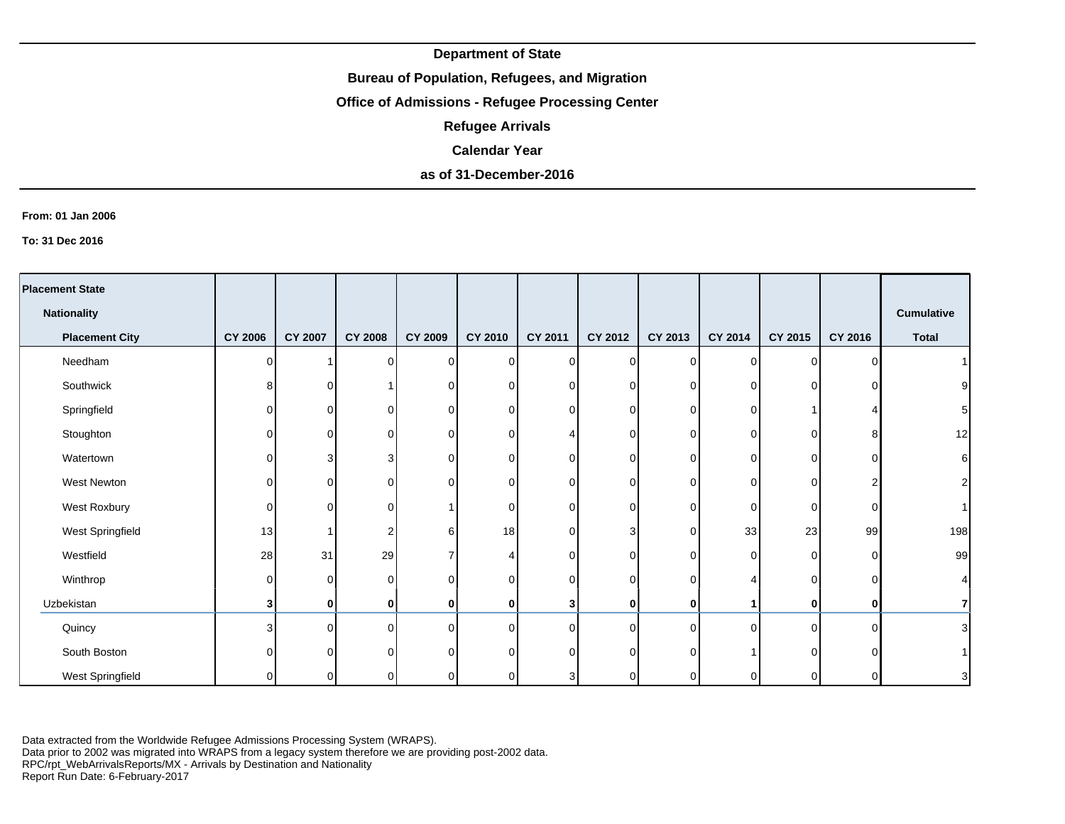## **Bureau of Population, Refugees, and Migration**

# **Office of Admissions - Refugee Processing Center**

**Refugee Arrivals**

### **Calendar Year**

# **as of 31-December-2016**

#### **From: 01 Jan 2006**

**To: 31 Dec 2016**

| <b>Placement State</b> |                |                |                |              |                |                |                |          |             |             |         |                   |
|------------------------|----------------|----------------|----------------|--------------|----------------|----------------|----------------|----------|-------------|-------------|---------|-------------------|
| <b>Nationality</b>     |                |                |                |              |                |                |                |          |             |             |         | <b>Cumulative</b> |
| <b>Placement City</b>  | <b>CY 2006</b> | <b>CY 2007</b> | <b>CY 2008</b> | CY 2009      | <b>CY 2010</b> | <b>CY 2011</b> | CY 2012        | CY 2013  | CY 2014     | CY 2015     | CY 2016 | <b>Total</b>      |
| Needham                | O              |                | $\Omega$       | $\Omega$     | $\mathbf 0$    | ΩI             | $\overline{0}$ | 0        | $\Omega$    | $\Omega$    | ∩       |                   |
| Southwick              | 8              | 0              |                | $\Omega$     | $\overline{0}$ | $\Omega$       | $\overline{0}$ | 0        | 0           | $\Omega$    |         | 9                 |
| Springfield            | ΩI             | 0              | 0              | U            | 0              | $\Omega$       | 0              | $\Omega$ | $\Omega$    |             |         | 5 <sup>1</sup>    |
| Stoughton              | O              | ΩI             | $\Omega$       | $\Omega$     | 0              |                | 0              | 0        | $\Omega$    | $\Omega$    | 8       | 12                |
| Watertown              | 0              | 3              | 3              | ∩            | 0              | $\Omega$       | $\overline{0}$ | 0        | 0           | 0           | C       | $\sqrt{6}$        |
| West Newton            | $\Omega$       | ΩI             | 0              |              | $\overline{0}$ | $\Omega$       | $\overline{0}$ | 0        | $\Omega$    | 0           |         | 2                 |
| West Roxbury           | $\Omega$       | $\Omega$       | $\Omega$       |              | 0              | $\Omega$       | $\overline{0}$ | $\Omega$ | $\mathbf 0$ | $\mathbf 0$ | C       | 1 <sup>1</sup>    |
| West Springfield       | 13             |                | 2              | ิค           | 18             | $\Omega$       | 3              | O        | 33          | 23          | 99      | 198               |
| Westfield              | 28             | 31             | 29             |              | 4              | $\Omega$       | $\overline{0}$ | ი        | $\Omega$    | 0           |         | 99                |
| Winthrop               | $\Omega$       | $\Omega$       | $\Omega$       | $\Omega$     | 0              | $\Omega$       | $\overline{0}$ | $\Omega$ |             | 0           |         | $\vert 4 \vert$   |
| Uzbekistan             | 3              | $\mathbf{0}$   | 0              |              | 0              | 3              | $\mathbf 0$    | 0        |             | 0           |         | $\overline{7}$    |
| Quincy                 | 3              | $\Omega$       | $\Omega$       | <sup>0</sup> | $\mathbf 0$    | $\Omega$       | $\overline{0}$ | $\Omega$ | $\Omega$    | $\Omega$    | C       | 3                 |
| South Boston           | O              | 0              | $\Omega$       |              | $\mathbf 0$    | $\cap$         | $\overline{0}$ | U        |             | $\Omega$    |         |                   |
| West Springfield       | 0              | 0              |                |              | 0              | 3              | 0              |          | $\Omega$    | 0           |         | $\overline{3}$    |

Data extracted from the Worldwide Refugee Admissions Processing System (WRAPS).

Data prior to 2002 was migrated into WRAPS from a legacy system therefore we are providing post-2002 data.

RPC/rpt\_WebArrivalsReports/MX - Arrivals by Destination and Nationality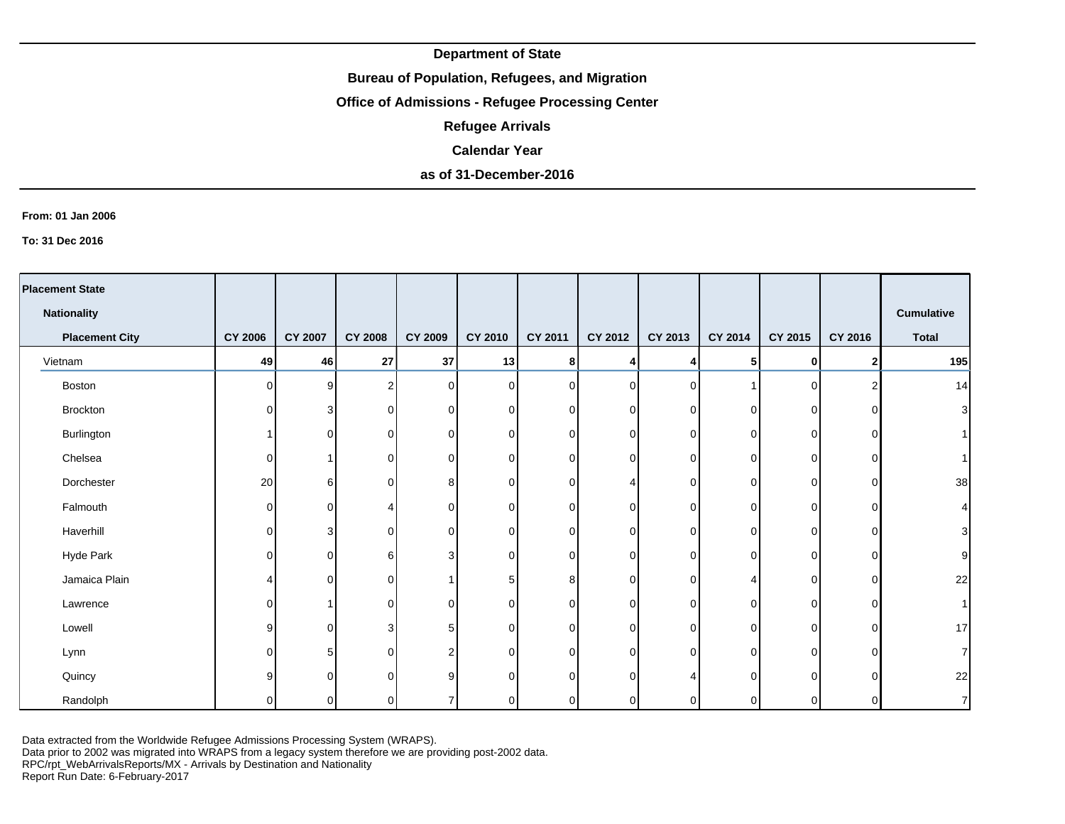## **Bureau of Population, Refugees, and Migration**

# **Office of Admissions - Refugee Processing Center**

**Refugee Arrivals**

### **Calendar Year**

# **as of 31-December-2016**

#### **From: 01 Jan 2006**

**To: 31 Dec 2016**

| <b>Placement State</b> |                |                |                |              |                |                |                |          |          |             |          |                   |
|------------------------|----------------|----------------|----------------|--------------|----------------|----------------|----------------|----------|----------|-------------|----------|-------------------|
| <b>Nationality</b>     |                |                |                |              |                |                |                |          |          |             |          | <b>Cumulative</b> |
| <b>Placement City</b>  | <b>CY 2006</b> | <b>CY 2007</b> | <b>CY 2008</b> | CY 2009      | CY 2010        | <b>CY 2011</b> | CY 2012        | CY 2013  | CY 2014  | CY 2015     | CY 2016  | <b>Total</b>      |
| Vietnam                | 49             | 46             | 27             | $37\,$       | 13             | 8              | 4              | 4        | 5        | 0           |          | 195               |
| Boston                 | $\Omega$       | 9 <sub>l</sub> | $\overline{2}$ | <sup>0</sup> | $\overline{0}$ | ΩI             | $\overline{0}$ | $\Omega$ |          | $\mathbf 0$ | ≏        | 14                |
| Brockton               | $\Omega$       | 3              | $\Omega$       | $\Omega$     | $\overline{0}$ | $\Omega$       | $\overline{0}$ | $\Omega$ | 0        | 0           | O        | $\mathbf{3}$      |
| Burlington             |                | 0              | 0              | ∩            | $\overline{0}$ | $\Omega$       | $\overline{0}$ | 0        | 0        | 0           | C        | 1                 |
| Chelsea                | 0              |                | 0              | $\Omega$     | 0              | $\Omega$       | $\overline{0}$ | 0        | 0        | 0           | C        | 1                 |
| Dorchester             | 20             | $6 \mid$       | $\Omega$       | 8            | 0              | $\Omega$       | 4              | O        | $\Omega$ | 0           | ∩        | 38                |
| Falmouth               | $\Omega$       | $\Omega$       |                | ∩            | 0              | $\Omega$       | $\mathbf 0$    | 0        | 0        | 0           | C        | $\vert 4 \vert$   |
| Haverhill              | $\Omega$       | 3              | $\Omega$       | $\Omega$     | $\overline{0}$ | $\Omega$       | $\overline{0}$ | 0        | $\Omega$ | 0           | O        | $\mathbf{3}$      |
| Hyde Park              | $\Omega$       | $\Omega$       | 6              |              | 0              | $\Omega$       | $\overline{0}$ | 0        | $\Omega$ | 0           | C        | $\mathsf g$       |
| Jamaica Plain          | 4              | 0              | 0              |              | 5              | 8 <sup>1</sup> | $\overline{0}$ | 0        | Δ        | 0           | $\Omega$ | 22                |
| Lawrence               | ΩI             |                | $\Omega$       | $\Omega$     | 0              | ΩI             | $\overline{0}$ | 0        | $\Omega$ | $\Omega$    | $\Omega$ | 1                 |
| Lowell                 | 9              | $\Omega$       | 3              |              | 0              | $\Omega$       | $\overline{0}$ | 0        | 0        | $\Omega$    | $\Omega$ | 17                |
| Lynn                   | $\Omega$       | 5.             | 0              | ◠            | $\mathbf 0$    | $\Omega$       | $\overline{0}$ | 0        | 0        | 0           | O        | $\overline{7}$    |
| Quincy                 | g              | $\Omega$       | $\Omega$       | റ            | $\mathbf 0$    | $\Omega$       | $\overline{0}$ |          | $\Omega$ | $\Omega$    | ∩        | 22                |
| Randolph               | U              | $\Omega$       | 0              |              | $\mathbf 0$    | $\Omega$       | $\overline{0}$ | n        | $\Omega$ | 0           | ∩        | $\overline{7}$    |

Data extracted from the Worldwide Refugee Admissions Processing System (WRAPS).

Data prior to 2002 was migrated into WRAPS from a legacy system therefore we are providing post-2002 data.

RPC/rpt\_WebArrivalsReports/MX - Arrivals by Destination and Nationality